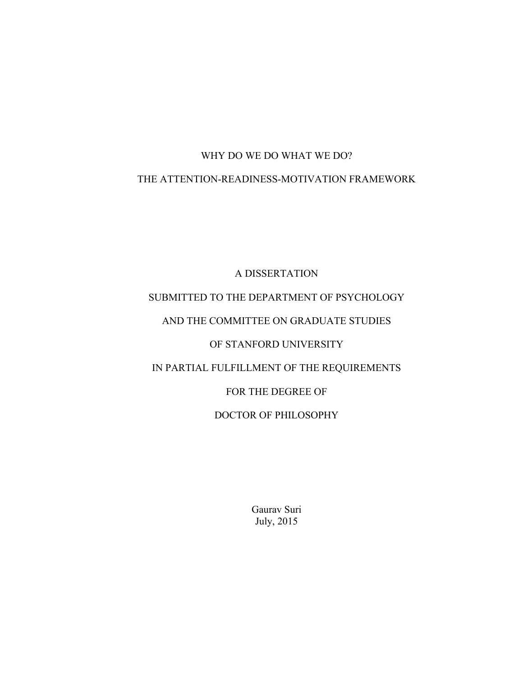# WHY DO WE DO WHAT WE DO?

# THE ATTENTION-READINESS-MOTIVATION FRAMEWORK

A DISSERTATION SUBMITTED TO THE DEPARTMENT OF PSYCHOLOGY AND THE COMMITTEE ON GRADUATE STUDIES OF STANFORD UNIVERSITY IN PARTIAL FULFILLMENT OF THE REQUIREMENTS FOR THE DEGREE OF DOCTOR OF PHILOSOPHY

> Gaurav Suri July, 2015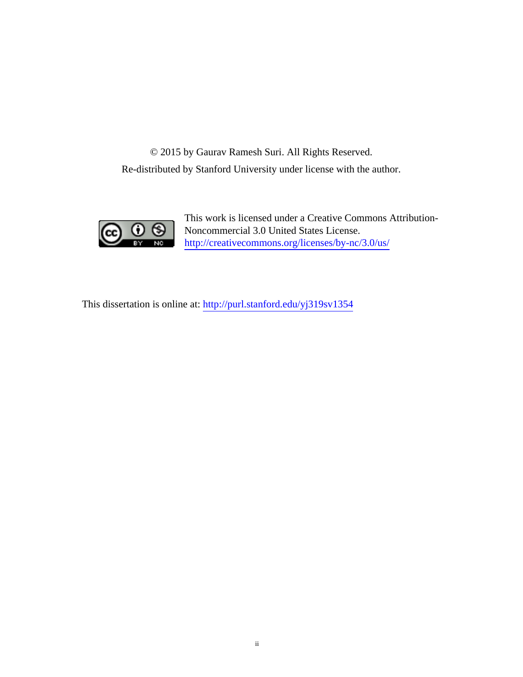© 2015 by Gaurav Ramesh Suri. All Rights Reserved. Re-distributed by Stanford University under license with the author.



**CC U S** Noncommercial 3.0 United States License.<br>
Noncommercial 3.0 United States Licenses.<br>
Noncommercial 3.0 United States Licenses. This work is licensed under a Creative Commons Attribution-Noncommercial 3.0 United States License.

This dissertation is online at: <http://purl.stanford.edu/yj319sv1354>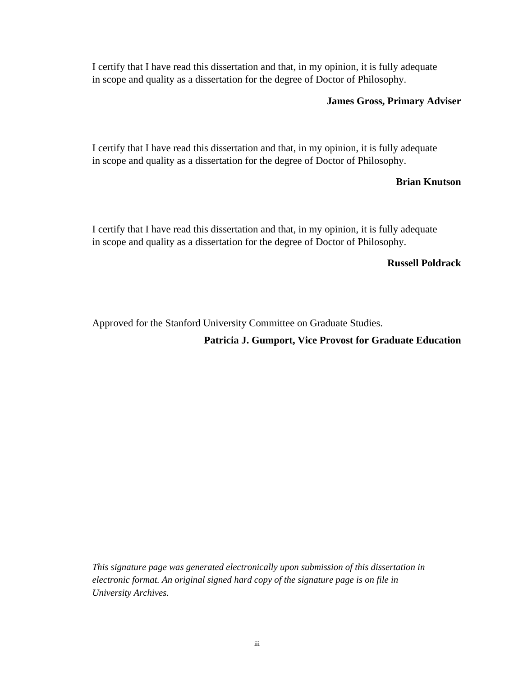I certify that I have read this dissertation and that, in my opinion, it is fully adequate in scope and quality as a dissertation for the degree of Doctor of Philosophy.

# **James Gross, Primary Adviser**

I certify that I have read this dissertation and that, in my opinion, it is fully adequate in scope and quality as a dissertation for the degree of Doctor of Philosophy.

## **Brian Knutson**

I certify that I have read this dissertation and that, in my opinion, it is fully adequate in scope and quality as a dissertation for the degree of Doctor of Philosophy.

## **Russell Poldrack**

Approved for the Stanford University Committee on Graduate Studies.

# **Patricia J. Gumport, Vice Provost for Graduate Education**

*This signature page was generated electronically upon submission of this dissertation in electronic format. An original signed hard copy of the signature page is on file in University Archives.*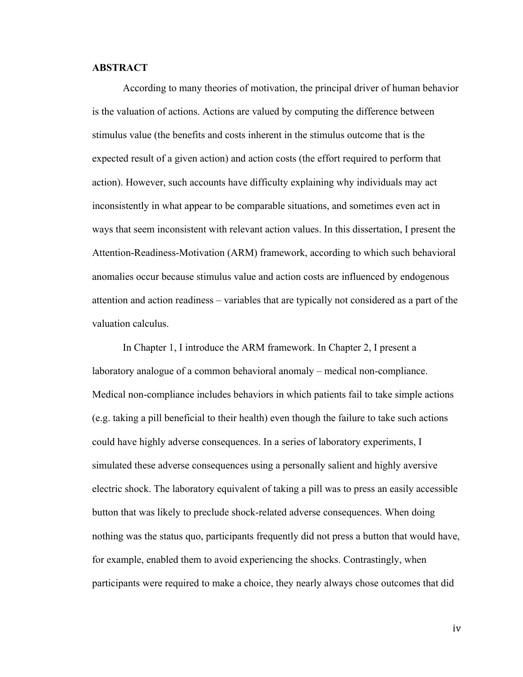#### **ABSTRACT**

According to many theories of motivation, the principal driver of human behavior is the valuation of actions. Actions are valued by computing the difference between stimulus value (the benefits and costs inherent in the stimulus outcome that is the expected result of a given action) and action costs (the effort required to perform that action). However, such accounts have difficulty explaining why individuals may act inconsistently in what appear to be comparable situations, and sometimes even act in ways that seem inconsistent with relevant action values. In this dissertation, I present the Attention-Readiness-Motivation (ARM) framework, according to which such behavioral anomalies occur because stimulus value and action costs are influenced by endogenous attention and action readiness – variables that are typically not considered as a part of the valuation calculus.

In Chapter 1, I introduce the ARM framework. In Chapter 2, I present a laboratory analogue of a common behavioral anomaly – medical non-compliance. Medical non-compliance includes behaviors in which patients fail to take simple actions (e.g. taking a pill beneficial to their health) even though the failure to take such actions could have highly adverse consequences. In a series of laboratory experiments, I simulated these adverse consequences using a personally salient and highly aversive electric shock. The laboratory equivalent of taking a pill was to press an easily accessible button that was likely to preclude shock-related adverse consequences. When doing nothing was the status quo, participants frequently did not press a button that would have, for example, enabled them to avoid experiencing the shocks. Contrastingly, when participants were required to make a choice, they nearly always chose outcomes that did

iv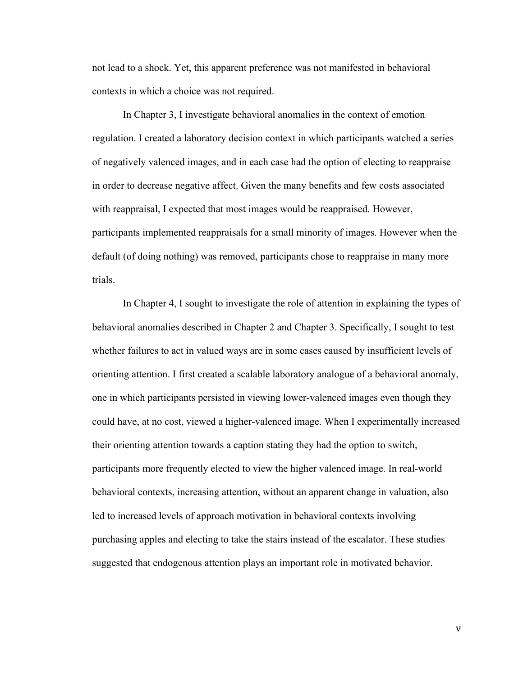not lead to a shock. Yet, this apparent preference was not manifested in behavioral contexts in which a choice was not required.

In Chapter 3, I investigate behavioral anomalies in the context of emotion regulation. I created a laboratory decision context in which participants watched a series of negatively valenced images, and in each case had the option of electing to reappraise in order to decrease negative affect. Given the many benefits and few costs associated with reappraisal, I expected that most images would be reappraised. However, participants implemented reappraisals for a small minority of images. However when the default (of doing nothing) was removed, participants chose to reappraise in many more trials.

In Chapter 4, I sought to investigate the role of attention in explaining the types of behavioral anomalies described in Chapter 2 and Chapter 3. Specifically, I sought to test whether failures to act in valued ways are in some cases caused by insufficient levels of orienting attention. I first created a scalable laboratory analogue of a behavioral anomaly, one in which participants persisted in viewing lower-valenced images even though they could have, at no cost, viewed a higher-valenced image. When I experimentally increased their orienting attention towards a caption stating they had the option to switch, participants more frequently elected to view the higher valenced image. In real-world behavioral contexts, increasing attention, without an apparent change in valuation, also led to increased levels of approach motivation in behavioral contexts involving purchasing apples and electing to take the stairs instead of the escalator. These studies suggested that endogenous attention plays an important role in motivated behavior.

v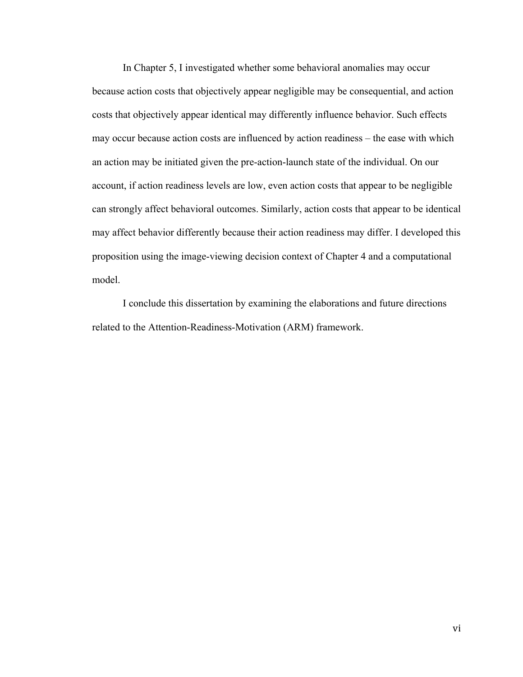In Chapter 5, I investigated whether some behavioral anomalies may occur because action costs that objectively appear negligible may be consequential, and action costs that objectively appear identical may differently influence behavior. Such effects may occur because action costs are influenced by action readiness – the ease with which an action may be initiated given the pre-action-launch state of the individual. On our account, if action readiness levels are low, even action costs that appear to be negligible can strongly affect behavioral outcomes. Similarly, action costs that appear to be identical may affect behavior differently because their action readiness may differ. I developed this proposition using the image-viewing decision context of Chapter 4 and a computational model.

I conclude this dissertation by examining the elaborations and future directions related to the Attention-Readiness-Motivation (ARM) framework.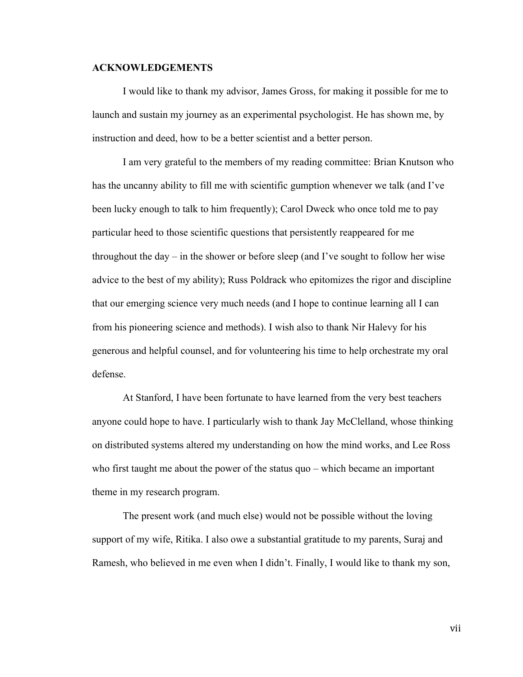#### **ACKNOWLEDGEMENTS**

I would like to thank my advisor, James Gross, for making it possible for me to launch and sustain my journey as an experimental psychologist. He has shown me, by instruction and deed, how to be a better scientist and a better person.

I am very grateful to the members of my reading committee: Brian Knutson who has the uncanny ability to fill me with scientific gumption whenever we talk (and I've been lucky enough to talk to him frequently); Carol Dweck who once told me to pay particular heed to those scientific questions that persistently reappeared for me throughout the day – in the shower or before sleep (and I've sought to follow her wise advice to the best of my ability); Russ Poldrack who epitomizes the rigor and discipline that our emerging science very much needs (and I hope to continue learning all I can from his pioneering science and methods). I wish also to thank Nir Halevy for his generous and helpful counsel, and for volunteering his time to help orchestrate my oral defense.

At Stanford, I have been fortunate to have learned from the very best teachers anyone could hope to have. I particularly wish to thank Jay McClelland, whose thinking on distributed systems altered my understanding on how the mind works, and Lee Ross who first taught me about the power of the status quo – which became an important theme in my research program.

The present work (and much else) would not be possible without the loving support of my wife, Ritika. I also owe a substantial gratitude to my parents, Suraj and Ramesh, who believed in me even when I didn't. Finally, I would like to thank my son,

vii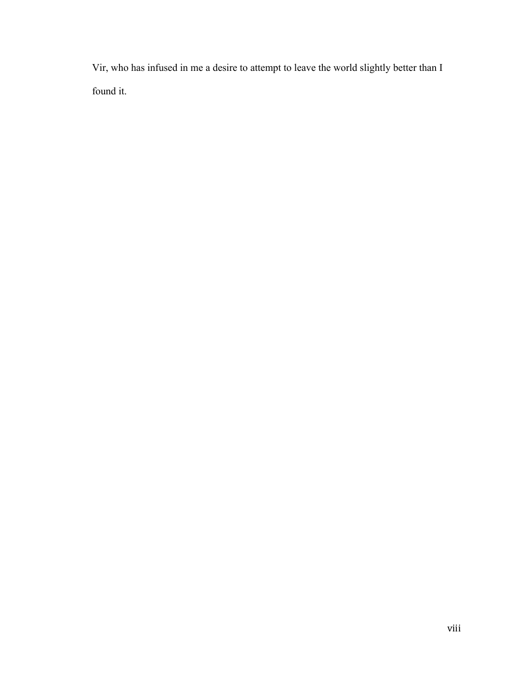Vir, who has infused in me a desire to attempt to leave the world slightly better than I found it.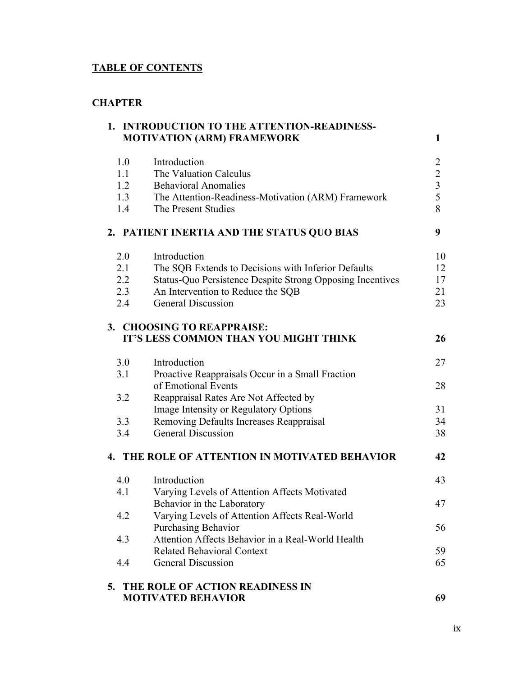# **TABLE OF CONTENTS**

# **CHAPTER**

|                                 | 1. INTRODUCTION TO THE ATTENTION-READINESS-<br><b>MOTIVATION (ARM) FRAMEWORK</b>                                                                                                                   | $\mathbf{1}$                                                      |
|---------------------------------|----------------------------------------------------------------------------------------------------------------------------------------------------------------------------------------------------|-------------------------------------------------------------------|
| 1.0<br>1.1<br>1.2<br>1.3<br>1.4 | Introduction<br>The Valuation Calculus<br><b>Behavioral Anomalies</b><br>The Attention-Readiness-Motivation (ARM) Framework<br>The Present Studies                                                 | $\overline{c}$<br>$\begin{array}{c} 2 \\ 3 \\ 5 \end{array}$<br>8 |
|                                 | 2. PATIENT INERTIA AND THE STATUS QUO BIAS                                                                                                                                                         | 9                                                                 |
| 2.0<br>2.1<br>2.2<br>2.3<br>2.4 | Introduction<br>The SQB Extends to Decisions with Inferior Defaults<br>Status-Quo Persistence Despite Strong Opposing Incentives<br>An Intervention to Reduce the SQB<br><b>General Discussion</b> | 10<br>12<br>17<br>21<br>23                                        |
|                                 | 3. CHOOSING TO REAPPRAISE:<br>IT'S LESS COMMON THAN YOU MIGHT THINK                                                                                                                                | 26                                                                |
| 3.0                             | Introduction                                                                                                                                                                                       | 27                                                                |
| 3.1                             | Proactive Reappraisals Occur in a Small Fraction<br>of Emotional Events                                                                                                                            | 28                                                                |
| 3.2                             | Reappraisal Rates Are Not Affected by<br>Image Intensity or Regulatory Options                                                                                                                     | 31                                                                |
| 3.3                             | Removing Defaults Increases Reappraisal                                                                                                                                                            | 34                                                                |
| 3.4                             | <b>General Discussion</b>                                                                                                                                                                          | 38                                                                |
|                                 | 4. THE ROLE OF ATTENTION IN MOTIVATED BEHAVIOR                                                                                                                                                     | 42                                                                |
| 4.0                             | Introduction                                                                                                                                                                                       | 43                                                                |
| 4.1                             | Varying Levels of Attention Affects Motivated                                                                                                                                                      |                                                                   |
|                                 | Behavior in the Laboratory                                                                                                                                                                         | 47                                                                |
| 4.2                             | Varying Levels of Attention Affects Real-World<br><b>Purchasing Behavior</b>                                                                                                                       | 56                                                                |
| 4.3                             | Attention Affects Behavior in a Real-World Health                                                                                                                                                  |                                                                   |
|                                 | <b>Related Behavioral Context</b>                                                                                                                                                                  | 59                                                                |
| 4.4                             | <b>General Discussion</b>                                                                                                                                                                          | 65                                                                |
| 5.                              | THE ROLE OF ACTION READINESS IN                                                                                                                                                                    |                                                                   |
|                                 | <b>MOTIVATED BEHAVIOR</b>                                                                                                                                                                          | 69                                                                |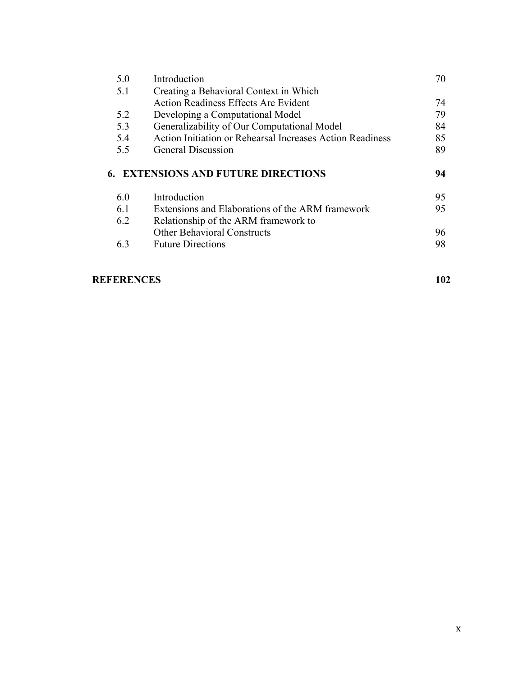| 5.0 | Introduction                                              | 70 |
|-----|-----------------------------------------------------------|----|
| 5.1 | Creating a Behavioral Context in Which                    |    |
|     | <b>Action Readiness Effects Are Evident</b>               | 74 |
| 5.2 | Developing a Computational Model                          | 79 |
| 5.3 | Generalizability of Our Computational Model               | 84 |
| 5.4 | Action Initiation or Rehearsal Increases Action Readiness | 85 |
| 5.5 | <b>General Discussion</b>                                 | 89 |
|     |                                                           |    |
|     | <b>6. EXTENSIONS AND FUTURE DIRECTIONS</b>                | 94 |
| 6.0 | Introduction                                              | 95 |
| 6.1 | Extensions and Elaborations of the ARM framework          | 95 |
| 6.2 | Relationship of the ARM framework to                      |    |
|     | <b>Other Behavioral Constructs</b>                        | 96 |
| 6.3 | <b>Future Directions</b>                                  | 98 |

# **REFERENCES 102**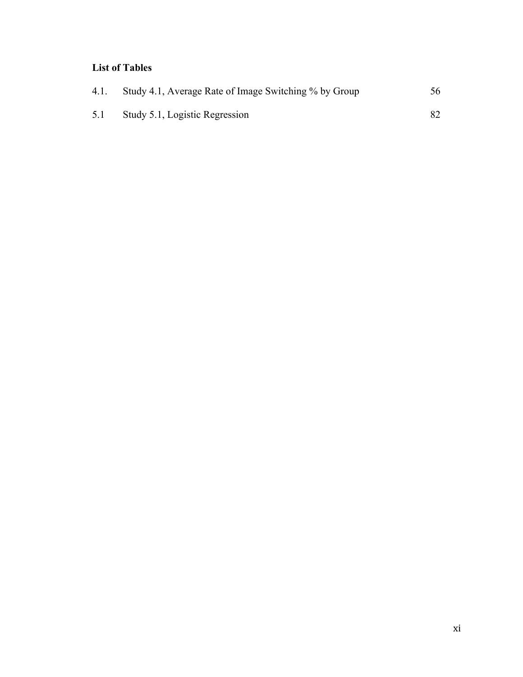# **List of Tables**

| 4.1. | Study 4.1, Average Rate of Image Switching % by Group | 56 |
|------|-------------------------------------------------------|----|
| 5.1  | Study 5.1, Logistic Regression                        |    |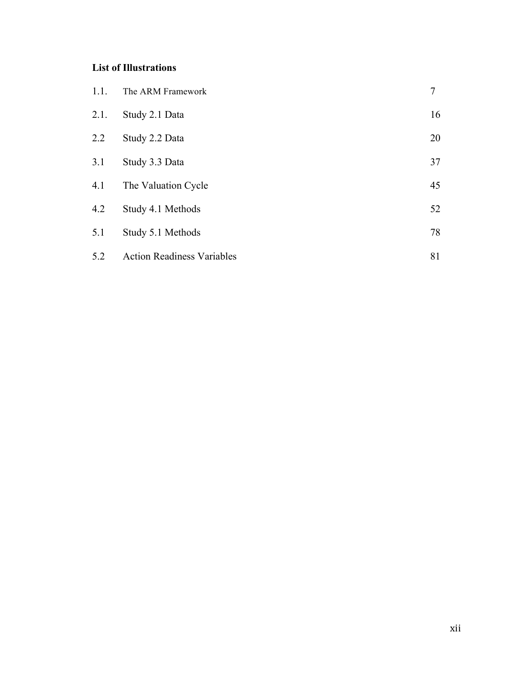# **List of Illustrations**

| 1.1.    | The ARM Framework                 | 7  |
|---------|-----------------------------------|----|
| 2.1.    | Study 2.1 Data                    | 16 |
| $2.2\,$ | Study 2.2 Data                    | 20 |
| 3.1     | Study 3.3 Data                    | 37 |
| 4.1     | The Valuation Cycle               | 45 |
| 4.2     | Study 4.1 Methods                 | 52 |
| 5.1     | Study 5.1 Methods                 | 78 |
| 5.2     | <b>Action Readiness Variables</b> | 81 |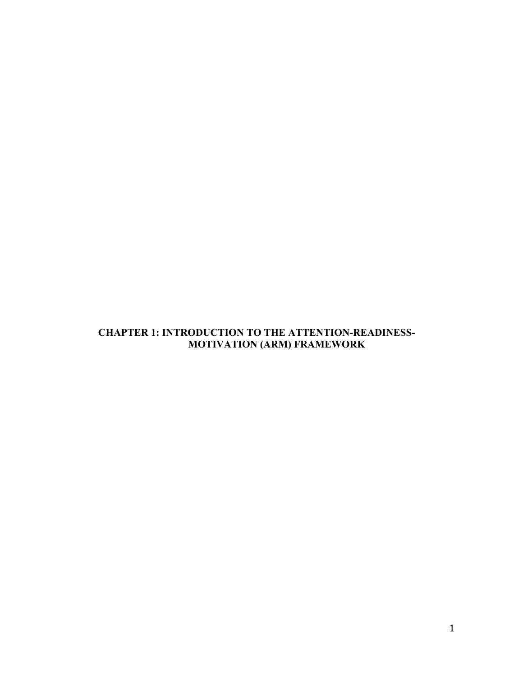# **CHAPTER 1: INTRODUCTION TO THE ATTENTION-READINESS-MOTIVATION (ARM) FRAMEWORK**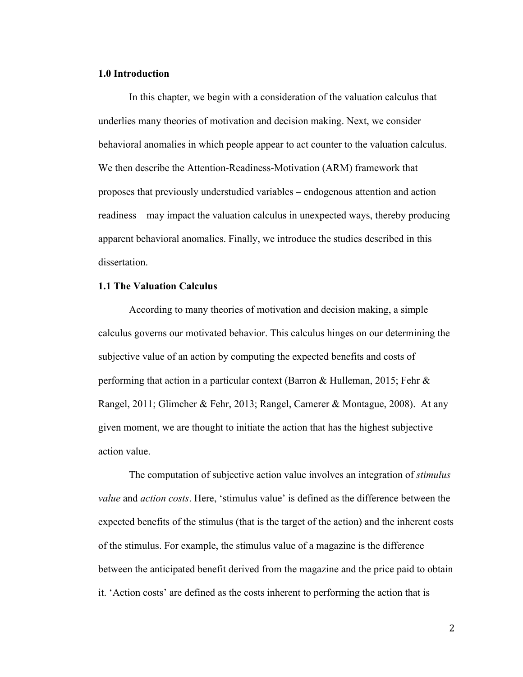#### **1.0 Introduction**

In this chapter, we begin with a consideration of the valuation calculus that underlies many theories of motivation and decision making. Next, we consider behavioral anomalies in which people appear to act counter to the valuation calculus. We then describe the Attention-Readiness-Motivation (ARM) framework that proposes that previously understudied variables – endogenous attention and action readiness – may impact the valuation calculus in unexpected ways, thereby producing apparent behavioral anomalies. Finally, we introduce the studies described in this dissertation.

#### **1.1 The Valuation Calculus**

According to many theories of motivation and decision making, a simple calculus governs our motivated behavior. This calculus hinges on our determining the subjective value of an action by computing the expected benefits and costs of performing that action in a particular context (Barron & Hulleman, 2015; Fehr & Rangel, 2011; Glimcher & Fehr, 2013; Rangel, Camerer & Montague, 2008). At any given moment, we are thought to initiate the action that has the highest subjective action value.

The computation of subjective action value involves an integration of *stimulus value* and *action costs*. Here, 'stimulus value' is defined as the difference between the expected benefits of the stimulus (that is the target of the action) and the inherent costs of the stimulus. For example, the stimulus value of a magazine is the difference between the anticipated benefit derived from the magazine and the price paid to obtain it. 'Action costs' are defined as the costs inherent to performing the action that is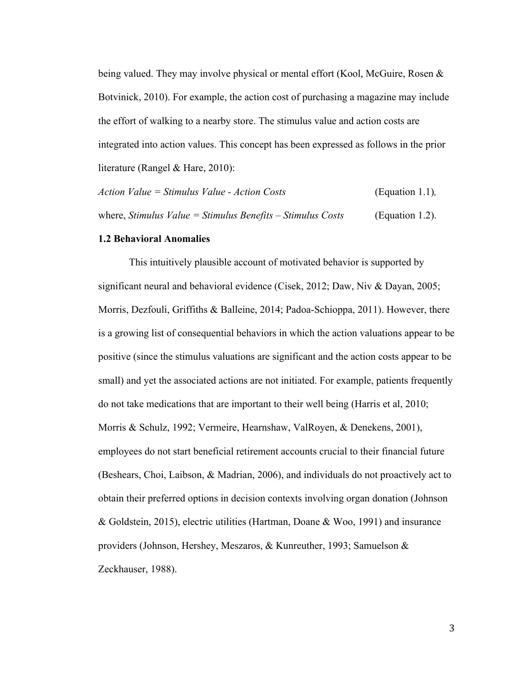being valued. They may involve physical or mental effort (Kool, McGuire, Rosen & Botvinick, 2010). For example, the action cost of purchasing a magazine may include the effort of walking to a nearby store. The stimulus value and action costs are integrated into action values. This concept has been expressed as follows in the prior literature (Rangel & Hare, 2010):

| Action Value = Stimulus Value - Action Costs                 | (Equation 1.1), |
|--------------------------------------------------------------|-----------------|
| where, Stimulus Value = Stimulus Benefits $-$ Stimulus Costs | (Equation 1.2). |

#### **1.2 Behavioral Anomalies**

This intuitively plausible account of motivated behavior is supported by significant neural and behavioral evidence (Cisek, 2012; Daw, Niv & Dayan, 2005; Morris, Dezfouli, Griffiths & Balleine, 2014; Padoa-Schioppa, 2011). However, there is a growing list of consequential behaviors in which the action valuations appear to be positive (since the stimulus valuations are significant and the action costs appear to be small) and yet the associated actions are not initiated. For example, patients frequently do not take medications that are important to their well being (Harris et al, 2010; Morris & Schulz, 1992; Vermeire, Hearnshaw, ValRoyen, & Denekens, 2001), employees do not start beneficial retirement accounts crucial to their financial future (Beshears, Choi, Laibson, & Madrian, 2006), and individuals do not proactively act to obtain their preferred options in decision contexts involving organ donation (Johnson & Goldstein, 2015), electric utilities (Hartman, Doane & Woo, 1991) and insurance providers (Johnson, Hershey, Meszaros, & Kunreuther, 1993; Samuelson & Zeckhauser, 1988).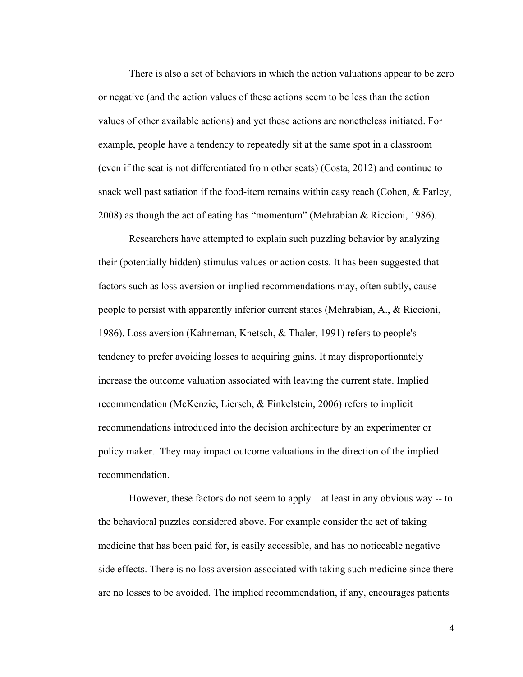There is also a set of behaviors in which the action valuations appear to be zero or negative (and the action values of these actions seem to be less than the action values of other available actions) and yet these actions are nonetheless initiated. For example, people have a tendency to repeatedly sit at the same spot in a classroom (even if the seat is not differentiated from other seats) (Costa, 2012) and continue to snack well past satiation if the food-item remains within easy reach (Cohen, & Farley, 2008) as though the act of eating has "momentum" (Mehrabian & Riccioni, 1986).

Researchers have attempted to explain such puzzling behavior by analyzing their (potentially hidden) stimulus values or action costs. It has been suggested that factors such as loss aversion or implied recommendations may, often subtly, cause people to persist with apparently inferior current states (Mehrabian, A., & Riccioni, 1986). Loss aversion (Kahneman, Knetsch, & Thaler, 1991) refers to people's tendency to prefer avoiding losses to acquiring gains. It may disproportionately increase the outcome valuation associated with leaving the current state. Implied recommendation (McKenzie, Liersch, & Finkelstein, 2006) refers to implicit recommendations introduced into the decision architecture by an experimenter or policy maker. They may impact outcome valuations in the direction of the implied recommendation.

However, these factors do not seem to apply – at least in any obvious way -- to the behavioral puzzles considered above. For example consider the act of taking medicine that has been paid for, is easily accessible, and has no noticeable negative side effects. There is no loss aversion associated with taking such medicine since there are no losses to be avoided. The implied recommendation, if any, encourages patients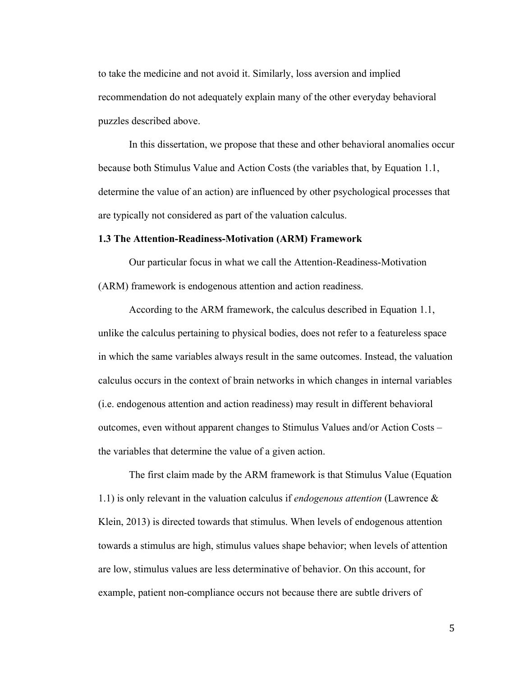to take the medicine and not avoid it. Similarly, loss aversion and implied recommendation do not adequately explain many of the other everyday behavioral puzzles described above.

In this dissertation, we propose that these and other behavioral anomalies occur because both Stimulus Value and Action Costs (the variables that, by Equation 1.1, determine the value of an action) are influenced by other psychological processes that are typically not considered as part of the valuation calculus.

#### **1.3 The Attention-Readiness-Motivation (ARM) Framework**

Our particular focus in what we call the Attention-Readiness-Motivation (ARM) framework is endogenous attention and action readiness.

According to the ARM framework, the calculus described in Equation 1.1, unlike the calculus pertaining to physical bodies, does not refer to a featureless space in which the same variables always result in the same outcomes. Instead, the valuation calculus occurs in the context of brain networks in which changes in internal variables (i.e. endogenous attention and action readiness) may result in different behavioral outcomes, even without apparent changes to Stimulus Values and/or Action Costs – the variables that determine the value of a given action.

The first claim made by the ARM framework is that Stimulus Value (Equation 1.1) is only relevant in the valuation calculus if *endogenous attention* (Lawrence & Klein, 2013) is directed towards that stimulus. When levels of endogenous attention towards a stimulus are high, stimulus values shape behavior; when levels of attention are low, stimulus values are less determinative of behavior. On this account, for example, patient non-compliance occurs not because there are subtle drivers of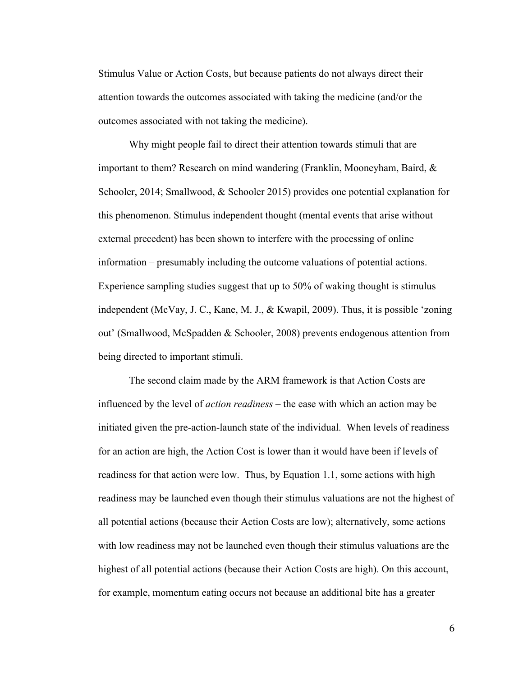Stimulus Value or Action Costs, but because patients do not always direct their attention towards the outcomes associated with taking the medicine (and/or the outcomes associated with not taking the medicine).

Why might people fail to direct their attention towards stimuli that are important to them? Research on mind wandering (Franklin, Mooneyham, Baird, & Schooler, 2014; Smallwood, & Schooler 2015) provides one potential explanation for this phenomenon. Stimulus independent thought (mental events that arise without external precedent) has been shown to interfere with the processing of online information – presumably including the outcome valuations of potential actions. Experience sampling studies suggest that up to 50% of waking thought is stimulus independent (McVay, J. C., Kane, M. J., & Kwapil, 2009). Thus, it is possible 'zoning out' (Smallwood, McSpadden & Schooler, 2008) prevents endogenous attention from being directed to important stimuli.

The second claim made by the ARM framework is that Action Costs are influenced by the level of *action readiness* – the ease with which an action may be initiated given the pre-action-launch state of the individual. When levels of readiness for an action are high, the Action Cost is lower than it would have been if levels of readiness for that action were low. Thus, by Equation 1.1, some actions with high readiness may be launched even though their stimulus valuations are not the highest of all potential actions (because their Action Costs are low); alternatively, some actions with low readiness may not be launched even though their stimulus valuations are the highest of all potential actions (because their Action Costs are high). On this account, for example, momentum eating occurs not because an additional bite has a greater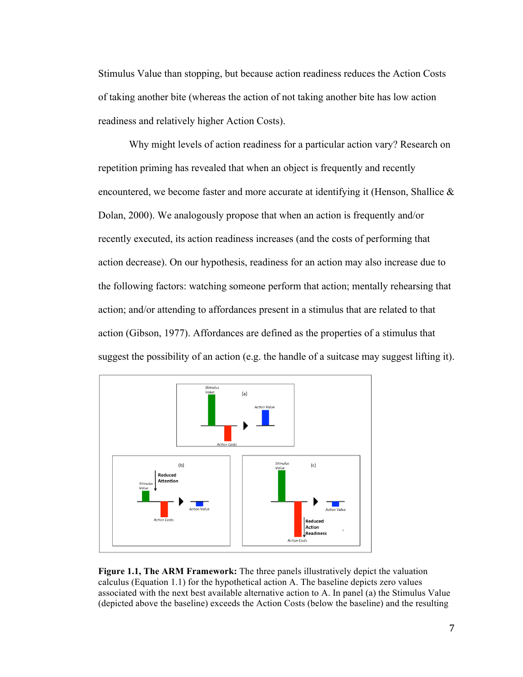Stimulus Value than stopping, but because action readiness reduces the Action Costs of taking another bite (whereas the action of not taking another bite has low action readiness and relatively higher Action Costs).

Why might levels of action readiness for a particular action vary? Research on repetition priming has revealed that when an object is frequently and recently encountered, we become faster and more accurate at identifying it (Henson, Shallice  $\&$ Dolan, 2000). We analogously propose that when an action is frequently and/or recently executed, its action readiness increases (and the costs of performing that action decrease). On our hypothesis, readiness for an action may also increase due to the following factors: watching someone perform that action; mentally rehearsing that action; and/or attending to affordances present in a stimulus that are related to that action (Gibson, 1977). Affordances are defined as the properties of a stimulus that suggest the possibility of an action (e.g. the handle of a suitcase may suggest lifting it).



**Figure 1.1, The ARM Framework:** The three panels illustratively depict the valuation calculus (Equation 1.1) for the hypothetical action A. The baseline depicts zero values associated with the next best available alternative action to A. In panel (a) the Stimulus Value (depicted above the baseline) exceeds the Action Costs (below the baseline) and the resulting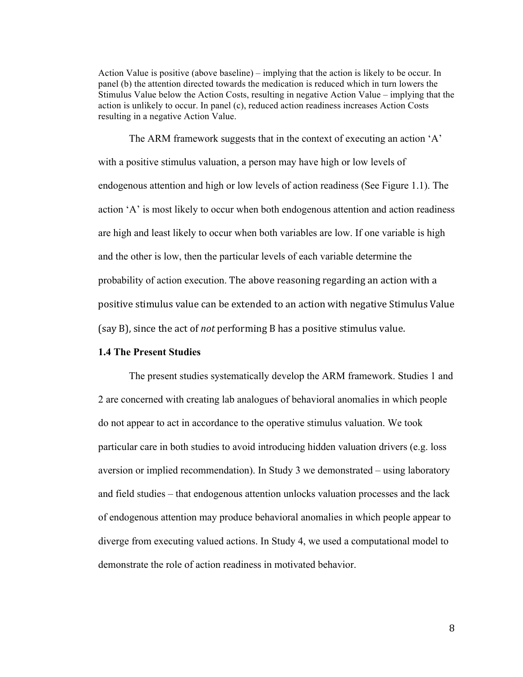Action Value is positive (above baseline) – implying that the action is likely to be occur. In panel (b) the attention directed towards the medication is reduced which in turn lowers the Stimulus Value below the Action Costs, resulting in negative Action Value – implying that the action is unlikely to occur. In panel (c), reduced action readiness increases Action Costs resulting in a negative Action Value.

The ARM framework suggests that in the context of executing an action 'A' with a positive stimulus valuation, a person may have high or low levels of endogenous attention and high or low levels of action readiness (See Figure 1.1). The action 'A' is most likely to occur when both endogenous attention and action readiness are high and least likely to occur when both variables are low. If one variable is high and the other is low, then the particular levels of each variable determine the probability of action execution. The above reasoning regarding an action with a positive stimulus value can be extended to an action with negative Stimulus Value (say B), since the act of *not* performing B has a positive stimulus value.

## **1.4 The Present Studies**

The present studies systematically develop the ARM framework. Studies 1 and 2 are concerned with creating lab analogues of behavioral anomalies in which people do not appear to act in accordance to the operative stimulus valuation. We took particular care in both studies to avoid introducing hidden valuation drivers (e.g. loss aversion or implied recommendation). In Study 3 we demonstrated – using laboratory and field studies – that endogenous attention unlocks valuation processes and the lack of endogenous attention may produce behavioral anomalies in which people appear to diverge from executing valued actions. In Study 4, we used a computational model to demonstrate the role of action readiness in motivated behavior.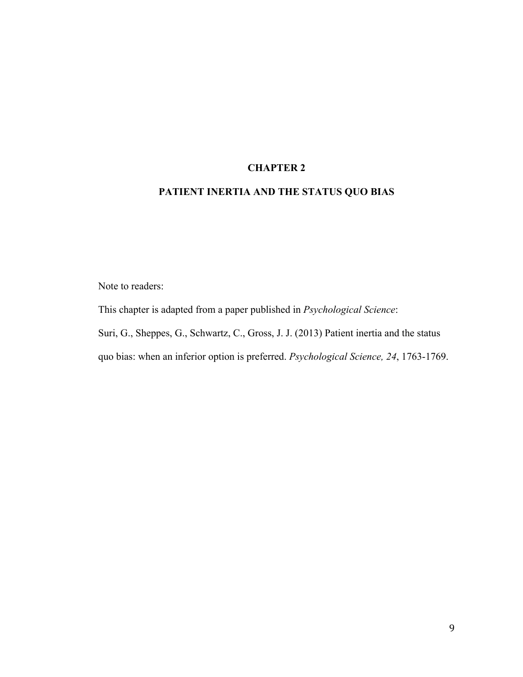## **CHAPTER 2**

# **PATIENT INERTIA AND THE STATUS QUO BIAS**

Note to readers:

This chapter is adapted from a paper published in *Psychological Science*: Suri, G., Sheppes, G., Schwartz, C., Gross, J. J. (2013) Patient inertia and the status quo bias: when an inferior option is preferred. *Psychological Science, 24*, 1763-1769.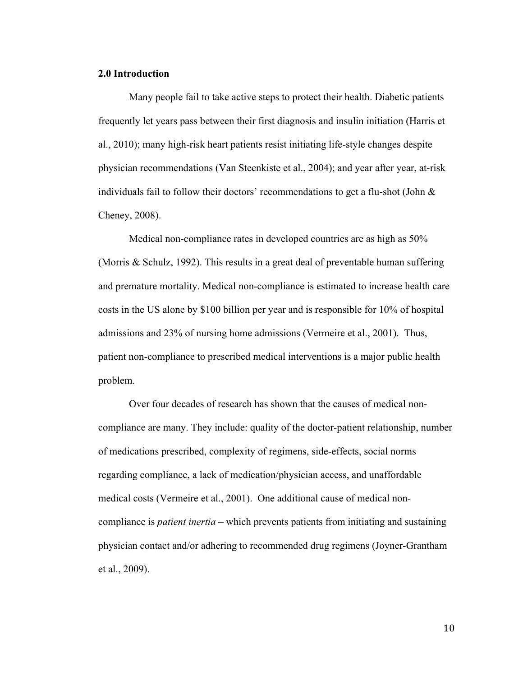#### **2.0 Introduction**

Many people fail to take active steps to protect their health. Diabetic patients frequently let years pass between their first diagnosis and insulin initiation (Harris et al., 2010); many high-risk heart patients resist initiating life-style changes despite physician recommendations (Van Steenkiste et al., 2004); and year after year, at-risk individuals fail to follow their doctors' recommendations to get a flu-shot (John  $\&$ Cheney, 2008).

Medical non-compliance rates in developed countries are as high as 50% (Morris & Schulz, 1992). This results in a great deal of preventable human suffering and premature mortality. Medical non-compliance is estimated to increase health care costs in the US alone by \$100 billion per year and is responsible for 10% of hospital admissions and 23% of nursing home admissions (Vermeire et al., 2001). Thus, patient non-compliance to prescribed medical interventions is a major public health problem.

Over four decades of research has shown that the causes of medical noncompliance are many. They include: quality of the doctor-patient relationship, number of medications prescribed, complexity of regimens, side-effects, social norms regarding compliance, a lack of medication/physician access, and unaffordable medical costs (Vermeire et al., 2001). One additional cause of medical noncompliance is *patient inertia* – which prevents patients from initiating and sustaining physician contact and/or adhering to recommended drug regimens (Joyner-Grantham et al., 2009).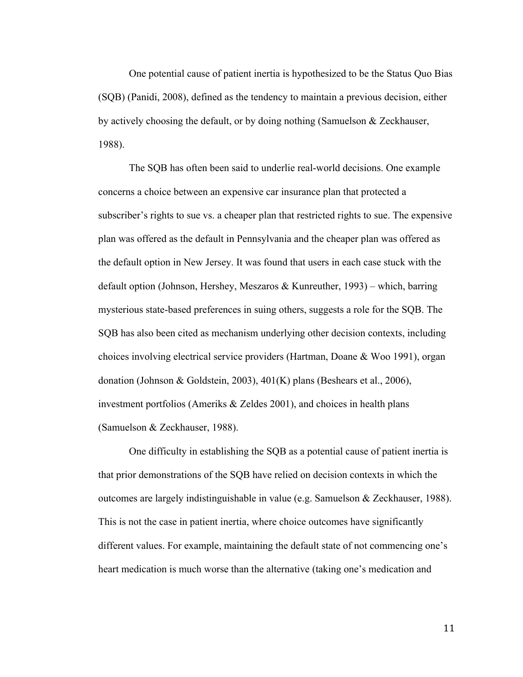One potential cause of patient inertia is hypothesized to be the Status Quo Bias (SQB) (Panidi, 2008), defined as the tendency to maintain a previous decision, either by actively choosing the default, or by doing nothing (Samuelson & Zeckhauser, 1988).

The SQB has often been said to underlie real-world decisions. One example concerns a choice between an expensive car insurance plan that protected a subscriber's rights to sue vs. a cheaper plan that restricted rights to sue. The expensive plan was offered as the default in Pennsylvania and the cheaper plan was offered as the default option in New Jersey. It was found that users in each case stuck with the default option (Johnson, Hershey, Meszaros & Kunreuther, 1993) – which, barring mysterious state-based preferences in suing others, suggests a role for the SQB. The SQB has also been cited as mechanism underlying other decision contexts, including choices involving electrical service providers (Hartman, Doane & Woo 1991), organ donation (Johnson & Goldstein, 2003), 401(K) plans (Beshears et al., 2006), investment portfolios (Ameriks & Zeldes 2001), and choices in health plans (Samuelson & Zeckhauser, 1988).

One difficulty in establishing the SQB as a potential cause of patient inertia is that prior demonstrations of the SQB have relied on decision contexts in which the outcomes are largely indistinguishable in value (e.g. Samuelson & Zeckhauser, 1988). This is not the case in patient inertia, where choice outcomes have significantly different values. For example, maintaining the default state of not commencing one's heart medication is much worse than the alternative (taking one's medication and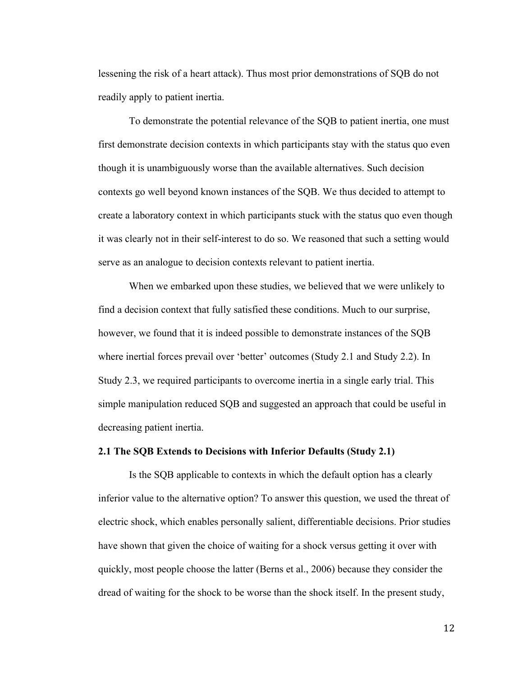lessening the risk of a heart attack). Thus most prior demonstrations of SQB do not readily apply to patient inertia.

To demonstrate the potential relevance of the SQB to patient inertia, one must first demonstrate decision contexts in which participants stay with the status quo even though it is unambiguously worse than the available alternatives. Such decision contexts go well beyond known instances of the SQB. We thus decided to attempt to create a laboratory context in which participants stuck with the status quo even though it was clearly not in their self-interest to do so. We reasoned that such a setting would serve as an analogue to decision contexts relevant to patient inertia.

When we embarked upon these studies, we believed that we were unlikely to find a decision context that fully satisfied these conditions. Much to our surprise, however, we found that it is indeed possible to demonstrate instances of the SQB where inertial forces prevail over 'better' outcomes (Study 2.1 and Study 2.2). In Study 2.3, we required participants to overcome inertia in a single early trial. This simple manipulation reduced SQB and suggested an approach that could be useful in decreasing patient inertia.

#### **2.1 The SQB Extends to Decisions with Inferior Defaults (Study 2.1)**

Is the SQB applicable to contexts in which the default option has a clearly inferior value to the alternative option? To answer this question, we used the threat of electric shock, which enables personally salient, differentiable decisions. Prior studies have shown that given the choice of waiting for a shock versus getting it over with quickly, most people choose the latter (Berns et al., 2006) because they consider the dread of waiting for the shock to be worse than the shock itself. In the present study,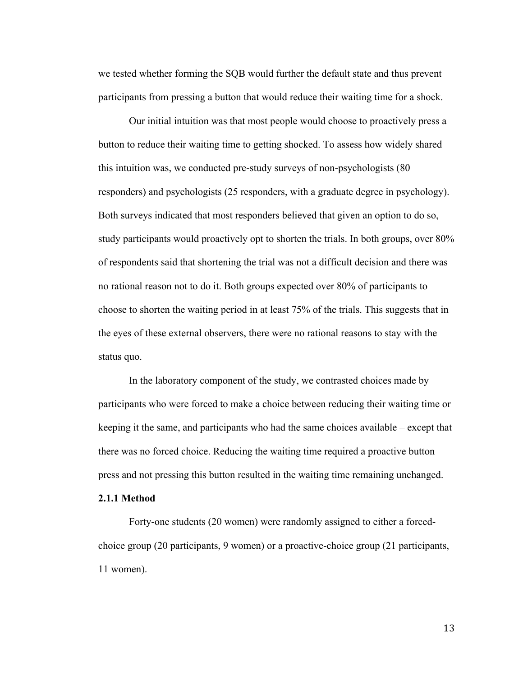we tested whether forming the SQB would further the default state and thus prevent participants from pressing a button that would reduce their waiting time for a shock.

Our initial intuition was that most people would choose to proactively press a button to reduce their waiting time to getting shocked. To assess how widely shared this intuition was, we conducted pre-study surveys of non-psychologists (80 responders) and psychologists (25 responders, with a graduate degree in psychology). Both surveys indicated that most responders believed that given an option to do so, study participants would proactively opt to shorten the trials. In both groups, over 80% of respondents said that shortening the trial was not a difficult decision and there was no rational reason not to do it. Both groups expected over 80% of participants to choose to shorten the waiting period in at least 75% of the trials. This suggests that in the eyes of these external observers, there were no rational reasons to stay with the status quo.

In the laboratory component of the study, we contrasted choices made by participants who were forced to make a choice between reducing their waiting time or keeping it the same, and participants who had the same choices available – except that there was no forced choice. Reducing the waiting time required a proactive button press and not pressing this button resulted in the waiting time remaining unchanged.

## **2.1.1 Method**

Forty-one students (20 women) were randomly assigned to either a forcedchoice group (20 participants, 9 women) or a proactive-choice group (21 participants, 11 women).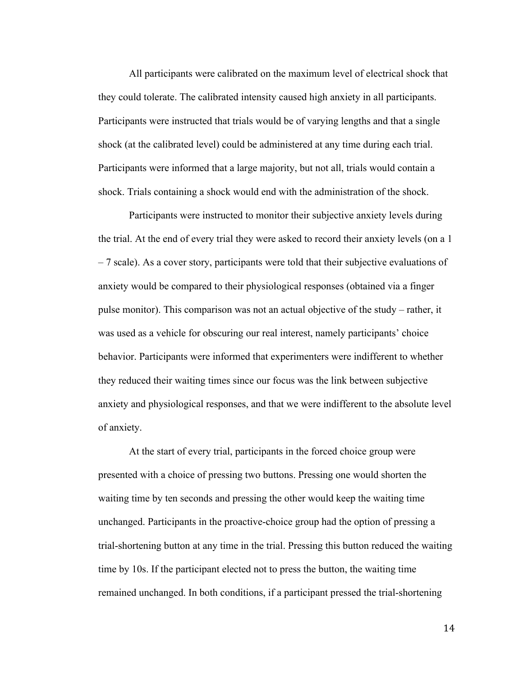All participants were calibrated on the maximum level of electrical shock that they could tolerate. The calibrated intensity caused high anxiety in all participants. Participants were instructed that trials would be of varying lengths and that a single shock (at the calibrated level) could be administered at any time during each trial. Participants were informed that a large majority, but not all, trials would contain a shock. Trials containing a shock would end with the administration of the shock.

Participants were instructed to monitor their subjective anxiety levels during the trial. At the end of every trial they were asked to record their anxiety levels (on a 1 – 7 scale). As a cover story, participants were told that their subjective evaluations of anxiety would be compared to their physiological responses (obtained via a finger pulse monitor). This comparison was not an actual objective of the study – rather, it was used as a vehicle for obscuring our real interest, namely participants' choice behavior. Participants were informed that experimenters were indifferent to whether they reduced their waiting times since our focus was the link between subjective anxiety and physiological responses, and that we were indifferent to the absolute level of anxiety.

At the start of every trial, participants in the forced choice group were presented with a choice of pressing two buttons. Pressing one would shorten the waiting time by ten seconds and pressing the other would keep the waiting time unchanged. Participants in the proactive-choice group had the option of pressing a trial-shortening button at any time in the trial. Pressing this button reduced the waiting time by 10s. If the participant elected not to press the button, the waiting time remained unchanged. In both conditions, if a participant pressed the trial-shortening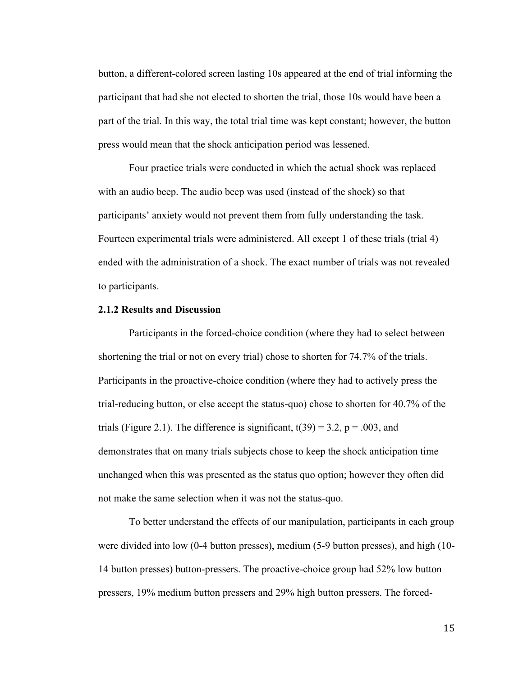button, a different-colored screen lasting 10s appeared at the end of trial informing the participant that had she not elected to shorten the trial, those 10s would have been a part of the trial. In this way, the total trial time was kept constant; however, the button press would mean that the shock anticipation period was lessened.

Four practice trials were conducted in which the actual shock was replaced with an audio beep. The audio beep was used (instead of the shock) so that participants' anxiety would not prevent them from fully understanding the task. Fourteen experimental trials were administered. All except 1 of these trials (trial 4) ended with the administration of a shock. The exact number of trials was not revealed to participants.

#### **2.1.2 Results and Discussion**

Participants in the forced-choice condition (where they had to select between shortening the trial or not on every trial) chose to shorten for 74.7% of the trials. Participants in the proactive-choice condition (where they had to actively press the trial-reducing button, or else accept the status-quo) chose to shorten for 40.7% of the trials (Figure 2.1). The difference is significant,  $t(39) = 3.2$ ,  $p = .003$ , and demonstrates that on many trials subjects chose to keep the shock anticipation time unchanged when this was presented as the status quo option; however they often did not make the same selection when it was not the status-quo.

To better understand the effects of our manipulation, participants in each group were divided into low (0-4 button presses), medium (5-9 button presses), and high (10- 14 button presses) button-pressers. The proactive-choice group had 52% low button pressers, 19% medium button pressers and 29% high button pressers. The forced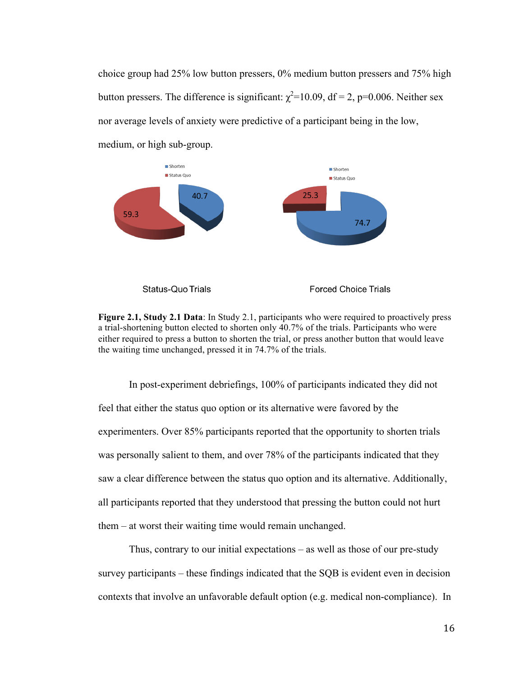choice group had 25% low button pressers, 0% medium button pressers and 75% high button pressers. The difference is significant:  $\chi^2$ =10.09, df = 2, p=0.006. Neither sex nor average levels of anxiety were predictive of a participant being in the low, medium, or high sub-group.



**Figure 2.1, Study 2.1 Data**: In Study 2.1, participants who were required to proactively press a trial-shortening button elected to shorten only 40.7% of the trials. Participants who were either required to press a button to shorten the trial, or press another button that would leave the waiting time unchanged, pressed it in 74.7% of the trials.

In post-experiment debriefings, 100% of participants indicated they did not feel that either the status quo option or its alternative were favored by the experimenters. Over 85% participants reported that the opportunity to shorten trials was personally salient to them, and over 78% of the participants indicated that they saw a clear difference between the status quo option and its alternative. Additionally, all participants reported that they understood that pressing the button could not hurt them – at worst their waiting time would remain unchanged.

Thus, contrary to our initial expectations – as well as those of our pre-study survey participants – these findings indicated that the SQB is evident even in decision contexts that involve an unfavorable default option (e.g. medical non-compliance). In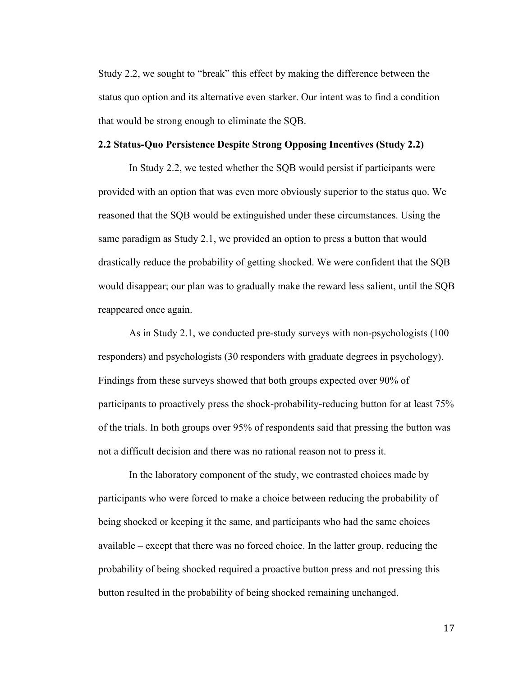Study 2.2, we sought to "break" this effect by making the difference between the status quo option and its alternative even starker. Our intent was to find a condition that would be strong enough to eliminate the SQB.

#### **2.2 Status-Quo Persistence Despite Strong Opposing Incentives (Study 2.2)**

In Study 2.2, we tested whether the SQB would persist if participants were provided with an option that was even more obviously superior to the status quo. We reasoned that the SQB would be extinguished under these circumstances. Using the same paradigm as Study 2.1, we provided an option to press a button that would drastically reduce the probability of getting shocked. We were confident that the SQB would disappear; our plan was to gradually make the reward less salient, until the SQB reappeared once again.

As in Study 2.1, we conducted pre-study surveys with non-psychologists (100 responders) and psychologists (30 responders with graduate degrees in psychology). Findings from these surveys showed that both groups expected over 90% of participants to proactively press the shock-probability-reducing button for at least 75% of the trials. In both groups over 95% of respondents said that pressing the button was not a difficult decision and there was no rational reason not to press it.

In the laboratory component of the study, we contrasted choices made by participants who were forced to make a choice between reducing the probability of being shocked or keeping it the same, and participants who had the same choices available – except that there was no forced choice. In the latter group, reducing the probability of being shocked required a proactive button press and not pressing this button resulted in the probability of being shocked remaining unchanged.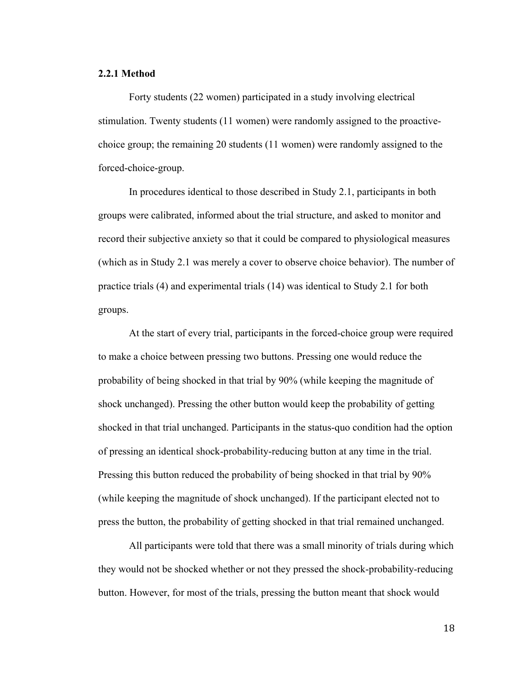#### **2.2.1 Method**

Forty students (22 women) participated in a study involving electrical stimulation. Twenty students (11 women) were randomly assigned to the proactivechoice group; the remaining 20 students (11 women) were randomly assigned to the forced-choice-group.

In procedures identical to those described in Study 2.1, participants in both groups were calibrated, informed about the trial structure, and asked to monitor and record their subjective anxiety so that it could be compared to physiological measures (which as in Study 2.1 was merely a cover to observe choice behavior). The number of practice trials (4) and experimental trials (14) was identical to Study 2.1 for both groups.

At the start of every trial, participants in the forced-choice group were required to make a choice between pressing two buttons. Pressing one would reduce the probability of being shocked in that trial by 90% (while keeping the magnitude of shock unchanged). Pressing the other button would keep the probability of getting shocked in that trial unchanged. Participants in the status-quo condition had the option of pressing an identical shock-probability-reducing button at any time in the trial. Pressing this button reduced the probability of being shocked in that trial by 90% (while keeping the magnitude of shock unchanged). If the participant elected not to press the button, the probability of getting shocked in that trial remained unchanged.

All participants were told that there was a small minority of trials during which they would not be shocked whether or not they pressed the shock-probability-reducing button. However, for most of the trials, pressing the button meant that shock would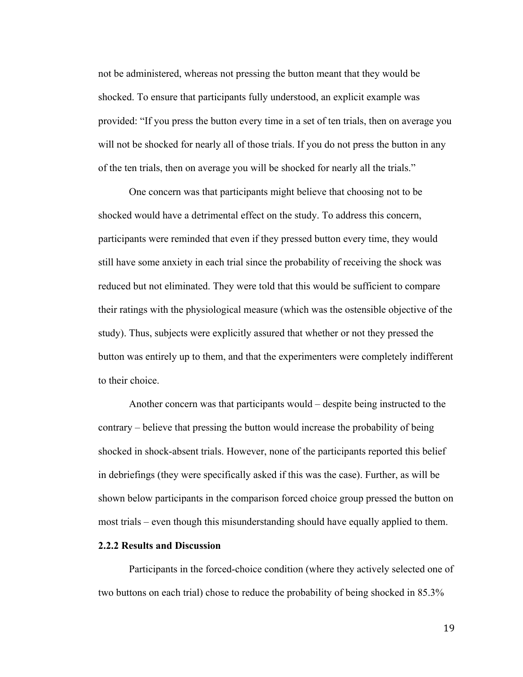not be administered, whereas not pressing the button meant that they would be shocked. To ensure that participants fully understood, an explicit example was provided: "If you press the button every time in a set of ten trials, then on average you will not be shocked for nearly all of those trials. If you do not press the button in any of the ten trials, then on average you will be shocked for nearly all the trials."

One concern was that participants might believe that choosing not to be shocked would have a detrimental effect on the study. To address this concern, participants were reminded that even if they pressed button every time, they would still have some anxiety in each trial since the probability of receiving the shock was reduced but not eliminated. They were told that this would be sufficient to compare their ratings with the physiological measure (which was the ostensible objective of the study). Thus, subjects were explicitly assured that whether or not they pressed the button was entirely up to them, and that the experimenters were completely indifferent to their choice.

Another concern was that participants would – despite being instructed to the contrary – believe that pressing the button would increase the probability of being shocked in shock-absent trials. However, none of the participants reported this belief in debriefings (they were specifically asked if this was the case). Further, as will be shown below participants in the comparison forced choice group pressed the button on most trials – even though this misunderstanding should have equally applied to them.

## **2.2.2 Results and Discussion**

Participants in the forced-choice condition (where they actively selected one of two buttons on each trial) chose to reduce the probability of being shocked in 85.3%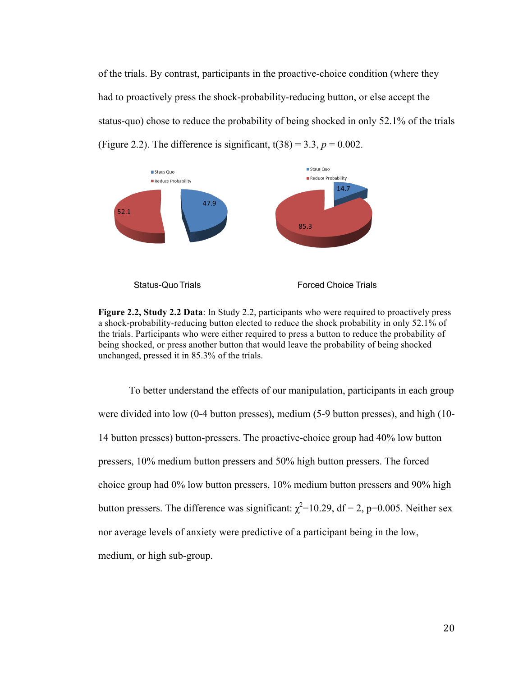of the trials. By contrast, participants in the proactive-choice condition (where they had to proactively press the shock-probability-reducing button, or else accept the status-quo) chose to reduce the probability of being shocked in only 52.1% of the trials (Figure 2.2). The difference is significant,  $t(38) = 3.3$ ,  $p = 0.002$ .



**Figure 2.2, Study 2.2 Data**: In Study 2.2, participants who were required to proactively press a shock-probability-reducing button elected to reduce the shock probability in only 52.1% of the trials. Participants who were either required to press a button to reduce the probability of being shocked, or press another button that would leave the probability of being shocked unchanged, pressed it in 85.3% of the trials.

To better understand the effects of our manipulation, participants in each group were divided into low (0-4 button presses), medium (5-9 button presses), and high (10- 14 button presses) button-pressers. The proactive-choice group had 40% low button pressers, 10% medium button pressers and 50% high button pressers. The forced choice group had 0% low button pressers, 10% medium button pressers and 90% high button pressers. The difference was significant:  $\chi^2$ =10.29, df = 2, p=0.005. Neither sex nor average levels of anxiety were predictive of a participant being in the low, medium, or high sub-group.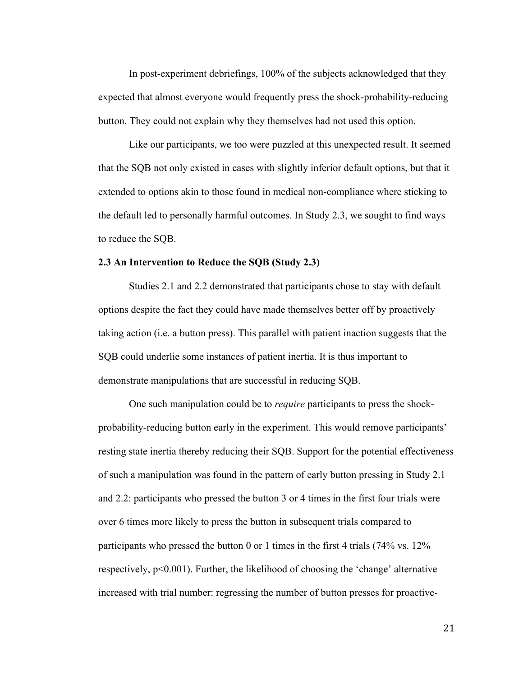In post-experiment debriefings, 100% of the subjects acknowledged that they expected that almost everyone would frequently press the shock-probability-reducing button. They could not explain why they themselves had not used this option.

Like our participants, we too were puzzled at this unexpected result. It seemed that the SQB not only existed in cases with slightly inferior default options, but that it extended to options akin to those found in medical non-compliance where sticking to the default led to personally harmful outcomes. In Study 2.3, we sought to find ways to reduce the SQB.

#### **2.3 An Intervention to Reduce the SQB (Study 2.3)**

Studies 2.1 and 2.2 demonstrated that participants chose to stay with default options despite the fact they could have made themselves better off by proactively taking action (i.e. a button press). This parallel with patient inaction suggests that the SQB could underlie some instances of patient inertia. It is thus important to demonstrate manipulations that are successful in reducing SQB.

One such manipulation could be to *require* participants to press the shockprobability-reducing button early in the experiment. This would remove participants' resting state inertia thereby reducing their SQB. Support for the potential effectiveness of such a manipulation was found in the pattern of early button pressing in Study 2.1 and 2.2: participants who pressed the button 3 or 4 times in the first four trials were over 6 times more likely to press the button in subsequent trials compared to participants who pressed the button 0 or 1 times in the first 4 trials (74% vs. 12% respectively, p<0.001). Further, the likelihood of choosing the 'change' alternative increased with trial number: regressing the number of button presses for proactive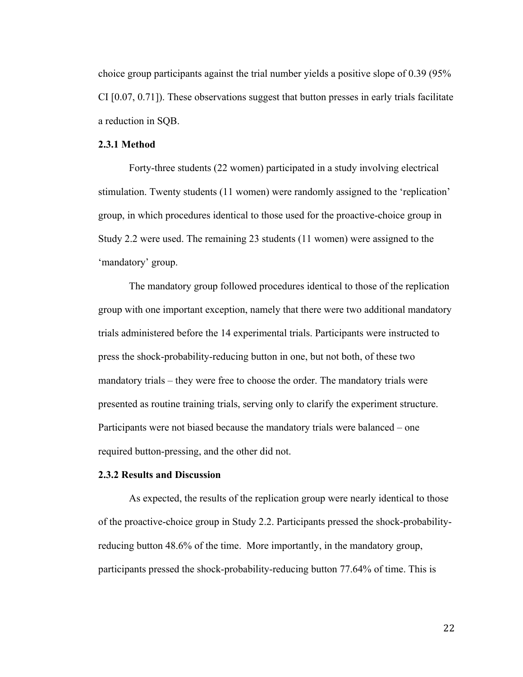choice group participants against the trial number yields a positive slope of 0.39 (95% CI [0.07, 0.71]). These observations suggest that button presses in early trials facilitate a reduction in SQB.

#### **2.3.1 Method**

Forty-three students (22 women) participated in a study involving electrical stimulation. Twenty students (11 women) were randomly assigned to the 'replication' group, in which procedures identical to those used for the proactive-choice group in Study 2.2 were used. The remaining 23 students (11 women) were assigned to the 'mandatory' group.

The mandatory group followed procedures identical to those of the replication group with one important exception, namely that there were two additional mandatory trials administered before the 14 experimental trials. Participants were instructed to press the shock-probability-reducing button in one, but not both, of these two mandatory trials – they were free to choose the order. The mandatory trials were presented as routine training trials, serving only to clarify the experiment structure. Participants were not biased because the mandatory trials were balanced – one required button-pressing, and the other did not.

#### **2.3.2 Results and Discussion**

As expected, the results of the replication group were nearly identical to those of the proactive-choice group in Study 2.2. Participants pressed the shock-probabilityreducing button 48.6% of the time. More importantly, in the mandatory group, participants pressed the shock-probability-reducing button 77.64% of time. This is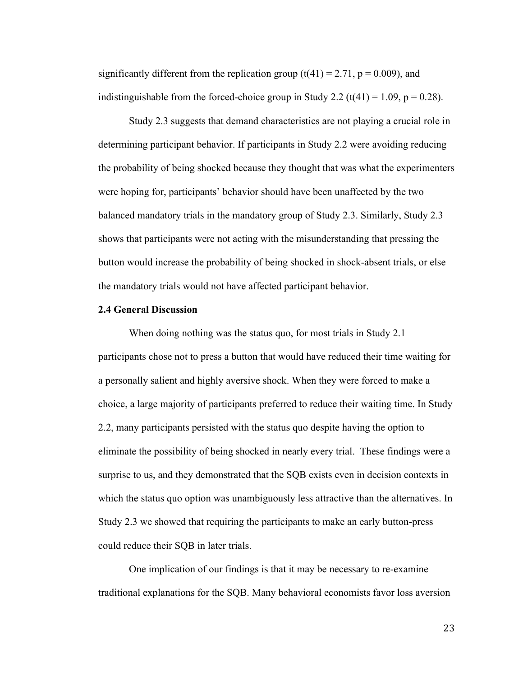significantly different from the replication group  $(t(41) = 2.71, p = 0.009)$ , and indistinguishable from the forced-choice group in Study 2.2 (t(41) = 1.09,  $p = 0.28$ ).

Study 2.3 suggests that demand characteristics are not playing a crucial role in determining participant behavior. If participants in Study 2.2 were avoiding reducing the probability of being shocked because they thought that was what the experimenters were hoping for, participants' behavior should have been unaffected by the two balanced mandatory trials in the mandatory group of Study 2.3. Similarly, Study 2.3 shows that participants were not acting with the misunderstanding that pressing the button would increase the probability of being shocked in shock-absent trials, or else the mandatory trials would not have affected participant behavior.

#### **2.4 General Discussion**

When doing nothing was the status quo, for most trials in Study 2.1 participants chose not to press a button that would have reduced their time waiting for a personally salient and highly aversive shock. When they were forced to make a choice, a large majority of participants preferred to reduce their waiting time. In Study 2.2, many participants persisted with the status quo despite having the option to eliminate the possibility of being shocked in nearly every trial. These findings were a surprise to us, and they demonstrated that the SQB exists even in decision contexts in which the status quo option was unambiguously less attractive than the alternatives. In Study 2.3 we showed that requiring the participants to make an early button-press could reduce their SQB in later trials.

One implication of our findings is that it may be necessary to re-examine traditional explanations for the SQB. Many behavioral economists favor loss aversion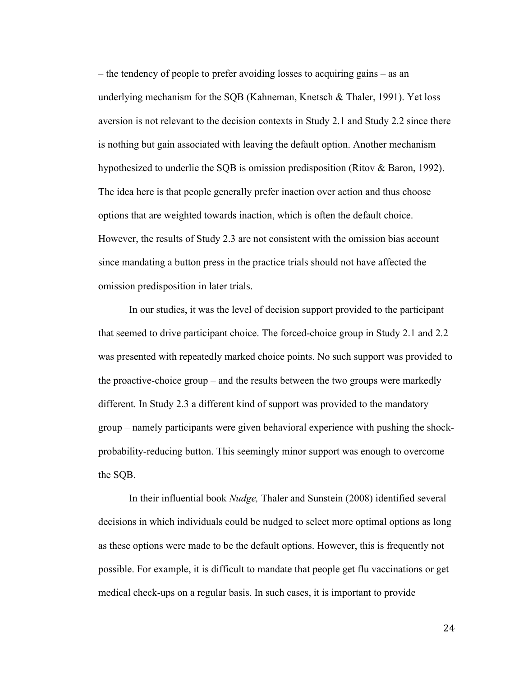– the tendency of people to prefer avoiding losses to acquiring gains – as an underlying mechanism for the SQB (Kahneman, Knetsch & Thaler, 1991). Yet loss aversion is not relevant to the decision contexts in Study 2.1 and Study 2.2 since there is nothing but gain associated with leaving the default option. Another mechanism hypothesized to underlie the SQB is omission predisposition (Ritov & Baron, 1992). The idea here is that people generally prefer inaction over action and thus choose options that are weighted towards inaction, which is often the default choice. However, the results of Study 2.3 are not consistent with the omission bias account since mandating a button press in the practice trials should not have affected the omission predisposition in later trials.

In our studies, it was the level of decision support provided to the participant that seemed to drive participant choice. The forced-choice group in Study 2.1 and 2.2 was presented with repeatedly marked choice points. No such support was provided to the proactive-choice group – and the results between the two groups were markedly different. In Study 2.3 a different kind of support was provided to the mandatory group – namely participants were given behavioral experience with pushing the shockprobability-reducing button. This seemingly minor support was enough to overcome the SQB.

In their influential book *Nudge,* Thaler and Sunstein (2008) identified several decisions in which individuals could be nudged to select more optimal options as long as these options were made to be the default options. However, this is frequently not possible. For example, it is difficult to mandate that people get flu vaccinations or get medical check-ups on a regular basis. In such cases, it is important to provide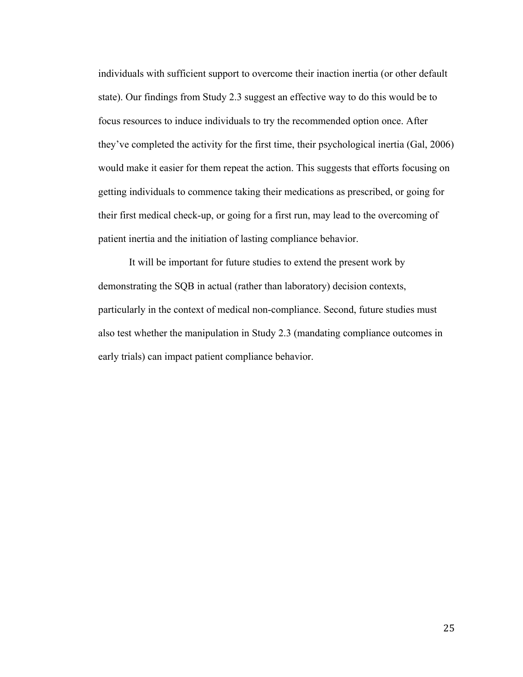individuals with sufficient support to overcome their inaction inertia (or other default state). Our findings from Study 2.3 suggest an effective way to do this would be to focus resources to induce individuals to try the recommended option once. After they've completed the activity for the first time, their psychological inertia (Gal, 2006) would make it easier for them repeat the action. This suggests that efforts focusing on getting individuals to commence taking their medications as prescribed, or going for their first medical check-up, or going for a first run, may lead to the overcoming of patient inertia and the initiation of lasting compliance behavior.

It will be important for future studies to extend the present work by demonstrating the SQB in actual (rather than laboratory) decision contexts, particularly in the context of medical non-compliance. Second, future studies must also test whether the manipulation in Study 2.3 (mandating compliance outcomes in early trials) can impact patient compliance behavior.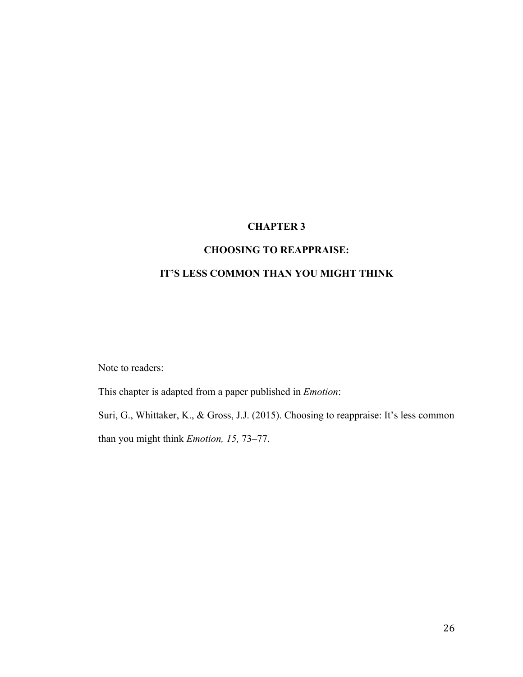# **CHAPTER 3**

# **CHOOSING TO REAPPRAISE:**

# **IT'S LESS COMMON THAN YOU MIGHT THINK**

Note to readers:

This chapter is adapted from a paper published in *Emotion*:

Suri, G., Whittaker, K., & Gross, J.J. (2015). Choosing to reappraise: It's less common than you might think *Emotion, 15,* 73–77.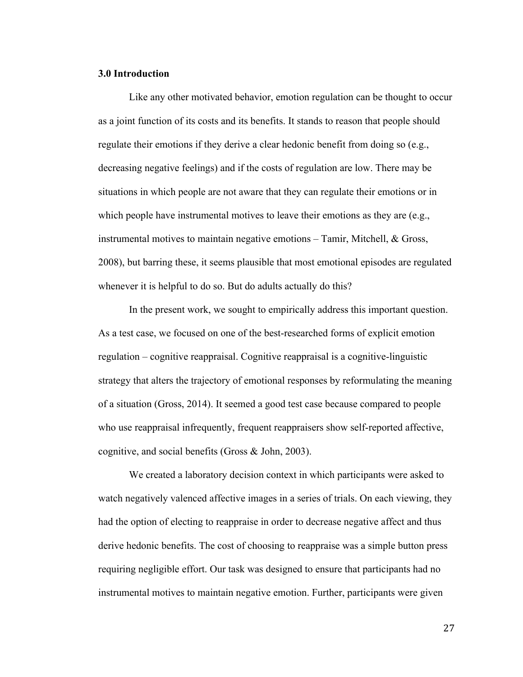### **3.0 Introduction**

Like any other motivated behavior, emotion regulation can be thought to occur as a joint function of its costs and its benefits. It stands to reason that people should regulate their emotions if they derive a clear hedonic benefit from doing so (e.g., decreasing negative feelings) and if the costs of regulation are low. There may be situations in which people are not aware that they can regulate their emotions or in which people have instrumental motives to leave their emotions as they are (e.g., instrumental motives to maintain negative emotions – Tamir, Mitchell, & Gross, 2008), but barring these, it seems plausible that most emotional episodes are regulated whenever it is helpful to do so. But do adults actually do this?

In the present work, we sought to empirically address this important question. As a test case, we focused on one of the best-researched forms of explicit emotion regulation – cognitive reappraisal. Cognitive reappraisal is a cognitive-linguistic strategy that alters the trajectory of emotional responses by reformulating the meaning of a situation (Gross, 2014). It seemed a good test case because compared to people who use reappraisal infrequently, frequent reappraisers show self-reported affective, cognitive, and social benefits (Gross & John, 2003).

We created a laboratory decision context in which participants were asked to watch negatively valenced affective images in a series of trials. On each viewing, they had the option of electing to reappraise in order to decrease negative affect and thus derive hedonic benefits. The cost of choosing to reappraise was a simple button press requiring negligible effort. Our task was designed to ensure that participants had no instrumental motives to maintain negative emotion. Further, participants were given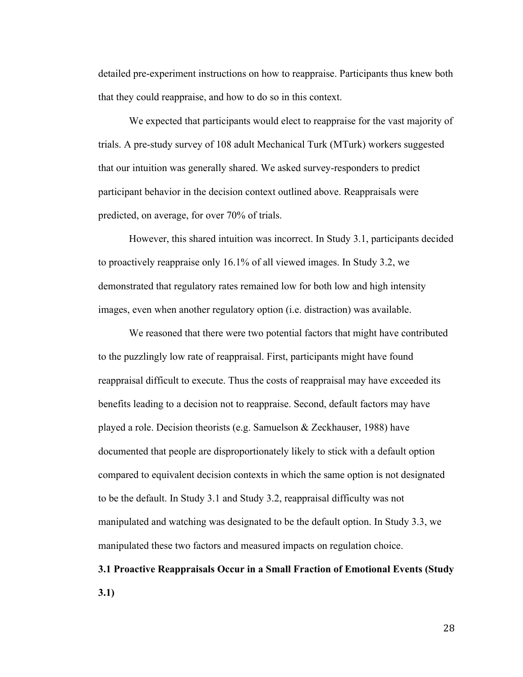detailed pre-experiment instructions on how to reappraise. Participants thus knew both that they could reappraise, and how to do so in this context.

We expected that participants would elect to reappraise for the vast majority of trials. A pre-study survey of 108 adult Mechanical Turk (MTurk) workers suggested that our intuition was generally shared. We asked survey-responders to predict participant behavior in the decision context outlined above. Reappraisals were predicted, on average, for over 70% of trials.

However, this shared intuition was incorrect. In Study 3.1, participants decided to proactively reappraise only 16.1% of all viewed images. In Study 3.2, we demonstrated that regulatory rates remained low for both low and high intensity images, even when another regulatory option (i.e. distraction) was available.

We reasoned that there were two potential factors that might have contributed to the puzzlingly low rate of reappraisal. First, participants might have found reappraisal difficult to execute. Thus the costs of reappraisal may have exceeded its benefits leading to a decision not to reappraise. Second, default factors may have played a role. Decision theorists (e.g. Samuelson & Zeckhauser, 1988) have documented that people are disproportionately likely to stick with a default option compared to equivalent decision contexts in which the same option is not designated to be the default. In Study 3.1 and Study 3.2, reappraisal difficulty was not manipulated and watching was designated to be the default option. In Study 3.3, we manipulated these two factors and measured impacts on regulation choice.

# **3.1 Proactive Reappraisals Occur in a Small Fraction of Emotional Events (Study 3.1)**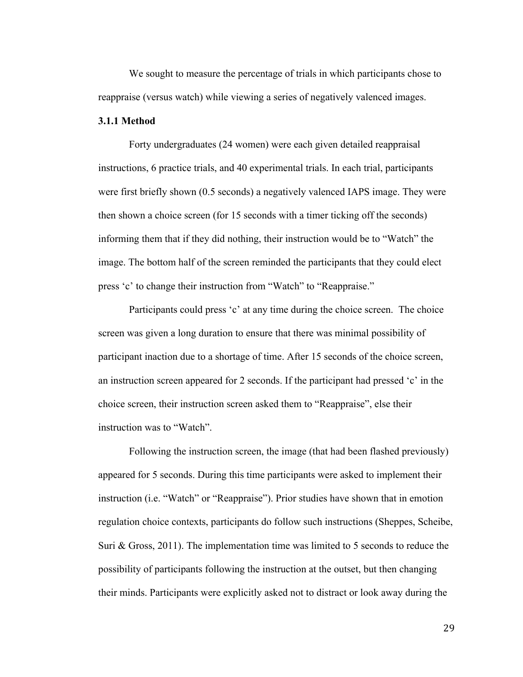We sought to measure the percentage of trials in which participants chose to reappraise (versus watch) while viewing a series of negatively valenced images.

### **3.1.1 Method**

Forty undergraduates (24 women) were each given detailed reappraisal instructions, 6 practice trials, and 40 experimental trials. In each trial, participants were first briefly shown (0.5 seconds) a negatively valenced IAPS image. They were then shown a choice screen (for 15 seconds with a timer ticking off the seconds) informing them that if they did nothing, their instruction would be to "Watch" the image. The bottom half of the screen reminded the participants that they could elect press 'c' to change their instruction from "Watch" to "Reappraise."

Participants could press 'c' at any time during the choice screen. The choice screen was given a long duration to ensure that there was minimal possibility of participant inaction due to a shortage of time. After 15 seconds of the choice screen, an instruction screen appeared for 2 seconds. If the participant had pressed 'c' in the choice screen, their instruction screen asked them to "Reappraise", else their instruction was to "Watch".

Following the instruction screen, the image (that had been flashed previously) appeared for 5 seconds. During this time participants were asked to implement their instruction (i.e. "Watch" or "Reappraise"). Prior studies have shown that in emotion regulation choice contexts, participants do follow such instructions (Sheppes, Scheibe, Suri & Gross, 2011). The implementation time was limited to 5 seconds to reduce the possibility of participants following the instruction at the outset, but then changing their minds. Participants were explicitly asked not to distract or look away during the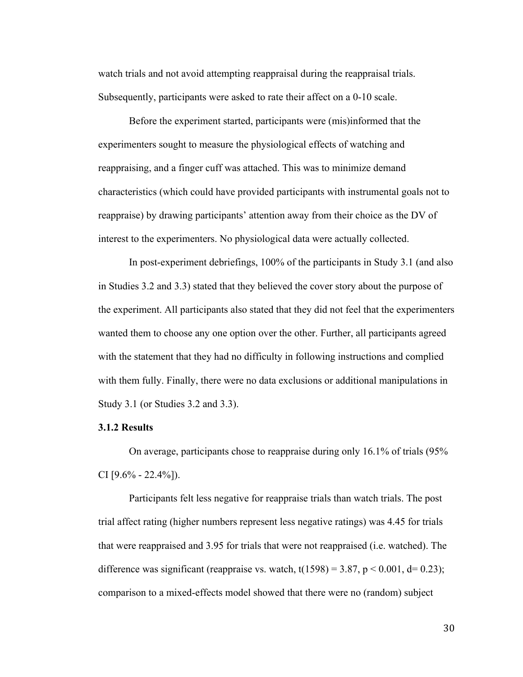watch trials and not avoid attempting reappraisal during the reappraisal trials. Subsequently, participants were asked to rate their affect on a 0-10 scale.

Before the experiment started, participants were (mis)informed that the experimenters sought to measure the physiological effects of watching and reappraising, and a finger cuff was attached. This was to minimize demand characteristics (which could have provided participants with instrumental goals not to reappraise) by drawing participants' attention away from their choice as the DV of interest to the experimenters. No physiological data were actually collected.

In post-experiment debriefings, 100% of the participants in Study 3.1 (and also in Studies 3.2 and 3.3) stated that they believed the cover story about the purpose of the experiment. All participants also stated that they did not feel that the experimenters wanted them to choose any one option over the other. Further, all participants agreed with the statement that they had no difficulty in following instructions and complied with them fully. Finally, there were no data exclusions or additional manipulations in Study 3.1 (or Studies 3.2 and 3.3).

### **3.1.2 Results**

On average, participants chose to reappraise during only 16.1% of trials (95% CI  $[9.6\% - 22.4\%]$ .

Participants felt less negative for reappraise trials than watch trials. The post trial affect rating (higher numbers represent less negative ratings) was 4.45 for trials that were reappraised and 3.95 for trials that were not reappraised (i.e. watched). The difference was significant (reappraise vs. watch,  $t(1598) = 3.87$ ,  $p < 0.001$ ,  $d = 0.23$ ); comparison to a mixed-effects model showed that there were no (random) subject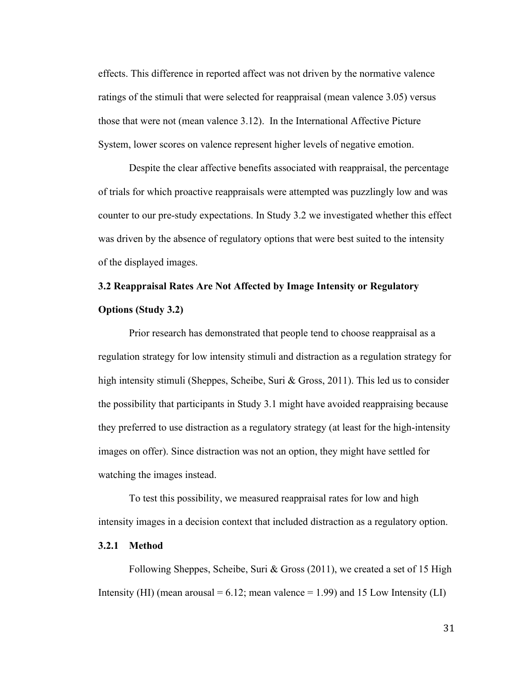effects. This difference in reported affect was not driven by the normative valence ratings of the stimuli that were selected for reappraisal (mean valence 3.05) versus those that were not (mean valence 3.12). In the International Affective Picture System, lower scores on valence represent higher levels of negative emotion.

Despite the clear affective benefits associated with reappraisal, the percentage of trials for which proactive reappraisals were attempted was puzzlingly low and was counter to our pre-study expectations. In Study 3.2 we investigated whether this effect was driven by the absence of regulatory options that were best suited to the intensity of the displayed images.

# **3.2 Reappraisal Rates Are Not Affected by Image Intensity or Regulatory Options (Study 3.2)**

Prior research has demonstrated that people tend to choose reappraisal as a regulation strategy for low intensity stimuli and distraction as a regulation strategy for high intensity stimuli (Sheppes, Scheibe, Suri & Gross, 2011). This led us to consider the possibility that participants in Study 3.1 might have avoided reappraising because they preferred to use distraction as a regulatory strategy (at least for the high-intensity images on offer). Since distraction was not an option, they might have settled for watching the images instead.

To test this possibility, we measured reappraisal rates for low and high intensity images in a decision context that included distraction as a regulatory option.

### **3.2.1 Method**

Following Sheppes, Scheibe, Suri & Gross (2011), we created a set of 15 High Intensity (HI) (mean arousal  $= 6.12$ ; mean valence  $= 1.99$ ) and 15 Low Intensity (LI)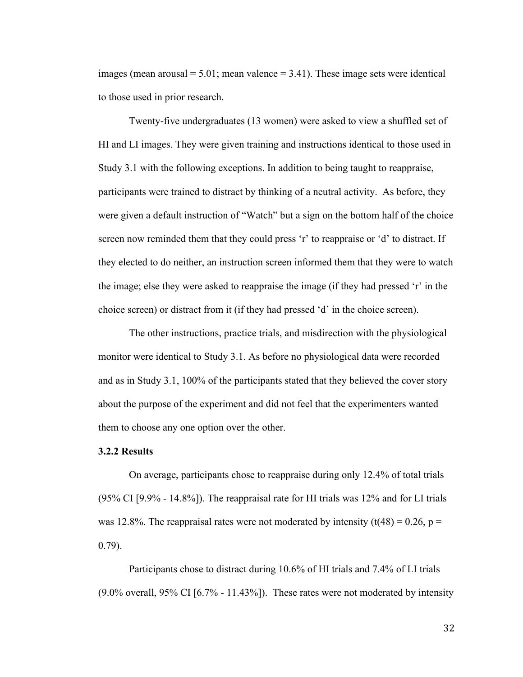images (mean arousal  $= 5.01$ ; mean valence  $= 3.41$ ). These image sets were identical to those used in prior research.

Twenty-five undergraduates (13 women) were asked to view a shuffled set of HI and LI images. They were given training and instructions identical to those used in Study 3.1 with the following exceptions. In addition to being taught to reappraise, participants were trained to distract by thinking of a neutral activity. As before, they were given a default instruction of "Watch" but a sign on the bottom half of the choice screen now reminded them that they could press 'r' to reappraise or 'd' to distract. If they elected to do neither, an instruction screen informed them that they were to watch the image; else they were asked to reappraise the image (if they had pressed 'r' in the choice screen) or distract from it (if they had pressed 'd' in the choice screen).

The other instructions, practice trials, and misdirection with the physiological monitor were identical to Study 3.1. As before no physiological data were recorded and as in Study 3.1, 100% of the participants stated that they believed the cover story about the purpose of the experiment and did not feel that the experimenters wanted them to choose any one option over the other.

### **3.2.2 Results**

On average, participants chose to reappraise during only 12.4% of total trials (95% CI [9.9% - 14.8%]). The reappraisal rate for HI trials was 12% and for LI trials was 12.8%. The reappraisal rates were not moderated by intensity  $(t(48) = 0.26, p =$ 0.79).

Participants chose to distract during 10.6% of HI trials and 7.4% of LI trials  $(9.0\%$  overall, 95% CI [6.7% - 11.43%]). These rates were not moderated by intensity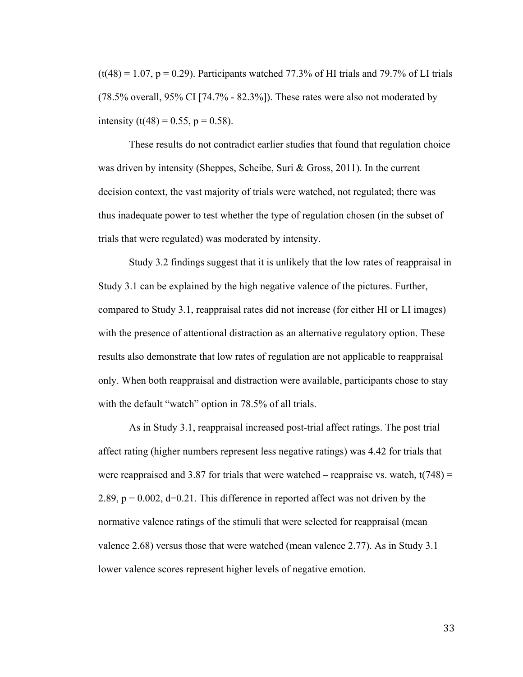$(t(48) = 1.07, p = 0.29)$ . Participants watched 77.3% of HI trials and 79.7% of LI trials (78.5% overall, 95% CI [74.7% - 82.3%]). These rates were also not moderated by intensity (t(48) = 0.55, p = 0.58).

These results do not contradict earlier studies that found that regulation choice was driven by intensity (Sheppes, Scheibe, Suri & Gross, 2011). In the current decision context, the vast majority of trials were watched, not regulated; there was thus inadequate power to test whether the type of regulation chosen (in the subset of trials that were regulated) was moderated by intensity.

Study 3.2 findings suggest that it is unlikely that the low rates of reappraisal in Study 3.1 can be explained by the high negative valence of the pictures. Further, compared to Study 3.1, reappraisal rates did not increase (for either HI or LI images) with the presence of attentional distraction as an alternative regulatory option. These results also demonstrate that low rates of regulation are not applicable to reappraisal only. When both reappraisal and distraction were available, participants chose to stay with the default "watch" option in 78.5% of all trials.

As in Study 3.1, reappraisal increased post-trial affect ratings. The post trial affect rating (higher numbers represent less negative ratings) was 4.42 for trials that were reappraised and 3.87 for trials that were watched – reappraise vs. watch,  $t(748)$  = 2.89,  $p = 0.002$ ,  $d=0.21$ . This difference in reported affect was not driven by the normative valence ratings of the stimuli that were selected for reappraisal (mean valence 2.68) versus those that were watched (mean valence 2.77). As in Study 3.1 lower valence scores represent higher levels of negative emotion.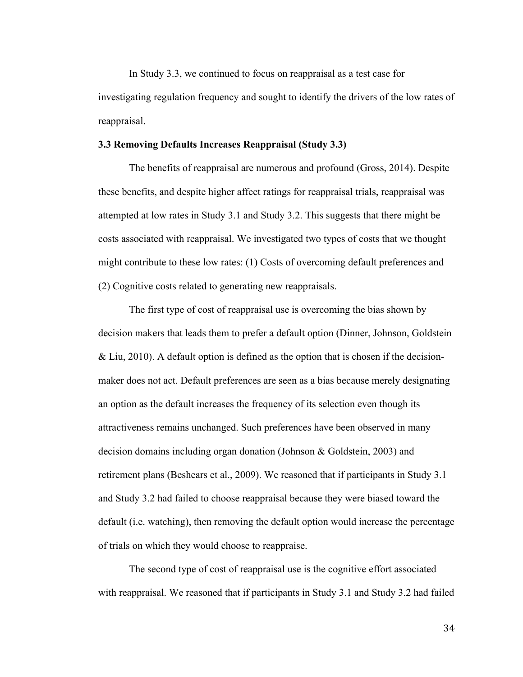In Study 3.3, we continued to focus on reappraisal as a test case for investigating regulation frequency and sought to identify the drivers of the low rates of reappraisal.

### **3.3 Removing Defaults Increases Reappraisal (Study 3.3)**

The benefits of reappraisal are numerous and profound (Gross, 2014). Despite these benefits, and despite higher affect ratings for reappraisal trials, reappraisal was attempted at low rates in Study 3.1 and Study 3.2. This suggests that there might be costs associated with reappraisal. We investigated two types of costs that we thought might contribute to these low rates: (1) Costs of overcoming default preferences and (2) Cognitive costs related to generating new reappraisals.

The first type of cost of reappraisal use is overcoming the bias shown by decision makers that leads them to prefer a default option (Dinner, Johnson, Goldstein & Liu, 2010). A default option is defined as the option that is chosen if the decisionmaker does not act. Default preferences are seen as a bias because merely designating an option as the default increases the frequency of its selection even though its attractiveness remains unchanged. Such preferences have been observed in many decision domains including organ donation (Johnson & Goldstein, 2003) and retirement plans (Beshears et al., 2009). We reasoned that if participants in Study 3.1 and Study 3.2 had failed to choose reappraisal because they were biased toward the default (i.e. watching), then removing the default option would increase the percentage of trials on which they would choose to reappraise.

The second type of cost of reappraisal use is the cognitive effort associated with reappraisal. We reasoned that if participants in Study 3.1 and Study 3.2 had failed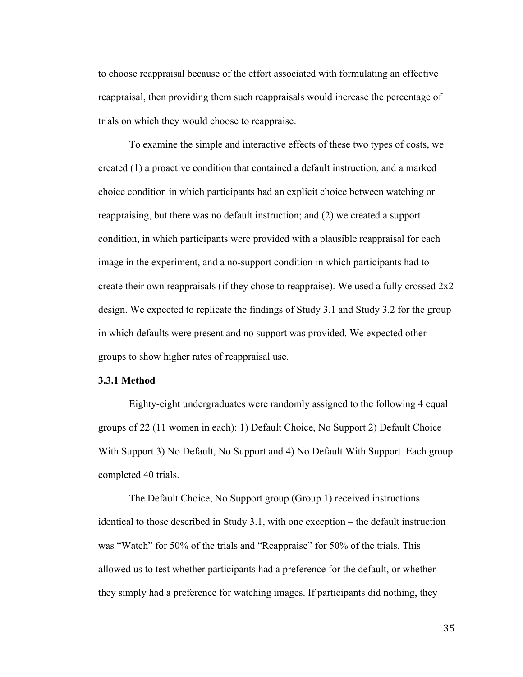to choose reappraisal because of the effort associated with formulating an effective reappraisal, then providing them such reappraisals would increase the percentage of trials on which they would choose to reappraise.

To examine the simple and interactive effects of these two types of costs, we created (1) a proactive condition that contained a default instruction, and a marked choice condition in which participants had an explicit choice between watching or reappraising, but there was no default instruction; and (2) we created a support condition, in which participants were provided with a plausible reappraisal for each image in the experiment, and a no-support condition in which participants had to create their own reappraisals (if they chose to reappraise). We used a fully crossed  $2x2$ design. We expected to replicate the findings of Study 3.1 and Study 3.2 for the group in which defaults were present and no support was provided. We expected other groups to show higher rates of reappraisal use.

### **3.3.1 Method**

Eighty-eight undergraduates were randomly assigned to the following 4 equal groups of 22 (11 women in each): 1) Default Choice, No Support 2) Default Choice With Support 3) No Default, No Support and 4) No Default With Support. Each group completed 40 trials.

The Default Choice, No Support group (Group 1) received instructions identical to those described in Study 3.1, with one exception – the default instruction was "Watch" for 50% of the trials and "Reappraise" for 50% of the trials. This allowed us to test whether participants had a preference for the default, or whether they simply had a preference for watching images. If participants did nothing, they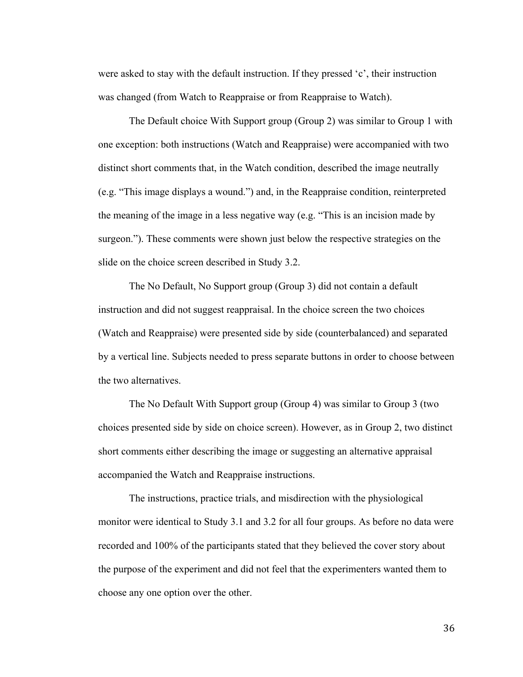were asked to stay with the default instruction. If they pressed 'c', their instruction was changed (from Watch to Reappraise or from Reappraise to Watch).

The Default choice With Support group (Group 2) was similar to Group 1 with one exception: both instructions (Watch and Reappraise) were accompanied with two distinct short comments that, in the Watch condition, described the image neutrally (e.g. "This image displays a wound.") and, in the Reappraise condition, reinterpreted the meaning of the image in a less negative way (e.g. "This is an incision made by surgeon."). These comments were shown just below the respective strategies on the slide on the choice screen described in Study 3.2.

The No Default, No Support group (Group 3) did not contain a default instruction and did not suggest reappraisal. In the choice screen the two choices (Watch and Reappraise) were presented side by side (counterbalanced) and separated by a vertical line. Subjects needed to press separate buttons in order to choose between the two alternatives.

The No Default With Support group (Group 4) was similar to Group 3 (two choices presented side by side on choice screen). However, as in Group 2, two distinct short comments either describing the image or suggesting an alternative appraisal accompanied the Watch and Reappraise instructions.

The instructions, practice trials, and misdirection with the physiological monitor were identical to Study 3.1 and 3.2 for all four groups. As before no data were recorded and 100% of the participants stated that they believed the cover story about the purpose of the experiment and did not feel that the experimenters wanted them to choose any one option over the other.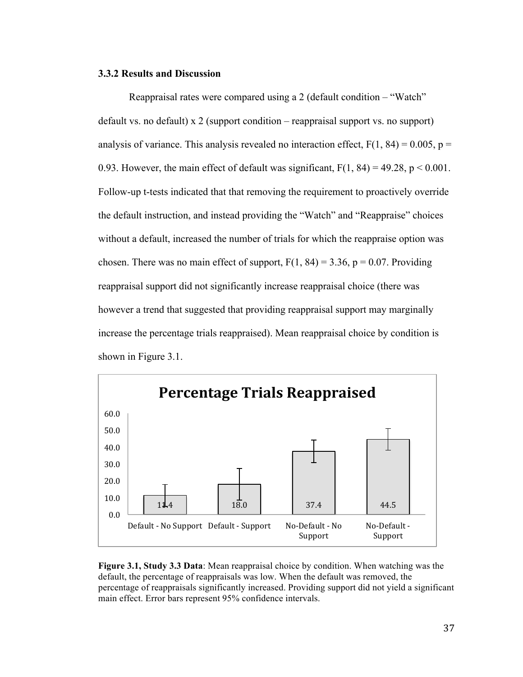### **3.3.2 Results and Discussion**

Reappraisal rates were compared using a 2 (default condition – "Watch" default vs. no default) x 2 (support condition – reappraisal support vs. no support) analysis of variance. This analysis revealed no interaction effect,  $F(1, 84) = 0.005$ ,  $p =$ 0.93. However, the main effect of default was significant,  $F(1, 84) = 49.28$ ,  $p < 0.001$ . Follow-up t-tests indicated that that removing the requirement to proactively override the default instruction, and instead providing the "Watch" and "Reappraise" choices without a default, increased the number of trials for which the reappraise option was chosen. There was no main effect of support,  $F(1, 84) = 3.36$ ,  $p = 0.07$ . Providing reappraisal support did not significantly increase reappraisal choice (there was however a trend that suggested that providing reappraisal support may marginally increase the percentage trials reappraised). Mean reappraisal choice by condition is shown in Figure 3.1.



**Figure 3.1, Study 3.3 Data**: Mean reappraisal choice by condition. When watching was the default, the percentage of reappraisals was low. When the default was removed, the percentage of reappraisals significantly increased. Providing support did not yield a significant main effect. Error bars represent 95% confidence intervals.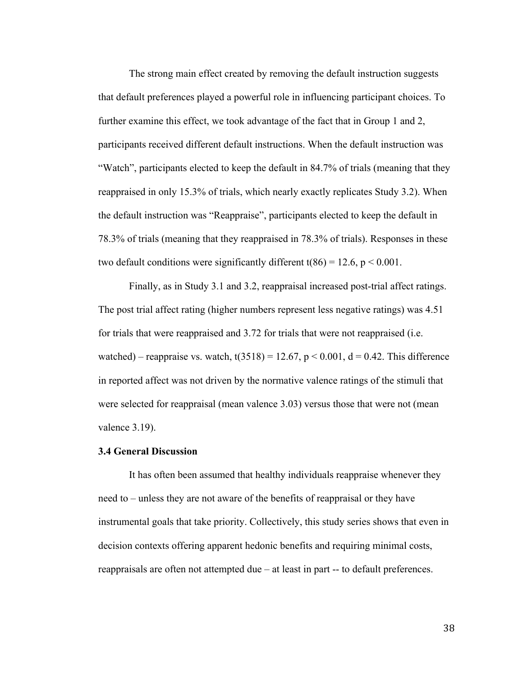The strong main effect created by removing the default instruction suggests that default preferences played a powerful role in influencing participant choices. To further examine this effect, we took advantage of the fact that in Group 1 and 2, participants received different default instructions. When the default instruction was "Watch", participants elected to keep the default in 84.7% of trials (meaning that they reappraised in only 15.3% of trials, which nearly exactly replicates Study 3.2). When the default instruction was "Reappraise", participants elected to keep the default in 78.3% of trials (meaning that they reappraised in 78.3% of trials). Responses in these two default conditions were significantly different t(86) = 12.6,  $p < 0.001$ .

Finally, as in Study 3.1 and 3.2, reappraisal increased post-trial affect ratings. The post trial affect rating (higher numbers represent less negative ratings) was 4.51 for trials that were reappraised and 3.72 for trials that were not reappraised (i.e. watched) – reappraise vs. watch,  $t(3518) = 12.67$ ,  $p < 0.001$ ,  $d = 0.42$ . This difference in reported affect was not driven by the normative valence ratings of the stimuli that were selected for reappraisal (mean valence 3.03) versus those that were not (mean valence 3.19).

### **3.4 General Discussion**

It has often been assumed that healthy individuals reappraise whenever they need to – unless they are not aware of the benefits of reappraisal or they have instrumental goals that take priority. Collectively, this study series shows that even in decision contexts offering apparent hedonic benefits and requiring minimal costs, reappraisals are often not attempted due – at least in part -- to default preferences.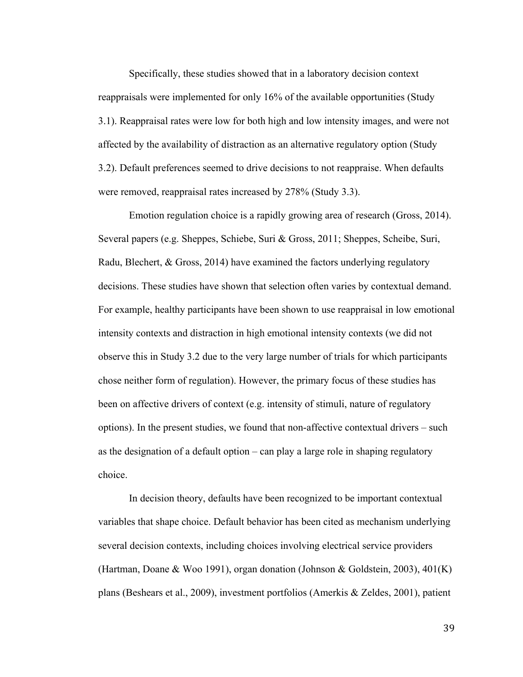Specifically, these studies showed that in a laboratory decision context reappraisals were implemented for only 16% of the available opportunities (Study 3.1). Reappraisal rates were low for both high and low intensity images, and were not affected by the availability of distraction as an alternative regulatory option (Study 3.2). Default preferences seemed to drive decisions to not reappraise. When defaults were removed, reappraisal rates increased by 278% (Study 3.3).

Emotion regulation choice is a rapidly growing area of research (Gross, 2014). Several papers (e.g. Sheppes, Schiebe, Suri & Gross, 2011; Sheppes, Scheibe, Suri, Radu, Blechert, & Gross, 2014) have examined the factors underlying regulatory decisions. These studies have shown that selection often varies by contextual demand. For example, healthy participants have been shown to use reappraisal in low emotional intensity contexts and distraction in high emotional intensity contexts (we did not observe this in Study 3.2 due to the very large number of trials for which participants chose neither form of regulation). However, the primary focus of these studies has been on affective drivers of context (e.g. intensity of stimuli, nature of regulatory options). In the present studies, we found that non-affective contextual drivers – such as the designation of a default option – can play a large role in shaping regulatory choice.

In decision theory, defaults have been recognized to be important contextual variables that shape choice. Default behavior has been cited as mechanism underlying several decision contexts, including choices involving electrical service providers (Hartman, Doane & Woo 1991), organ donation (Johnson & Goldstein, 2003), 401(K) plans (Beshears et al., 2009), investment portfolios (Amerkis & Zeldes, 2001), patient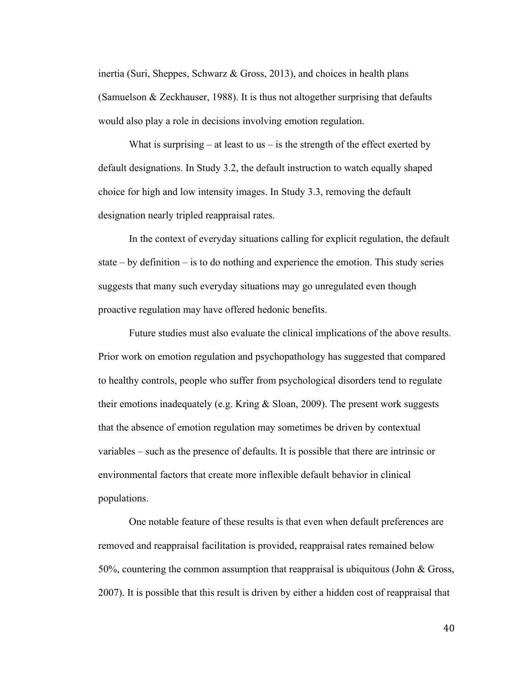inertia (Suri, Sheppes, Schwarz & Gross, 2013), and choices in health plans (Samuelson & Zeckhauser, 1988). It is thus not altogether surprising that defaults would also play a role in decisions involving emotion regulation.

What is surprising  $-$  at least to us  $-$  is the strength of the effect exerted by default designations. In Study 3.2, the default instruction to watch equally shaped choice for high and low intensity images. In Study 3.3, removing the default designation nearly tripled reappraisal rates.

In the context of everyday situations calling for explicit regulation, the default state – by definition – is to do nothing and experience the emotion. This study series suggests that many such everyday situations may go unregulated even though proactive regulation may have offered hedonic benefits.

Future studies must also evaluate the clinical implications of the above results. Prior work on emotion regulation and psychopathology has suggested that compared to healthy controls, people who suffer from psychological disorders tend to regulate their emotions inadequately (e.g. Kring & Sloan, 2009). The present work suggests that the absence of emotion regulation may sometimes be driven by contextual variables – such as the presence of defaults. It is possible that there are intrinsic or environmental factors that create more inflexible default behavior in clinical populations.

One notable feature of these results is that even when default preferences are removed and reappraisal facilitation is provided, reappraisal rates remained below 50%, countering the common assumption that reappraisal is ubiquitous (John & Gross, 2007). It is possible that this result is driven by either a hidden cost of reappraisal that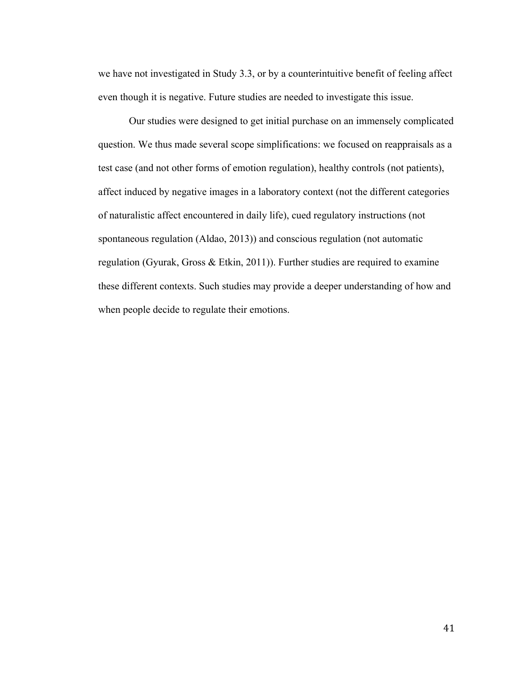we have not investigated in Study 3.3, or by a counterintuitive benefit of feeling affect even though it is negative. Future studies are needed to investigate this issue.

Our studies were designed to get initial purchase on an immensely complicated question. We thus made several scope simplifications: we focused on reappraisals as a test case (and not other forms of emotion regulation), healthy controls (not patients), affect induced by negative images in a laboratory context (not the different categories of naturalistic affect encountered in daily life), cued regulatory instructions (not spontaneous regulation (Aldao, 2013)) and conscious regulation (not automatic regulation (Gyurak, Gross & Etkin, 2011)). Further studies are required to examine these different contexts. Such studies may provide a deeper understanding of how and when people decide to regulate their emotions.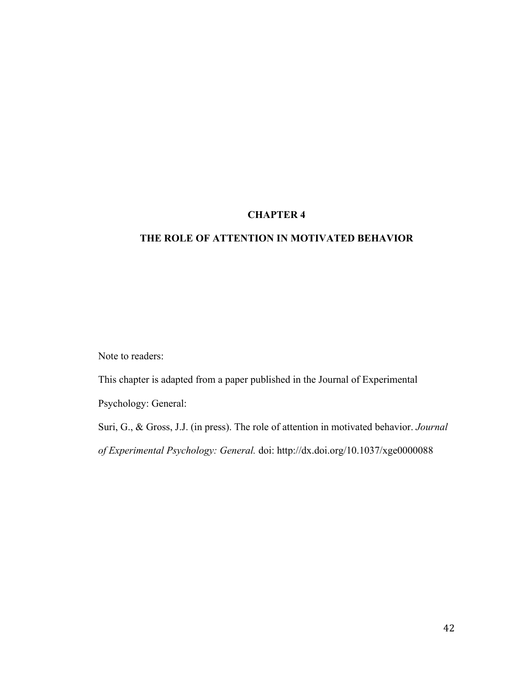# **CHAPTER 4**

# **THE ROLE OF ATTENTION IN MOTIVATED BEHAVIOR**

Note to readers:

This chapter is adapted from a paper published in the Journal of Experimental Psychology: General:

Suri, G., & Gross, J.J. (in press). The role of attention in motivated behavior. *Journal of Experimental Psychology: General.* doi: http://dx.doi.org/10.1037/xge0000088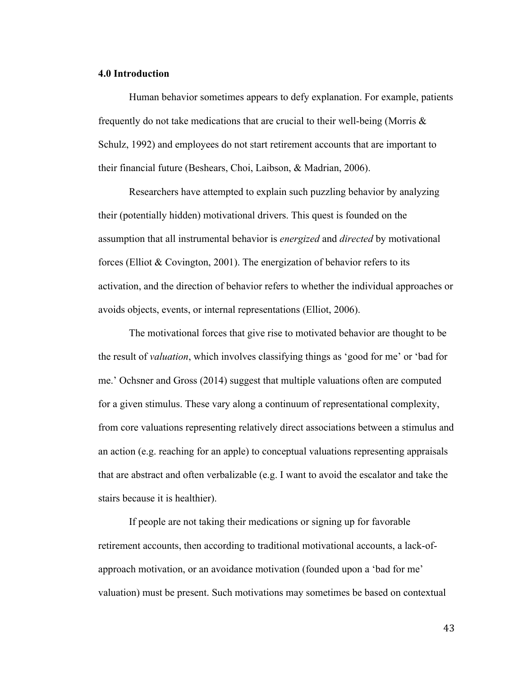### **4.0 Introduction**

Human behavior sometimes appears to defy explanation. For example, patients frequently do not take medications that are crucial to their well-being (Morris & Schulz, 1992) and employees do not start retirement accounts that are important to their financial future (Beshears, Choi, Laibson, & Madrian, 2006).

Researchers have attempted to explain such puzzling behavior by analyzing their (potentially hidden) motivational drivers. This quest is founded on the assumption that all instrumental behavior is *energized* and *directed* by motivational forces (Elliot  $& \text{Covington}, 2001$ ). The energization of behavior refers to its activation, and the direction of behavior refers to whether the individual approaches or avoids objects, events, or internal representations (Elliot, 2006).

The motivational forces that give rise to motivated behavior are thought to be the result of *valuation*, which involves classifying things as 'good for me' or 'bad for me.' Ochsner and Gross (2014) suggest that multiple valuations often are computed for a given stimulus. These vary along a continuum of representational complexity, from core valuations representing relatively direct associations between a stimulus and an action (e.g. reaching for an apple) to conceptual valuations representing appraisals that are abstract and often verbalizable (e.g. I want to avoid the escalator and take the stairs because it is healthier).

If people are not taking their medications or signing up for favorable retirement accounts, then according to traditional motivational accounts, a lack-ofapproach motivation, or an avoidance motivation (founded upon a 'bad for me' valuation) must be present. Such motivations may sometimes be based on contextual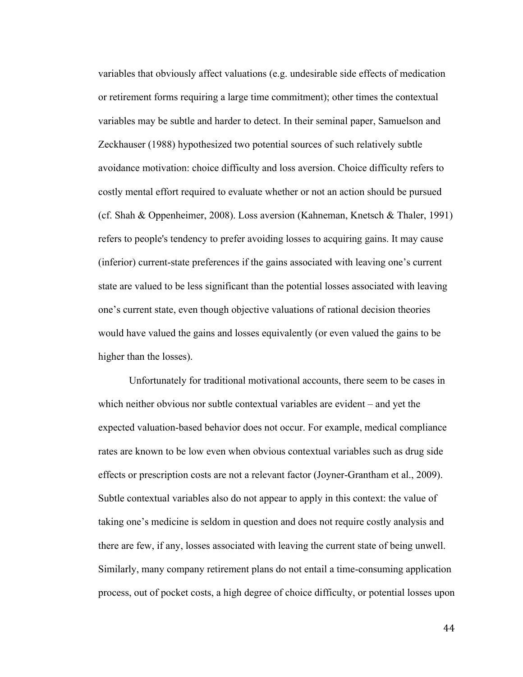variables that obviously affect valuations (e.g. undesirable side effects of medication or retirement forms requiring a large time commitment); other times the contextual variables may be subtle and harder to detect. In their seminal paper, Samuelson and Zeckhauser (1988) hypothesized two potential sources of such relatively subtle avoidance motivation: choice difficulty and loss aversion. Choice difficulty refers to costly mental effort required to evaluate whether or not an action should be pursued (cf. Shah & Oppenheimer, 2008). Loss aversion (Kahneman, Knetsch & Thaler, 1991) refers to people's tendency to prefer avoiding losses to acquiring gains. It may cause (inferior) current-state preferences if the gains associated with leaving one's current state are valued to be less significant than the potential losses associated with leaving one's current state, even though objective valuations of rational decision theories would have valued the gains and losses equivalently (or even valued the gains to be higher than the losses).

Unfortunately for traditional motivational accounts, there seem to be cases in which neither obvious nor subtle contextual variables are evident – and yet the expected valuation-based behavior does not occur. For example, medical compliance rates are known to be low even when obvious contextual variables such as drug side effects or prescription costs are not a relevant factor (Joyner-Grantham et al., 2009). Subtle contextual variables also do not appear to apply in this context: the value of taking one's medicine is seldom in question and does not require costly analysis and there are few, if any, losses associated with leaving the current state of being unwell. Similarly, many company retirement plans do not entail a time-consuming application process, out of pocket costs, a high degree of choice difficulty, or potential losses upon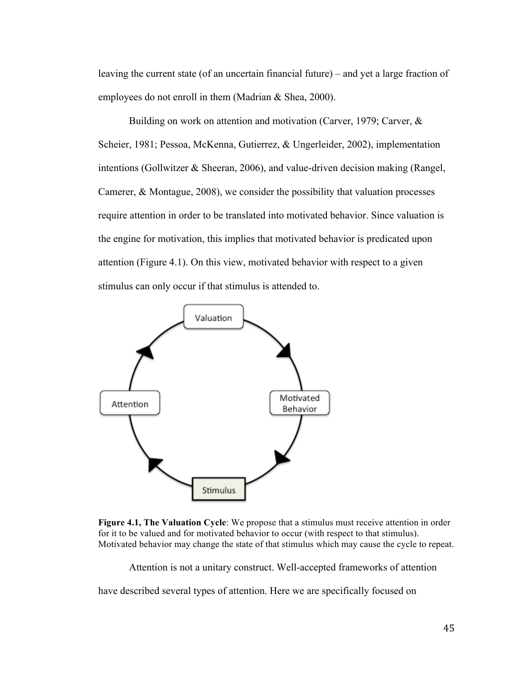leaving the current state (of an uncertain financial future) – and yet a large fraction of employees do not enroll in them (Madrian & Shea, 2000).

Building on work on attention and motivation (Carver, 1979; Carver, & Scheier, 1981; Pessoa, McKenna, Gutierrez, & Ungerleider, 2002), implementation intentions (Gollwitzer & Sheeran, 2006), and value-driven decision making (Rangel, Camerer, & Montague, 2008), we consider the possibility that valuation processes require attention in order to be translated into motivated behavior. Since valuation is the engine for motivation, this implies that motivated behavior is predicated upon attention (Figure 4.1). On this view, motivated behavior with respect to a given stimulus can only occur if that stimulus is attended to.



**Figure 4.1, The Valuation Cycle**: We propose that a stimulus must receive attention in order for it to be valued and for motivated behavior to occur (with respect to that stimulus). Motivated behavior may change the state of that stimulus which may cause the cycle to repeat.

Attention is not a unitary construct. Well-accepted frameworks of attention

have described several types of attention. Here we are specifically focused on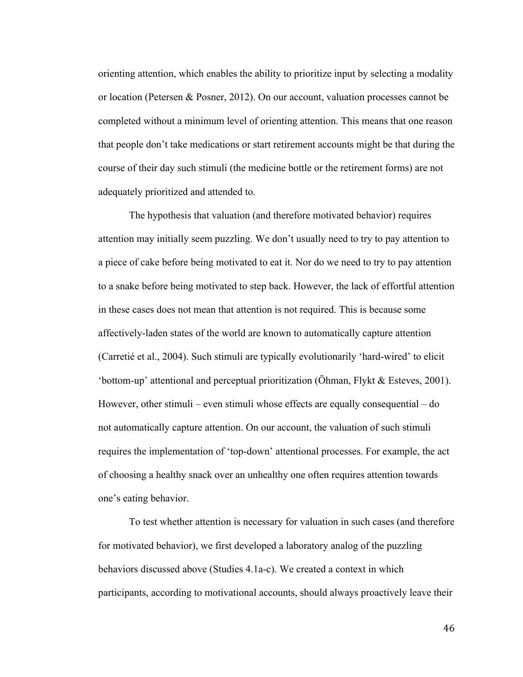orienting attention, which enables the ability to prioritize input by selecting a modality or location (Petersen & Posner, 2012). On our account, valuation processes cannot be completed without a minimum level of orienting attention. This means that one reason that people don't take medications or start retirement accounts might be that during the course of their day such stimuli (the medicine bottle or the retirement forms) are not adequately prioritized and attended to.

The hypothesis that valuation (and therefore motivated behavior) requires attention may initially seem puzzling. We don't usually need to try to pay attention to a piece of cake before being motivated to eat it. Nor do we need to try to pay attention to a snake before being motivated to step back. However, the lack of effortful attention in these cases does not mean that attention is not required. This is because some affectively-laden states of the world are known to automatically capture attention (Carretié et al., 2004). Such stimuli are typically evolutionarily 'hard-wired' to elicit 'bottom-up' attentional and perceptual prioritization (Öhman, Flykt & Esteves, 2001). However, other stimuli – even stimuli whose effects are equally consequential – do not automatically capture attention. On our account, the valuation of such stimuli requires the implementation of 'top-down' attentional processes. For example, the act of choosing a healthy snack over an unhealthy one often requires attention towards one's eating behavior.

To test whether attention is necessary for valuation in such cases (and therefore for motivated behavior), we first developed a laboratory analog of the puzzling behaviors discussed above (Studies 4.1a-c). We created a context in which participants, according to motivational accounts, should always proactively leave their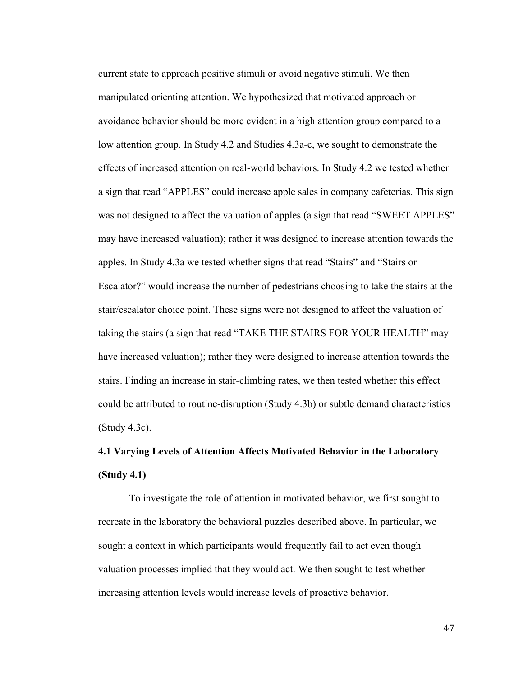current state to approach positive stimuli or avoid negative stimuli. We then manipulated orienting attention. We hypothesized that motivated approach or avoidance behavior should be more evident in a high attention group compared to a low attention group. In Study 4.2 and Studies 4.3a-c, we sought to demonstrate the effects of increased attention on real-world behaviors. In Study 4.2 we tested whether a sign that read "APPLES" could increase apple sales in company cafeterias. This sign was not designed to affect the valuation of apples (a sign that read "SWEET APPLES" may have increased valuation); rather it was designed to increase attention towards the apples. In Study 4.3a we tested whether signs that read "Stairs" and "Stairs or Escalator?" would increase the number of pedestrians choosing to take the stairs at the stair/escalator choice point. These signs were not designed to affect the valuation of taking the stairs (a sign that read "TAKE THE STAIRS FOR YOUR HEALTH" may have increased valuation); rather they were designed to increase attention towards the stairs. Finding an increase in stair-climbing rates, we then tested whether this effect could be attributed to routine-disruption (Study 4.3b) or subtle demand characteristics (Study 4.3c).

# **4.1 Varying Levels of Attention Affects Motivated Behavior in the Laboratory (Study 4.1)**

To investigate the role of attention in motivated behavior, we first sought to recreate in the laboratory the behavioral puzzles described above. In particular, we sought a context in which participants would frequently fail to act even though valuation processes implied that they would act. We then sought to test whether increasing attention levels would increase levels of proactive behavior.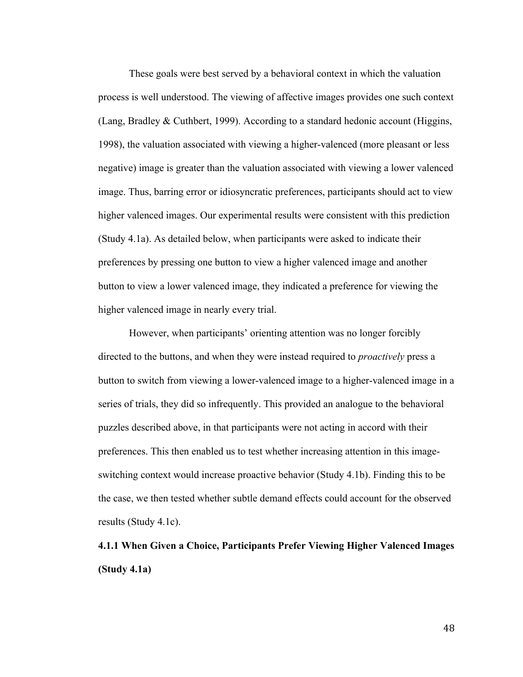These goals were best served by a behavioral context in which the valuation process is well understood. The viewing of affective images provides one such context (Lang, Bradley & Cuthbert, 1999). According to a standard hedonic account (Higgins, 1998), the valuation associated with viewing a higher-valenced (more pleasant or less negative) image is greater than the valuation associated with viewing a lower valenced image. Thus, barring error or idiosyncratic preferences, participants should act to view higher valenced images. Our experimental results were consistent with this prediction (Study 4.1a). As detailed below, when participants were asked to indicate their preferences by pressing one button to view a higher valenced image and another button to view a lower valenced image, they indicated a preference for viewing the higher valenced image in nearly every trial.

However, when participants' orienting attention was no longer forcibly directed to the buttons, and when they were instead required to *proactively* press a button to switch from viewing a lower-valenced image to a higher-valenced image in a series of trials, they did so infrequently. This provided an analogue to the behavioral puzzles described above, in that participants were not acting in accord with their preferences. This then enabled us to test whether increasing attention in this imageswitching context would increase proactive behavior (Study 4.1b). Finding this to be the case, we then tested whether subtle demand effects could account for the observed results (Study 4.1c).

# **4.1.1 When Given a Choice, Participants Prefer Viewing Higher Valenced Images (Study 4.1a)**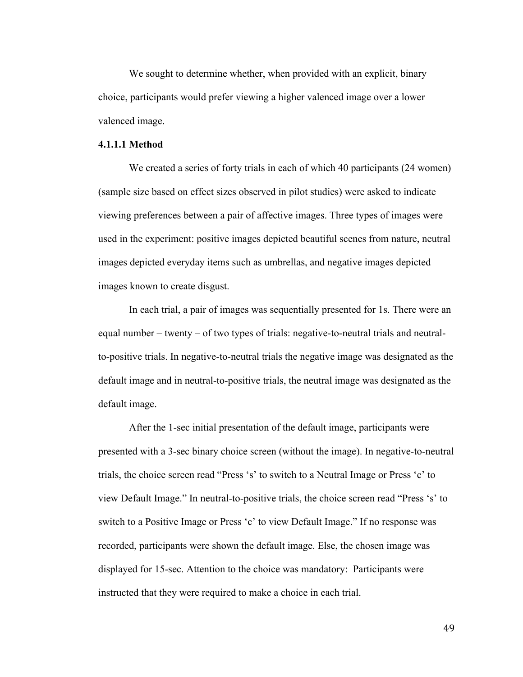We sought to determine whether, when provided with an explicit, binary choice, participants would prefer viewing a higher valenced image over a lower valenced image.

### **4.1.1.1 Method**

We created a series of forty trials in each of which 40 participants (24 women) (sample size based on effect sizes observed in pilot studies) were asked to indicate viewing preferences between a pair of affective images. Three types of images were used in the experiment: positive images depicted beautiful scenes from nature, neutral images depicted everyday items such as umbrellas, and negative images depicted images known to create disgust.

In each trial, a pair of images was sequentially presented for 1s. There were an equal number – twenty – of two types of trials: negative-to-neutral trials and neutralto-positive trials. In negative-to-neutral trials the negative image was designated as the default image and in neutral-to-positive trials, the neutral image was designated as the default image.

After the 1-sec initial presentation of the default image, participants were presented with a 3-sec binary choice screen (without the image). In negative-to-neutral trials, the choice screen read "Press 's' to switch to a Neutral Image or Press 'c' to view Default Image." In neutral-to-positive trials, the choice screen read "Press 's' to switch to a Positive Image or Press 'c' to view Default Image." If no response was recorded, participants were shown the default image. Else, the chosen image was displayed for 15-sec. Attention to the choice was mandatory: Participants were instructed that they were required to make a choice in each trial.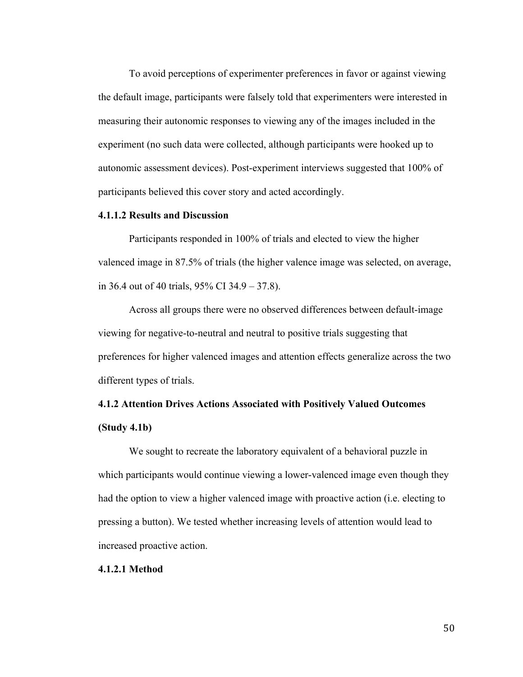To avoid perceptions of experimenter preferences in favor or against viewing the default image, participants were falsely told that experimenters were interested in measuring their autonomic responses to viewing any of the images included in the experiment (no such data were collected, although participants were hooked up to autonomic assessment devices). Post-experiment interviews suggested that 100% of participants believed this cover story and acted accordingly.

### **4.1.1.2 Results and Discussion**

Participants responded in 100% of trials and elected to view the higher valenced image in 87.5% of trials (the higher valence image was selected, on average, in 36.4 out of 40 trials, 95% CI 34.9 – 37.8).

Across all groups there were no observed differences between default-image viewing for negative-to-neutral and neutral to positive trials suggesting that preferences for higher valenced images and attention effects generalize across the two different types of trials.

# **4.1.2 Attention Drives Actions Associated with Positively Valued Outcomes (Study 4.1b)**

We sought to recreate the laboratory equivalent of a behavioral puzzle in which participants would continue viewing a lower-valenced image even though they had the option to view a higher valenced image with proactive action (i.e. electing to pressing a button). We tested whether increasing levels of attention would lead to increased proactive action.

### **4.1.2.1 Method**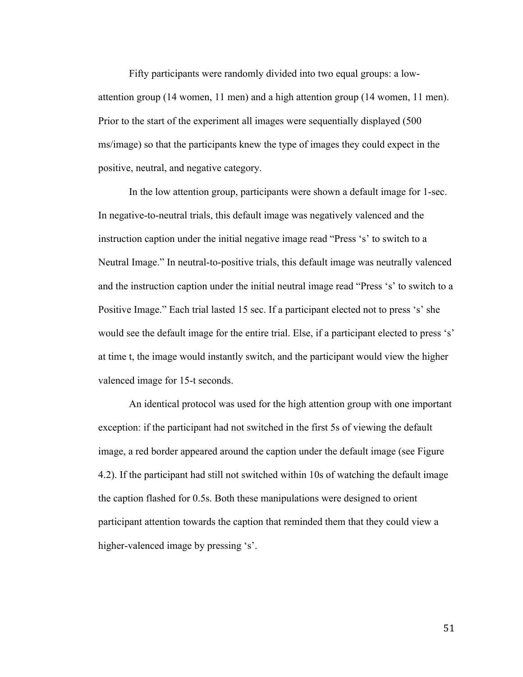Fifty participants were randomly divided into two equal groups: a lowattention group (14 women, 11 men) and a high attention group (14 women, 11 men). Prior to the start of the experiment all images were sequentially displayed (500 ms/image) so that the participants knew the type of images they could expect in the positive, neutral, and negative category.

In the low attention group, participants were shown a default image for 1-sec. In negative-to-neutral trials, this default image was negatively valenced and the instruction caption under the initial negative image read "Press 's' to switch to a Neutral Image." In neutral-to-positive trials, this default image was neutrally valenced and the instruction caption under the initial neutral image read "Press 's' to switch to a Positive Image." Each trial lasted 15 sec. If a participant elected not to press 's' she would see the default image for the entire trial. Else, if a participant elected to press 's' at time t, the image would instantly switch, and the participant would view the higher valenced image for 15-t seconds.

An identical protocol was used for the high attention group with one important exception: if the participant had not switched in the first 5s of viewing the default image, a red border appeared around the caption under the default image (see Figure 4.2). If the participant had still not switched within 10s of watching the default image the caption flashed for 0.5s. Both these manipulations were designed to orient participant attention towards the caption that reminded them that they could view a higher-valenced image by pressing 's'.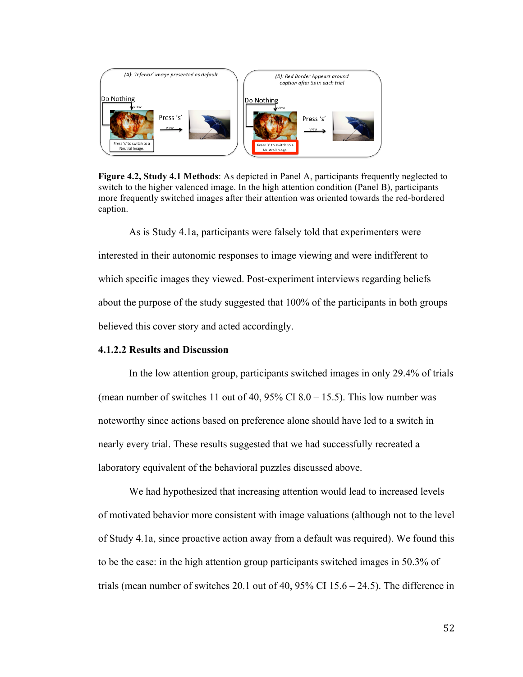

**Figure 4.2, Study 4.1 Methods**: As depicted in Panel A, participants frequently neglected to switch to the higher valenced image. In the high attention condition (Panel B), participants more frequently switched images after their attention was oriented towards the red-bordered caption.

As is Study 4.1a, participants were falsely told that experimenters were interested in their autonomic responses to image viewing and were indifferent to which specific images they viewed. Post-experiment interviews regarding beliefs about the purpose of the study suggested that 100% of the participants in both groups believed this cover story and acted accordingly.

### **4.1.2.2 Results and Discussion**

In the low attention group, participants switched images in only 29.4% of trials (mean number of switches 11 out of 40,  $95\%$  CI 8.0 – 15.5). This low number was noteworthy since actions based on preference alone should have led to a switch in nearly every trial. These results suggested that we had successfully recreated a laboratory equivalent of the behavioral puzzles discussed above.

We had hypothesized that increasing attention would lead to increased levels of motivated behavior more consistent with image valuations (although not to the level of Study 4.1a, since proactive action away from a default was required). We found this to be the case: in the high attention group participants switched images in 50.3% of trials (mean number of switches 20.1 out of 40, 95% CI 15.6 – 24.5). The difference in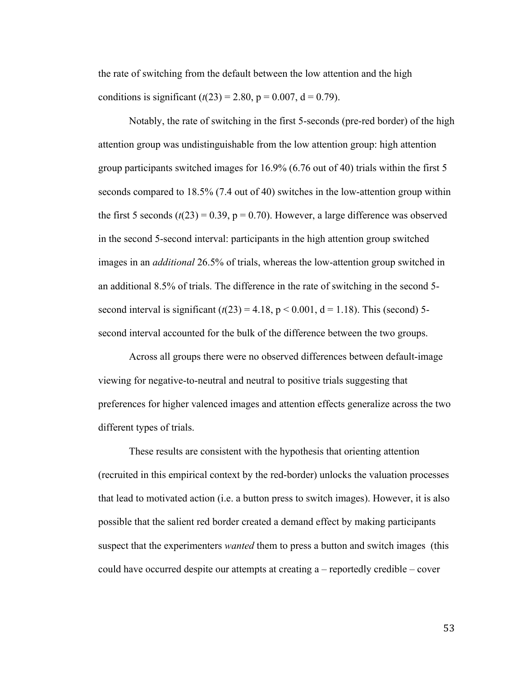the rate of switching from the default between the low attention and the high conditions is significant  $(t(23) = 2.80, p = 0.007, d = 0.79)$ .

Notably, the rate of switching in the first 5-seconds (pre-red border) of the high attention group was undistinguishable from the low attention group: high attention group participants switched images for 16.9% (6.76 out of 40) trials within the first 5 seconds compared to 18.5% (7.4 out of 40) switches in the low-attention group within the first 5 seconds  $(t(23) = 0.39, p = 0.70)$ . However, a large difference was observed in the second 5-second interval: participants in the high attention group switched images in an *additional* 26.5% of trials, whereas the low-attention group switched in an additional 8.5% of trials. The difference in the rate of switching in the second 5 second interval is significant  $(t(23) = 4.18, p < 0.001, d = 1.18)$ . This (second) 5second interval accounted for the bulk of the difference between the two groups.

Across all groups there were no observed differences between default-image viewing for negative-to-neutral and neutral to positive trials suggesting that preferences for higher valenced images and attention effects generalize across the two different types of trials.

These results are consistent with the hypothesis that orienting attention (recruited in this empirical context by the red-border) unlocks the valuation processes that lead to motivated action (i.e. a button press to switch images). However, it is also possible that the salient red border created a demand effect by making participants suspect that the experimenters *wanted* them to press a button and switch images (this could have occurred despite our attempts at creating a – reportedly credible – cover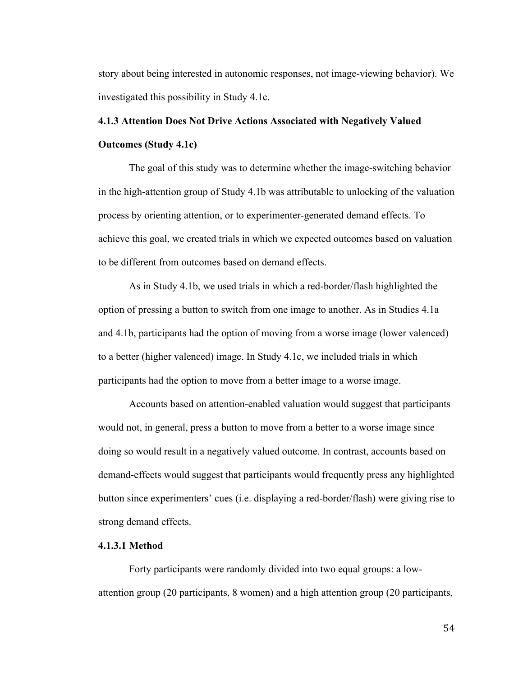story about being interested in autonomic responses, not image-viewing behavior). We investigated this possibility in Study 4.1c.

# **4.1.3 Attention Does Not Drive Actions Associated with Negatively Valued Outcomes (Study 4.1c)**

The goal of this study was to determine whether the image-switching behavior in the high-attention group of Study 4.1b was attributable to unlocking of the valuation process by orienting attention, or to experimenter-generated demand effects. To achieve this goal, we created trials in which we expected outcomes based on valuation to be different from outcomes based on demand effects.

As in Study 4.1b, we used trials in which a red-border/flash highlighted the option of pressing a button to switch from one image to another. As in Studies 4.1a and 4.1b, participants had the option of moving from a worse image (lower valenced) to a better (higher valenced) image. In Study 4.1c, we included trials in which participants had the option to move from a better image to a worse image.

Accounts based on attention-enabled valuation would suggest that participants would not, in general, press a button to move from a better to a worse image since doing so would result in a negatively valued outcome. In contrast, accounts based on demand-effects would suggest that participants would frequently press any highlighted button since experimenters' cues (i.e. displaying a red-border/flash) were giving rise to strong demand effects.

# **4.1.3.1 Method**

Forty participants were randomly divided into two equal groups: a lowattention group (20 participants, 8 women) and a high attention group (20 participants,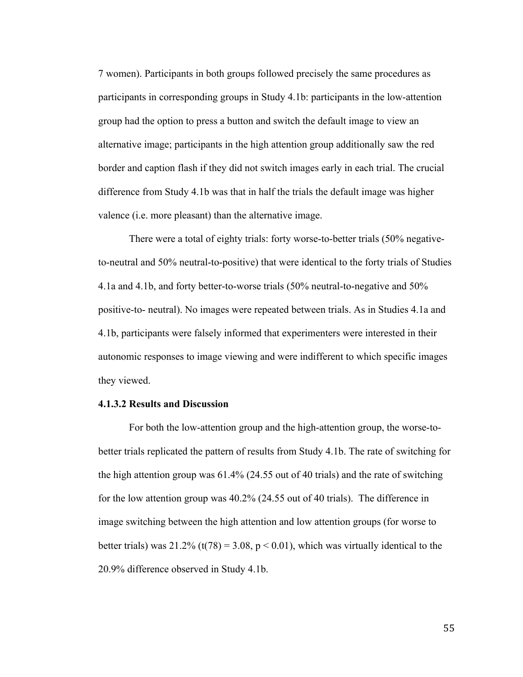7 women). Participants in both groups followed precisely the same procedures as participants in corresponding groups in Study 4.1b: participants in the low-attention group had the option to press a button and switch the default image to view an alternative image; participants in the high attention group additionally saw the red border and caption flash if they did not switch images early in each trial. The crucial difference from Study 4.1b was that in half the trials the default image was higher valence (i.e. more pleasant) than the alternative image.

There were a total of eighty trials: forty worse-to-better trials (50% negativeto-neutral and 50% neutral-to-positive) that were identical to the forty trials of Studies 4.1a and 4.1b, and forty better-to-worse trials (50% neutral-to-negative and 50% positive-to- neutral). No images were repeated between trials. As in Studies 4.1a and 4.1b, participants were falsely informed that experimenters were interested in their autonomic responses to image viewing and were indifferent to which specific images they viewed.

### **4.1.3.2 Results and Discussion**

For both the low-attention group and the high-attention group, the worse-tobetter trials replicated the pattern of results from Study 4.1b. The rate of switching for the high attention group was 61.4% (24.55 out of 40 trials) and the rate of switching for the low attention group was 40.2% (24.55 out of 40 trials). The difference in image switching between the high attention and low attention groups (for worse to better trials) was  $21.2\%$  (t(78) = 3.08, p < 0.01), which was virtually identical to the 20.9% difference observed in Study 4.1b.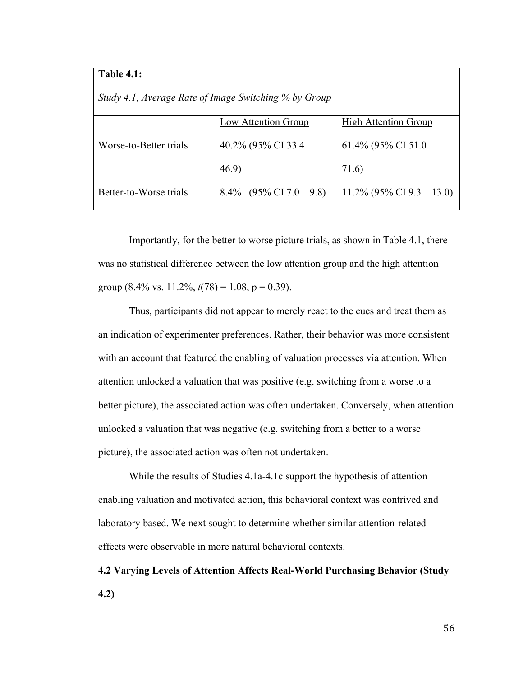## **Table 4.1:**

| Study 4.1, Average Rate of Image Switching % by Group |                            |                              |
|-------------------------------------------------------|----------------------------|------------------------------|
|                                                       | Low Attention Group        | <b>High Attention Group</b>  |
| Worse-to-Better trials                                | 40.2% (95% CI 33.4 –       | 61.4% (95% CI 51.0 –         |
|                                                       | 46.9                       | 71.6                         |
| Better-to-Worse trials                                | $8.4\%$ (95% CI 7.0 – 9.8) | $11.2\%$ (95% CI 9.3 – 13.0) |

Importantly, for the better to worse picture trials, as shown in Table 4.1, there was no statistical difference between the low attention group and the high attention group (8.4% vs. 11.2%,  $t(78) = 1.08$ ,  $p = 0.39$ ).

Thus, participants did not appear to merely react to the cues and treat them as an indication of experimenter preferences. Rather, their behavior was more consistent with an account that featured the enabling of valuation processes via attention. When attention unlocked a valuation that was positive (e.g. switching from a worse to a better picture), the associated action was often undertaken. Conversely, when attention unlocked a valuation that was negative (e.g. switching from a better to a worse picture), the associated action was often not undertaken.

While the results of Studies 4.1a-4.1c support the hypothesis of attention enabling valuation and motivated action, this behavioral context was contrived and laboratory based. We next sought to determine whether similar attention-related effects were observable in more natural behavioral contexts.

**4.2 Varying Levels of Attention Affects Real-World Purchasing Behavior (Study 4.2)**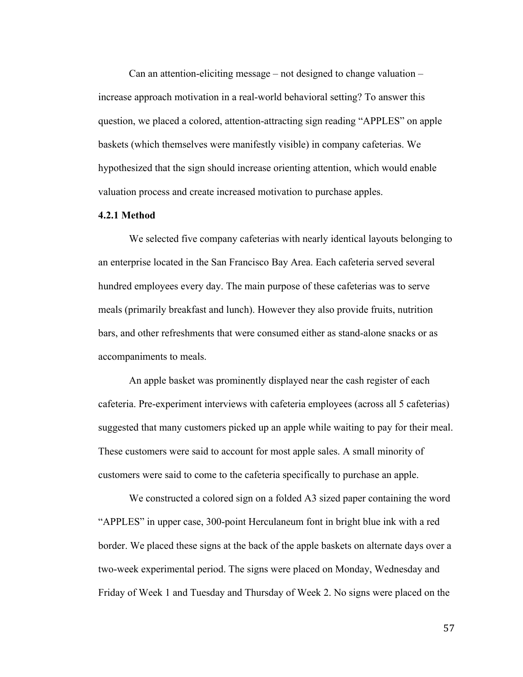Can an attention-eliciting message – not designed to change valuation – increase approach motivation in a real-world behavioral setting? To answer this question, we placed a colored, attention-attracting sign reading "APPLES" on apple baskets (which themselves were manifestly visible) in company cafeterias. We hypothesized that the sign should increase orienting attention, which would enable valuation process and create increased motivation to purchase apples.

### **4.2.1 Method**

We selected five company cafeterias with nearly identical layouts belonging to an enterprise located in the San Francisco Bay Area. Each cafeteria served several hundred employees every day. The main purpose of these cafeterias was to serve meals (primarily breakfast and lunch). However they also provide fruits, nutrition bars, and other refreshments that were consumed either as stand-alone snacks or as accompaniments to meals.

An apple basket was prominently displayed near the cash register of each cafeteria. Pre-experiment interviews with cafeteria employees (across all 5 cafeterias) suggested that many customers picked up an apple while waiting to pay for their meal. These customers were said to account for most apple sales. A small minority of customers were said to come to the cafeteria specifically to purchase an apple.

We constructed a colored sign on a folded A3 sized paper containing the word "APPLES" in upper case, 300-point Herculaneum font in bright blue ink with a red border. We placed these signs at the back of the apple baskets on alternate days over a two-week experimental period. The signs were placed on Monday, Wednesday and Friday of Week 1 and Tuesday and Thursday of Week 2. No signs were placed on the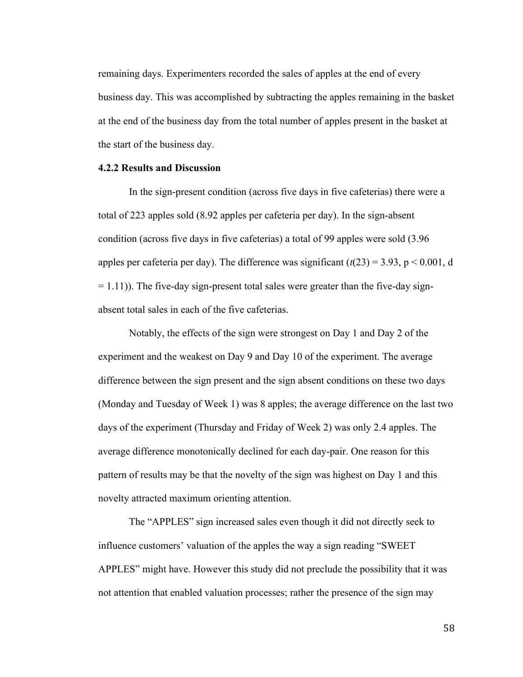remaining days. Experimenters recorded the sales of apples at the end of every business day. This was accomplished by subtracting the apples remaining in the basket at the end of the business day from the total number of apples present in the basket at the start of the business day.

### **4.2.2 Results and Discussion**

In the sign-present condition (across five days in five cafeterias) there were a total of 223 apples sold (8.92 apples per cafeteria per day). In the sign-absent condition (across five days in five cafeterias) a total of 99 apples were sold (3.96 apples per cafeteria per day). The difference was significant  $(t(23) = 3.93, p < 0.001, d$  $= 1.11$ )). The five-day sign-present total sales were greater than the five-day signabsent total sales in each of the five cafeterias.

Notably, the effects of the sign were strongest on Day 1 and Day 2 of the experiment and the weakest on Day 9 and Day 10 of the experiment. The average difference between the sign present and the sign absent conditions on these two days (Monday and Tuesday of Week 1) was 8 apples; the average difference on the last two days of the experiment (Thursday and Friday of Week 2) was only 2.4 apples. The average difference monotonically declined for each day-pair. One reason for this pattern of results may be that the novelty of the sign was highest on Day 1 and this novelty attracted maximum orienting attention.

The "APPLES" sign increased sales even though it did not directly seek to influence customers' valuation of the apples the way a sign reading "SWEET APPLES" might have. However this study did not preclude the possibility that it was not attention that enabled valuation processes; rather the presence of the sign may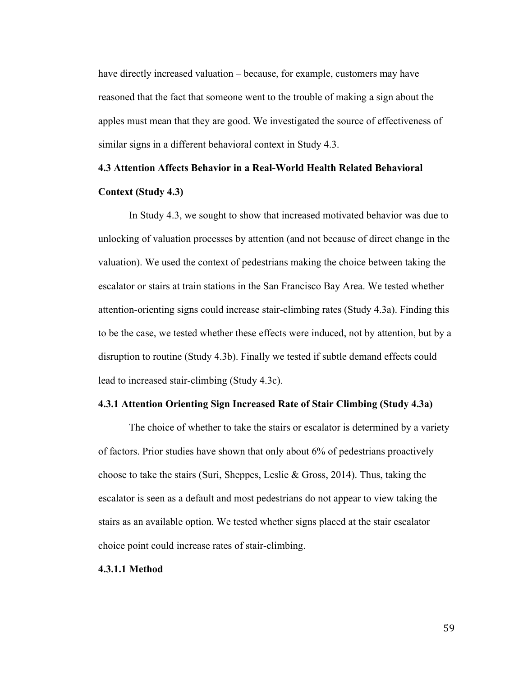have directly increased valuation – because, for example, customers may have reasoned that the fact that someone went to the trouble of making a sign about the apples must mean that they are good. We investigated the source of effectiveness of similar signs in a different behavioral context in Study 4.3.

### **4.3 Attention Affects Behavior in a Real-World Health Related Behavioral**

### **Context (Study 4.3)**

In Study 4.3, we sought to show that increased motivated behavior was due to unlocking of valuation processes by attention (and not because of direct change in the valuation). We used the context of pedestrians making the choice between taking the escalator or stairs at train stations in the San Francisco Bay Area. We tested whether attention-orienting signs could increase stair-climbing rates (Study 4.3a). Finding this to be the case, we tested whether these effects were induced, not by attention, but by a disruption to routine (Study 4.3b). Finally we tested if subtle demand effects could lead to increased stair-climbing (Study 4.3c).

### **4.3.1 Attention Orienting Sign Increased Rate of Stair Climbing (Study 4.3a)**

The choice of whether to take the stairs or escalator is determined by a variety of factors. Prior studies have shown that only about 6% of pedestrians proactively choose to take the stairs (Suri, Sheppes, Leslie & Gross, 2014). Thus, taking the escalator is seen as a default and most pedestrians do not appear to view taking the stairs as an available option. We tested whether signs placed at the stair escalator choice point could increase rates of stair-climbing.

### **4.3.1.1 Method**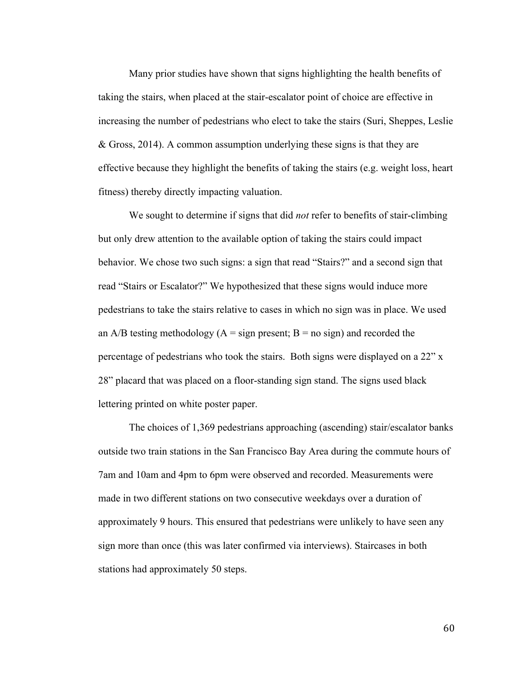Many prior studies have shown that signs highlighting the health benefits of taking the stairs, when placed at the stair-escalator point of choice are effective in increasing the number of pedestrians who elect to take the stairs (Suri, Sheppes, Leslie & Gross, 2014). A common assumption underlying these signs is that they are effective because they highlight the benefits of taking the stairs (e.g. weight loss, heart fitness) thereby directly impacting valuation.

We sought to determine if signs that did *not* refer to benefits of stair-climbing but only drew attention to the available option of taking the stairs could impact behavior. We chose two such signs: a sign that read "Stairs?" and a second sign that read "Stairs or Escalator?" We hypothesized that these signs would induce more pedestrians to take the stairs relative to cases in which no sign was in place. We used an A/B testing methodology ( $A = sign present$ ;  $B = no sign$ ) and recorded the percentage of pedestrians who took the stairs. Both signs were displayed on a 22" x 28" placard that was placed on a floor-standing sign stand. The signs used black lettering printed on white poster paper.

The choices of 1,369 pedestrians approaching (ascending) stair/escalator banks outside two train stations in the San Francisco Bay Area during the commute hours of 7am and 10am and 4pm to 6pm were observed and recorded. Measurements were made in two different stations on two consecutive weekdays over a duration of approximately 9 hours. This ensured that pedestrians were unlikely to have seen any sign more than once (this was later confirmed via interviews). Staircases in both stations had approximately 50 steps.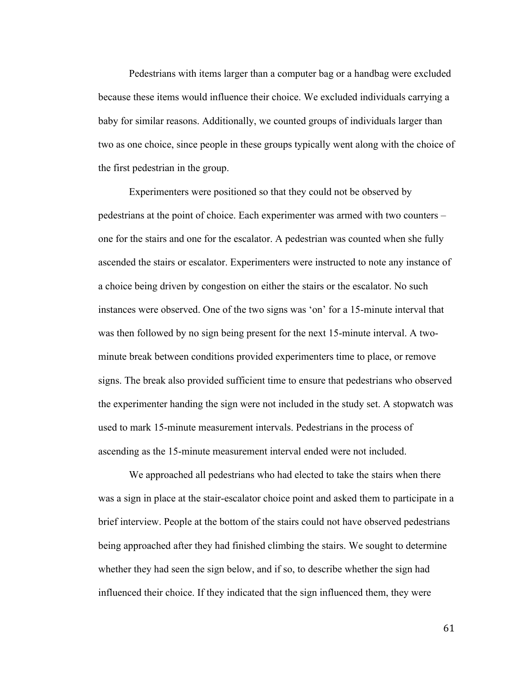Pedestrians with items larger than a computer bag or a handbag were excluded because these items would influence their choice. We excluded individuals carrying a baby for similar reasons. Additionally, we counted groups of individuals larger than two as one choice, since people in these groups typically went along with the choice of the first pedestrian in the group.

Experimenters were positioned so that they could not be observed by pedestrians at the point of choice. Each experimenter was armed with two counters – one for the stairs and one for the escalator. A pedestrian was counted when she fully ascended the stairs or escalator. Experimenters were instructed to note any instance of a choice being driven by congestion on either the stairs or the escalator. No such instances were observed. One of the two signs was 'on' for a 15-minute interval that was then followed by no sign being present for the next 15-minute interval. A twominute break between conditions provided experimenters time to place, or remove signs. The break also provided sufficient time to ensure that pedestrians who observed the experimenter handing the sign were not included in the study set. A stopwatch was used to mark 15-minute measurement intervals. Pedestrians in the process of ascending as the 15-minute measurement interval ended were not included.

We approached all pedestrians who had elected to take the stairs when there was a sign in place at the stair-escalator choice point and asked them to participate in a brief interview. People at the bottom of the stairs could not have observed pedestrians being approached after they had finished climbing the stairs. We sought to determine whether they had seen the sign below, and if so, to describe whether the sign had influenced their choice. If they indicated that the sign influenced them, they were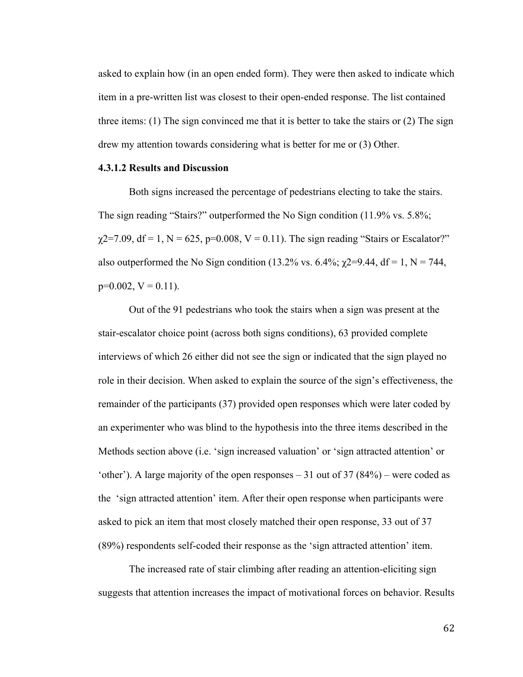asked to explain how (in an open ended form). They were then asked to indicate which item in a pre-written list was closest to their open-ended response. The list contained three items: (1) The sign convinced me that it is better to take the stairs or (2) The sign drew my attention towards considering what is better for me or (3) Other.

#### **4.3.1.2 Results and Discussion**

Both signs increased the percentage of pedestrians electing to take the stairs. The sign reading "Stairs?" outperformed the No Sign condition (11.9% vs. 5.8%;  $\chi$ 2=7.09, df = 1, N = 625, p=0.008, V = 0.11). The sign reading "Stairs or Escalator?" also outperformed the No Sign condition (13.2% vs. 6.4%;  $\chi$ 2=9.44, df = 1, N = 744,  $p=0.002$ ,  $V = 0.11$ ).

Out of the 91 pedestrians who took the stairs when a sign was present at the stair-escalator choice point (across both signs conditions), 63 provided complete interviews of which 26 either did not see the sign or indicated that the sign played no role in their decision. When asked to explain the source of the sign's effectiveness, the remainder of the participants (37) provided open responses which were later coded by an experimenter who was blind to the hypothesis into the three items described in the Methods section above (i.e. 'sign increased valuation' or 'sign attracted attention' or 'other'). A large majority of the open responses  $-31$  out of 37 (84%) – were coded as the 'sign attracted attention' item. After their open response when participants were asked to pick an item that most closely matched their open response, 33 out of 37 (89%) respondents self-coded their response as the 'sign attracted attention' item.

The increased rate of stair climbing after reading an attention-eliciting sign suggests that attention increases the impact of motivational forces on behavior. Results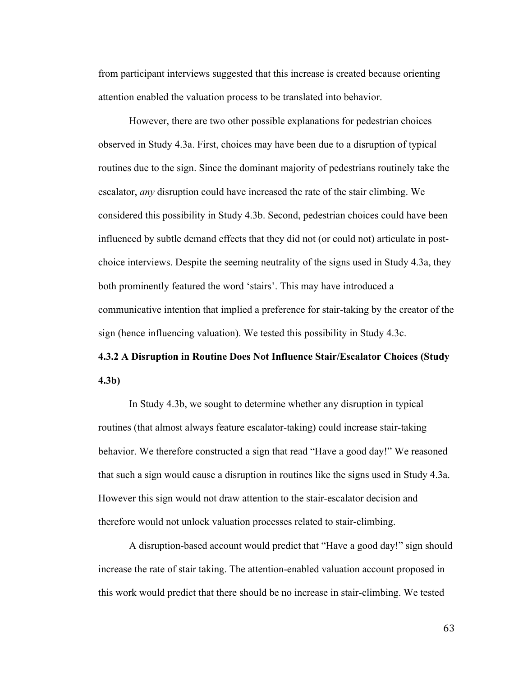from participant interviews suggested that this increase is created because orienting attention enabled the valuation process to be translated into behavior.

However, there are two other possible explanations for pedestrian choices observed in Study 4.3a. First, choices may have been due to a disruption of typical routines due to the sign. Since the dominant majority of pedestrians routinely take the escalator, *any* disruption could have increased the rate of the stair climbing. We considered this possibility in Study 4.3b. Second, pedestrian choices could have been influenced by subtle demand effects that they did not (or could not) articulate in postchoice interviews. Despite the seeming neutrality of the signs used in Study 4.3a, they both prominently featured the word 'stairs'. This may have introduced a communicative intention that implied a preference for stair-taking by the creator of the sign (hence influencing valuation). We tested this possibility in Study 4.3c.

# **4.3.2 A Disruption in Routine Does Not Influence Stair/Escalator Choices (Study 4.3b)**

In Study 4.3b, we sought to determine whether any disruption in typical routines (that almost always feature escalator-taking) could increase stair-taking behavior. We therefore constructed a sign that read "Have a good day!" We reasoned that such a sign would cause a disruption in routines like the signs used in Study 4.3a. However this sign would not draw attention to the stair-escalator decision and therefore would not unlock valuation processes related to stair-climbing.

A disruption-based account would predict that "Have a good day!" sign should increase the rate of stair taking. The attention-enabled valuation account proposed in this work would predict that there should be no increase in stair-climbing. We tested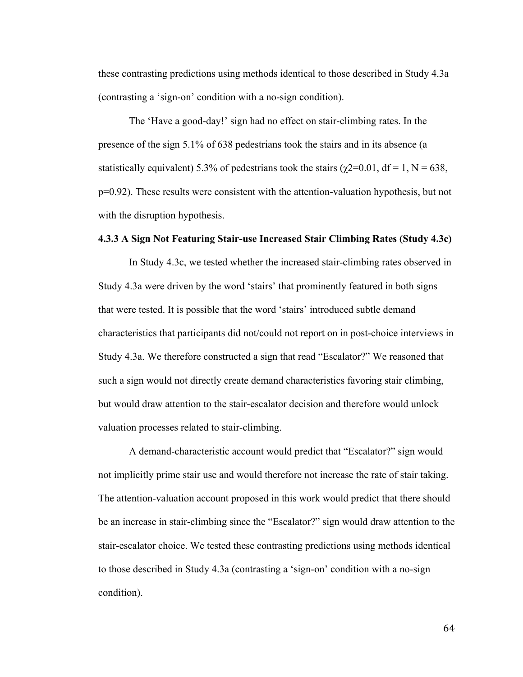these contrasting predictions using methods identical to those described in Study 4.3a (contrasting a 'sign-on' condition with a no-sign condition).

The 'Have a good-day!' sign had no effect on stair-climbing rates. In the presence of the sign 5.1% of 638 pedestrians took the stairs and in its absence (a statistically equivalent) 5.3% of pedestrians took the stairs ( $\gamma$ 2=0.01, df = 1, N = 638, p=0.92). These results were consistent with the attention-valuation hypothesis, but not with the disruption hypothesis.

## **4.3.3 A Sign Not Featuring Stair-use Increased Stair Climbing Rates (Study 4.3c)**

In Study 4.3c, we tested whether the increased stair-climbing rates observed in Study 4.3a were driven by the word 'stairs' that prominently featured in both signs that were tested. It is possible that the word 'stairs' introduced subtle demand characteristics that participants did not/could not report on in post-choice interviews in Study 4.3a. We therefore constructed a sign that read "Escalator?" We reasoned that such a sign would not directly create demand characteristics favoring stair climbing, but would draw attention to the stair-escalator decision and therefore would unlock valuation processes related to stair-climbing.

A demand-characteristic account would predict that "Escalator?" sign would not implicitly prime stair use and would therefore not increase the rate of stair taking. The attention-valuation account proposed in this work would predict that there should be an increase in stair-climbing since the "Escalator?" sign would draw attention to the stair-escalator choice. We tested these contrasting predictions using methods identical to those described in Study 4.3a (contrasting a 'sign-on' condition with a no-sign condition).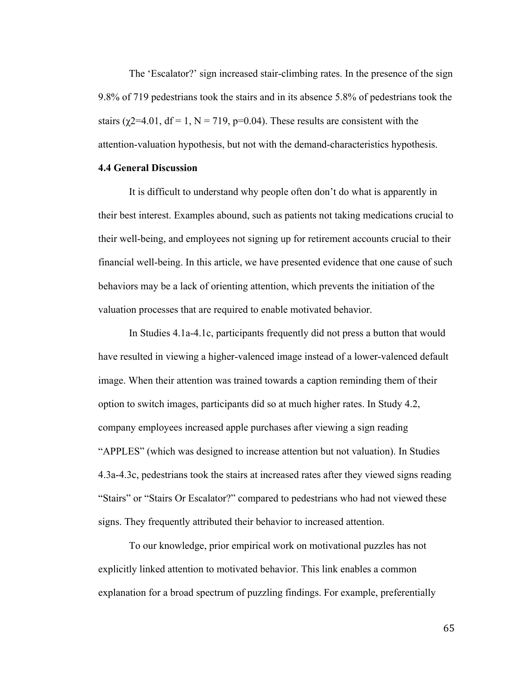The 'Escalator?' sign increased stair-climbing rates. In the presence of the sign 9.8% of 719 pedestrians took the stairs and in its absence 5.8% of pedestrians took the stairs ( $\chi$ 2=4.01, df = 1, N = 719, p=0.04). These results are consistent with the attention-valuation hypothesis, but not with the demand-characteristics hypothesis.

## **4.4 General Discussion**

It is difficult to understand why people often don't do what is apparently in their best interest. Examples abound, such as patients not taking medications crucial to their well-being, and employees not signing up for retirement accounts crucial to their financial well-being. In this article, we have presented evidence that one cause of such behaviors may be a lack of orienting attention, which prevents the initiation of the valuation processes that are required to enable motivated behavior.

In Studies 4.1a-4.1c, participants frequently did not press a button that would have resulted in viewing a higher-valenced image instead of a lower-valenced default image. When their attention was trained towards a caption reminding them of their option to switch images, participants did so at much higher rates. In Study 4.2, company employees increased apple purchases after viewing a sign reading "APPLES" (which was designed to increase attention but not valuation). In Studies 4.3a-4.3c, pedestrians took the stairs at increased rates after they viewed signs reading "Stairs" or "Stairs Or Escalator?" compared to pedestrians who had not viewed these signs. They frequently attributed their behavior to increased attention.

To our knowledge, prior empirical work on motivational puzzles has not explicitly linked attention to motivated behavior. This link enables a common explanation for a broad spectrum of puzzling findings. For example, preferentially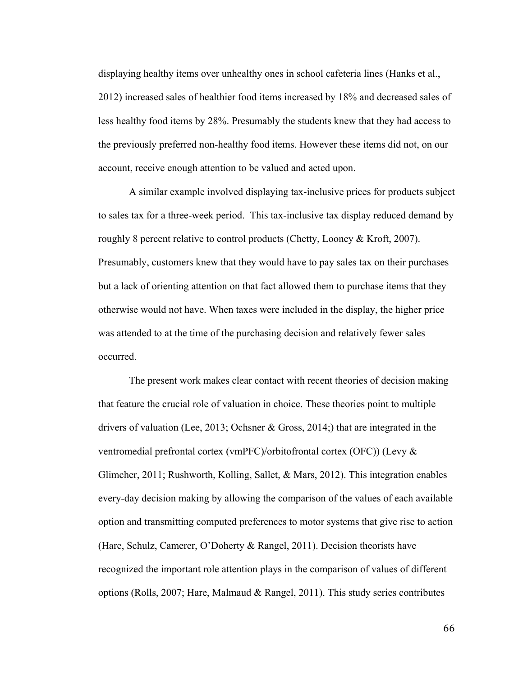displaying healthy items over unhealthy ones in school cafeteria lines (Hanks et al., 2012) increased sales of healthier food items increased by 18% and decreased sales of less healthy food items by 28%. Presumably the students knew that they had access to the previously preferred non-healthy food items. However these items did not, on our account, receive enough attention to be valued and acted upon.

A similar example involved displaying tax-inclusive prices for products subject to sales tax for a three-week period. This tax-inclusive tax display reduced demand by roughly 8 percent relative to control products (Chetty, Looney & Kroft, 2007). Presumably, customers knew that they would have to pay sales tax on their purchases but a lack of orienting attention on that fact allowed them to purchase items that they otherwise would not have. When taxes were included in the display, the higher price was attended to at the time of the purchasing decision and relatively fewer sales occurred.

The present work makes clear contact with recent theories of decision making that feature the crucial role of valuation in choice. These theories point to multiple drivers of valuation (Lee, 2013; Ochsner & Gross, 2014;) that are integrated in the ventromedial prefrontal cortex (vmPFC)/orbitofrontal cortex (OFC)) (Levy & Glimcher, 2011; Rushworth, Kolling, Sallet, & Mars, 2012). This integration enables every-day decision making by allowing the comparison of the values of each available option and transmitting computed preferences to motor systems that give rise to action (Hare, Schulz, Camerer, O'Doherty & Rangel, 2011). Decision theorists have recognized the important role attention plays in the comparison of values of different options (Rolls, 2007; Hare, Malmaud & Rangel, 2011). This study series contributes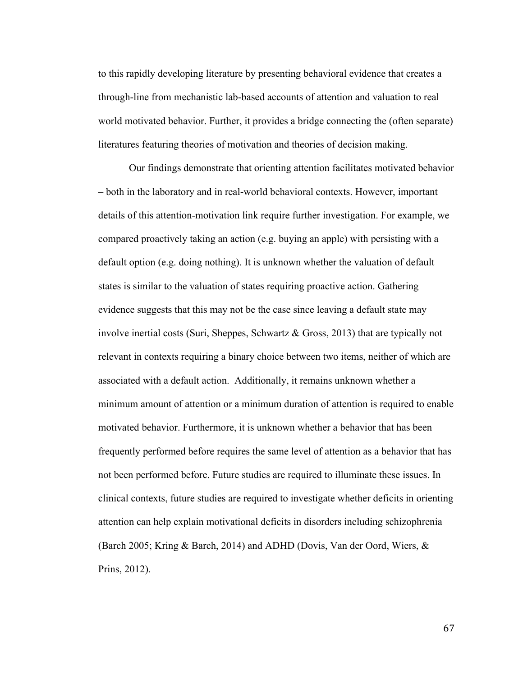to this rapidly developing literature by presenting behavioral evidence that creates a through-line from mechanistic lab-based accounts of attention and valuation to real world motivated behavior. Further, it provides a bridge connecting the (often separate) literatures featuring theories of motivation and theories of decision making.

Our findings demonstrate that orienting attention facilitates motivated behavior – both in the laboratory and in real-world behavioral contexts. However, important details of this attention-motivation link require further investigation. For example, we compared proactively taking an action (e.g. buying an apple) with persisting with a default option (e.g. doing nothing). It is unknown whether the valuation of default states is similar to the valuation of states requiring proactive action. Gathering evidence suggests that this may not be the case since leaving a default state may involve inertial costs (Suri, Sheppes, Schwartz & Gross, 2013) that are typically not relevant in contexts requiring a binary choice between two items, neither of which are associated with a default action. Additionally, it remains unknown whether a minimum amount of attention or a minimum duration of attention is required to enable motivated behavior. Furthermore, it is unknown whether a behavior that has been frequently performed before requires the same level of attention as a behavior that has not been performed before. Future studies are required to illuminate these issues. In clinical contexts, future studies are required to investigate whether deficits in orienting attention can help explain motivational deficits in disorders including schizophrenia (Barch 2005; Kring & Barch, 2014) and ADHD (Dovis, Van der Oord, Wiers, & Prins, 2012).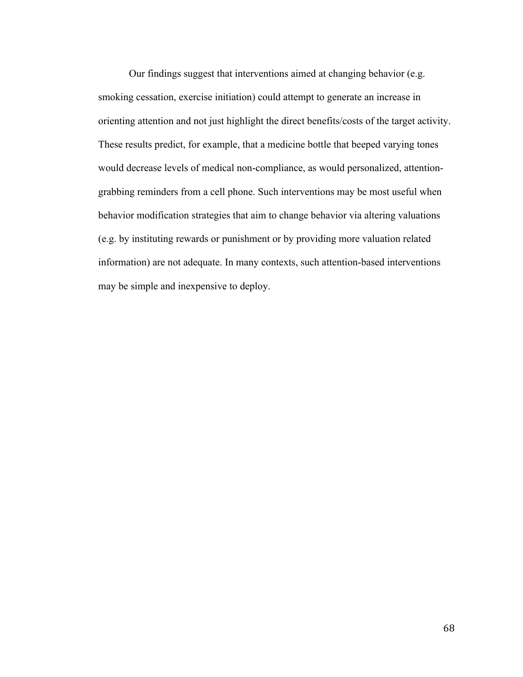Our findings suggest that interventions aimed at changing behavior (e.g. smoking cessation, exercise initiation) could attempt to generate an increase in orienting attention and not just highlight the direct benefits/costs of the target activity. These results predict, for example, that a medicine bottle that beeped varying tones would decrease levels of medical non-compliance, as would personalized, attentiongrabbing reminders from a cell phone. Such interventions may be most useful when behavior modification strategies that aim to change behavior via altering valuations (e.g. by instituting rewards or punishment or by providing more valuation related information) are not adequate. In many contexts, such attention-based interventions may be simple and inexpensive to deploy.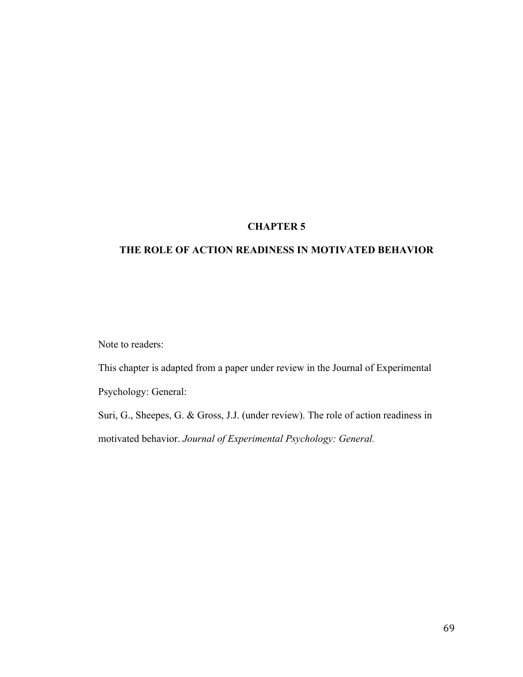## **CHAPTER 5**

## **THE ROLE OF ACTION READINESS IN MOTIVATED BEHAVIOR**

Note to readers:

This chapter is adapted from a paper under review in the Journal of Experimental

Psychology: General:

Suri, G., Sheepes, G. & Gross, J.J. (under review). The role of action readiness in motivated behavior. *Journal of Experimental Psychology: General.*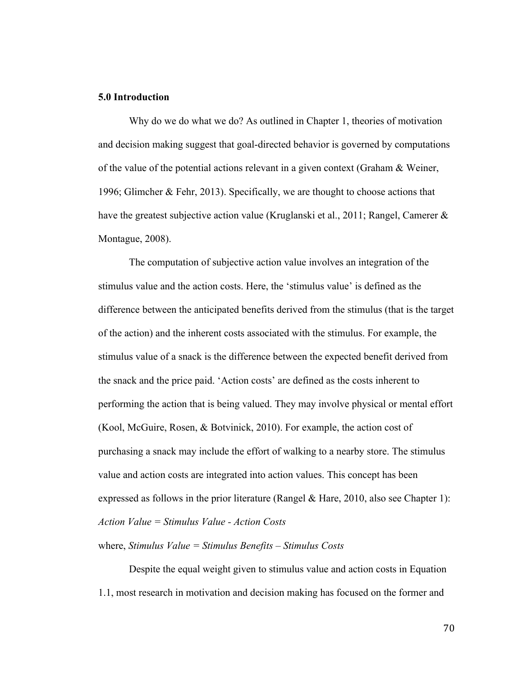## **5.0 Introduction**

Why do we do what we do? As outlined in Chapter 1, theories of motivation and decision making suggest that goal-directed behavior is governed by computations of the value of the potential actions relevant in a given context (Graham & Weiner, 1996; Glimcher & Fehr, 2013). Specifically, we are thought to choose actions that have the greatest subjective action value (Kruglanski et al., 2011; Rangel, Camerer & Montague, 2008).

The computation of subjective action value involves an integration of the stimulus value and the action costs. Here, the 'stimulus value' is defined as the difference between the anticipated benefits derived from the stimulus (that is the target of the action) and the inherent costs associated with the stimulus. For example, the stimulus value of a snack is the difference between the expected benefit derived from the snack and the price paid. 'Action costs' are defined as the costs inherent to performing the action that is being valued. They may involve physical or mental effort (Kool, McGuire, Rosen, & Botvinick, 2010). For example, the action cost of purchasing a snack may include the effort of walking to a nearby store. The stimulus value and action costs are integrated into action values. This concept has been expressed as follows in the prior literature (Rangel  $\&$  Hare, 2010, also see Chapter 1): *Action Value = Stimulus Value - Action Costs*

## where, *Stimulus Value = Stimulus Benefits – Stimulus Costs*

Despite the equal weight given to stimulus value and action costs in Equation 1.1, most research in motivation and decision making has focused on the former and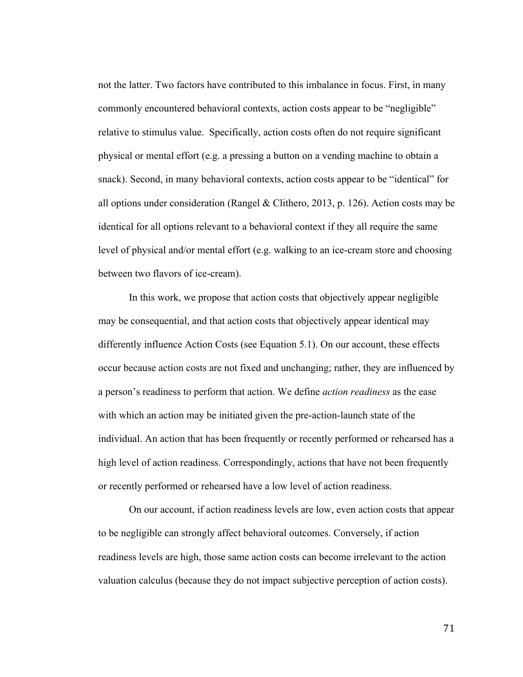not the latter. Two factors have contributed to this imbalance in focus. First, in many commonly encountered behavioral contexts, action costs appear to be "negligible" relative to stimulus value. Specifically, action costs often do not require significant physical or mental effort (e.g. a pressing a button on a vending machine to obtain a snack). Second, in many behavioral contexts, action costs appear to be "identical" for all options under consideration (Rangel & Clithero, 2013, p. 126). Action costs may be identical for all options relevant to a behavioral context if they all require the same level of physical and/or mental effort (e.g. walking to an ice-cream store and choosing between two flavors of ice-cream).

In this work, we propose that action costs that objectively appear negligible may be consequential, and that action costs that objectively appear identical may differently influence Action Costs (see Equation 5.1). On our account, these effects occur because action costs are not fixed and unchanging; rather, they are influenced by a person's readiness to perform that action. We define *action readiness* as the ease with which an action may be initiated given the pre-action-launch state of the individual. An action that has been frequently or recently performed or rehearsed has a high level of action readiness. Correspondingly, actions that have not been frequently or recently performed or rehearsed have a low level of action readiness.

On our account, if action readiness levels are low, even action costs that appear to be negligible can strongly affect behavioral outcomes. Conversely, if action readiness levels are high, those same action costs can become irrelevant to the action valuation calculus (because they do not impact subjective perception of action costs).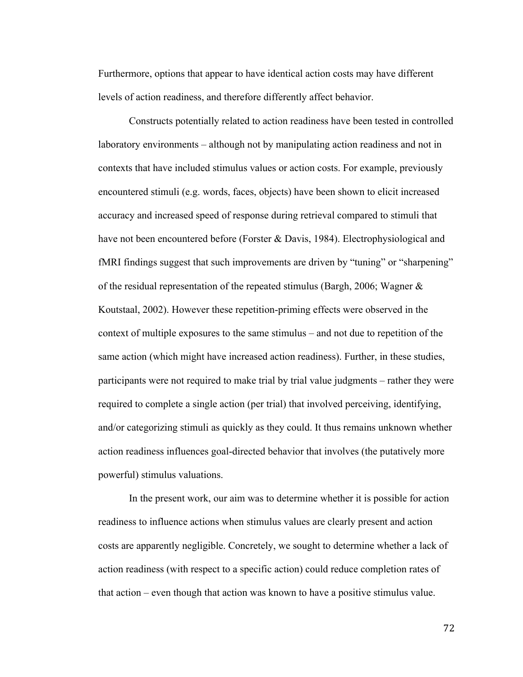Furthermore, options that appear to have identical action costs may have different levels of action readiness, and therefore differently affect behavior.

Constructs potentially related to action readiness have been tested in controlled laboratory environments – although not by manipulating action readiness and not in contexts that have included stimulus values or action costs. For example, previously encountered stimuli (e.g. words, faces, objects) have been shown to elicit increased accuracy and increased speed of response during retrieval compared to stimuli that have not been encountered before (Forster & Davis, 1984). Electrophysiological and fMRI findings suggest that such improvements are driven by "tuning" or "sharpening" of the residual representation of the repeated stimulus (Bargh, 2006; Wagner  $\&$ Koutstaal, 2002). However these repetition-priming effects were observed in the context of multiple exposures to the same stimulus – and not due to repetition of the same action (which might have increased action readiness). Further, in these studies, participants were not required to make trial by trial value judgments – rather they were required to complete a single action (per trial) that involved perceiving, identifying, and/or categorizing stimuli as quickly as they could. It thus remains unknown whether action readiness influences goal-directed behavior that involves (the putatively more powerful) stimulus valuations.

In the present work, our aim was to determine whether it is possible for action readiness to influence actions when stimulus values are clearly present and action costs are apparently negligible. Concretely, we sought to determine whether a lack of action readiness (with respect to a specific action) could reduce completion rates of that action – even though that action was known to have a positive stimulus value.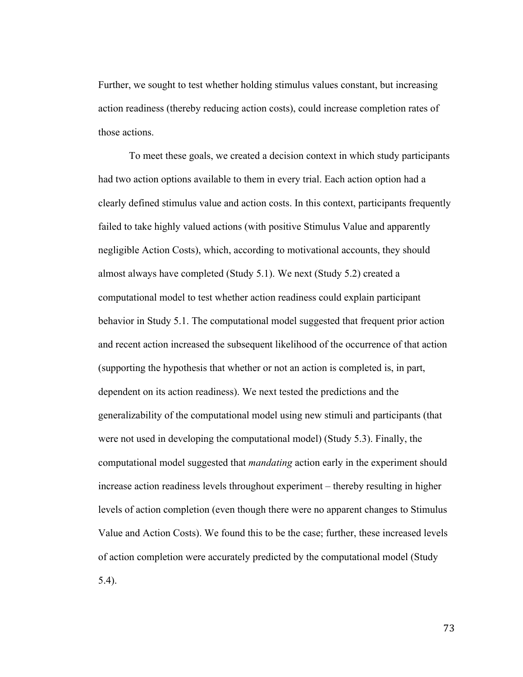Further, we sought to test whether holding stimulus values constant, but increasing action readiness (thereby reducing action costs), could increase completion rates of those actions.

To meet these goals, we created a decision context in which study participants had two action options available to them in every trial. Each action option had a clearly defined stimulus value and action costs. In this context, participants frequently failed to take highly valued actions (with positive Stimulus Value and apparently negligible Action Costs), which, according to motivational accounts, they should almost always have completed (Study 5.1). We next (Study 5.2) created a computational model to test whether action readiness could explain participant behavior in Study 5.1. The computational model suggested that frequent prior action and recent action increased the subsequent likelihood of the occurrence of that action (supporting the hypothesis that whether or not an action is completed is, in part, dependent on its action readiness). We next tested the predictions and the generalizability of the computational model using new stimuli and participants (that were not used in developing the computational model) (Study 5.3). Finally, the computational model suggested that *mandating* action early in the experiment should increase action readiness levels throughout experiment – thereby resulting in higher levels of action completion (even though there were no apparent changes to Stimulus Value and Action Costs). We found this to be the case; further, these increased levels of action completion were accurately predicted by the computational model (Study 5.4).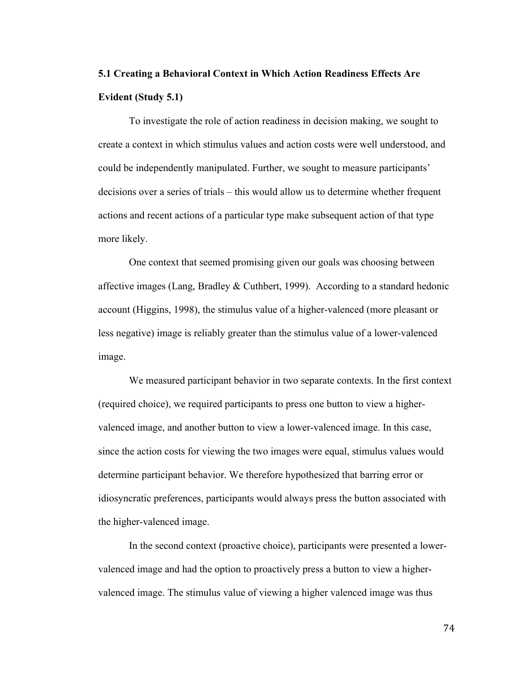# **5.1 Creating a Behavioral Context in Which Action Readiness Effects Are Evident (Study 5.1)**

To investigate the role of action readiness in decision making, we sought to create a context in which stimulus values and action costs were well understood, and could be independently manipulated. Further, we sought to measure participants' decisions over a series of trials – this would allow us to determine whether frequent actions and recent actions of a particular type make subsequent action of that type more likely.

One context that seemed promising given our goals was choosing between affective images (Lang, Bradley  $&$  Cuthbert, 1999). According to a standard hedonic account (Higgins, 1998), the stimulus value of a higher-valenced (more pleasant or less negative) image is reliably greater than the stimulus value of a lower-valenced image.

We measured participant behavior in two separate contexts. In the first context (required choice), we required participants to press one button to view a highervalenced image, and another button to view a lower-valenced image. In this case, since the action costs for viewing the two images were equal, stimulus values would determine participant behavior. We therefore hypothesized that barring error or idiosyncratic preferences, participants would always press the button associated with the higher-valenced image.

In the second context (proactive choice), participants were presented a lowervalenced image and had the option to proactively press a button to view a highervalenced image. The stimulus value of viewing a higher valenced image was thus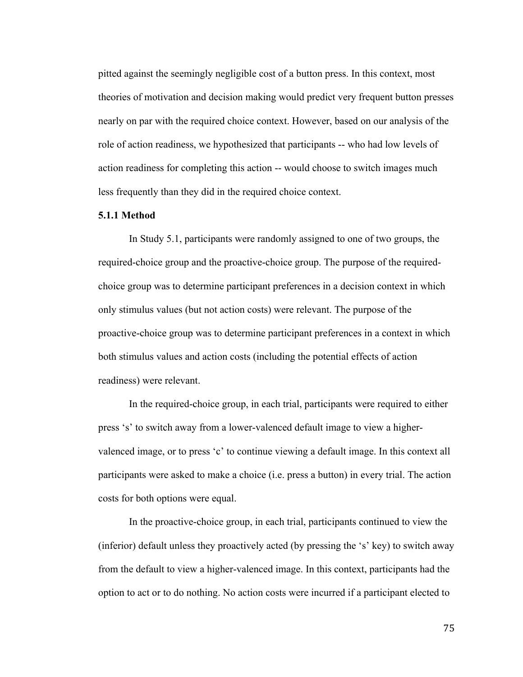pitted against the seemingly negligible cost of a button press. In this context, most theories of motivation and decision making would predict very frequent button presses nearly on par with the required choice context. However, based on our analysis of the role of action readiness, we hypothesized that participants -- who had low levels of action readiness for completing this action -- would choose to switch images much less frequently than they did in the required choice context.

## **5.1.1 Method**

In Study 5.1, participants were randomly assigned to one of two groups, the required-choice group and the proactive-choice group. The purpose of the requiredchoice group was to determine participant preferences in a decision context in which only stimulus values (but not action costs) were relevant. The purpose of the proactive-choice group was to determine participant preferences in a context in which both stimulus values and action costs (including the potential effects of action readiness) were relevant.

In the required-choice group, in each trial, participants were required to either press 's' to switch away from a lower-valenced default image to view a highervalenced image, or to press 'c' to continue viewing a default image. In this context all participants were asked to make a choice (i.e. press a button) in every trial. The action costs for both options were equal.

In the proactive-choice group, in each trial, participants continued to view the (inferior) default unless they proactively acted (by pressing the 's' key) to switch away from the default to view a higher-valenced image. In this context, participants had the option to act or to do nothing. No action costs were incurred if a participant elected to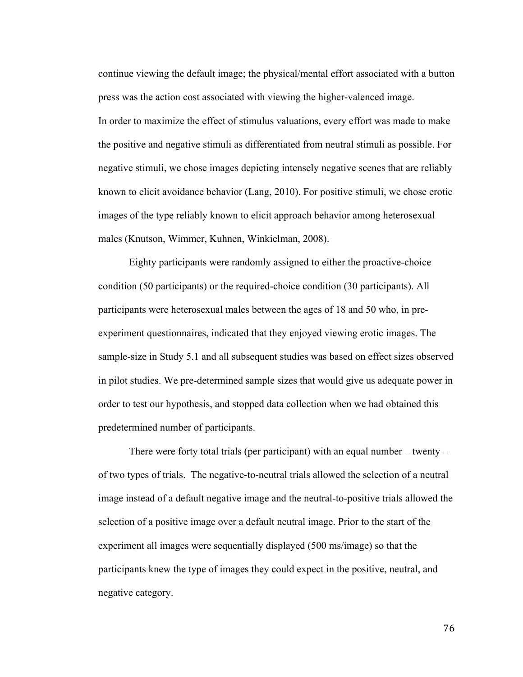continue viewing the default image; the physical/mental effort associated with a button press was the action cost associated with viewing the higher-valenced image. In order to maximize the effect of stimulus valuations, every effort was made to make the positive and negative stimuli as differentiated from neutral stimuli as possible. For negative stimuli, we chose images depicting intensely negative scenes that are reliably known to elicit avoidance behavior (Lang, 2010). For positive stimuli, we chose erotic images of the type reliably known to elicit approach behavior among heterosexual males (Knutson, Wimmer, Kuhnen, Winkielman, 2008).

Eighty participants were randomly assigned to either the proactive-choice condition (50 participants) or the required-choice condition (30 participants). All participants were heterosexual males between the ages of 18 and 50 who, in preexperiment questionnaires, indicated that they enjoyed viewing erotic images. The sample-size in Study 5.1 and all subsequent studies was based on effect sizes observed in pilot studies. We pre-determined sample sizes that would give us adequate power in order to test our hypothesis, and stopped data collection when we had obtained this predetermined number of participants.

There were forty total trials (per participant) with an equal number – twenty – of two types of trials. The negative-to-neutral trials allowed the selection of a neutral image instead of a default negative image and the neutral-to-positive trials allowed the selection of a positive image over a default neutral image. Prior to the start of the experiment all images were sequentially displayed (500 ms/image) so that the participants knew the type of images they could expect in the positive, neutral, and negative category.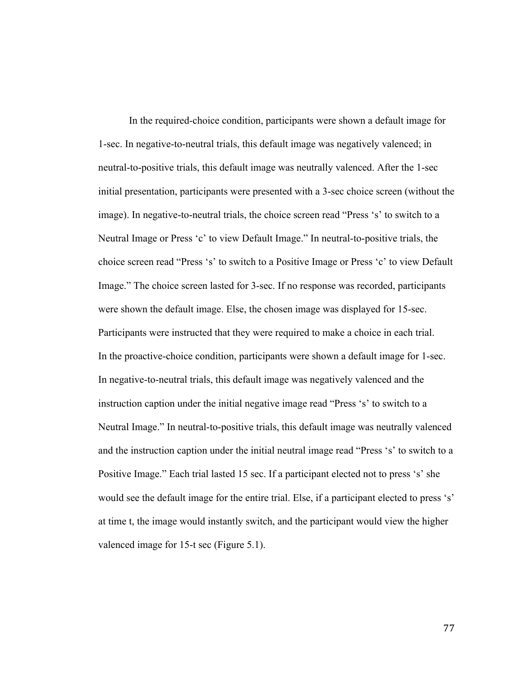In the required-choice condition, participants were shown a default image for 1-sec. In negative-to-neutral trials, this default image was negatively valenced; in neutral-to-positive trials, this default image was neutrally valenced. After the 1-sec initial presentation, participants were presented with a 3-sec choice screen (without the image). In negative-to-neutral trials, the choice screen read "Press 's' to switch to a Neutral Image or Press 'c' to view Default Image." In neutral-to-positive trials, the choice screen read "Press 's' to switch to a Positive Image or Press 'c' to view Default Image." The choice screen lasted for 3-sec. If no response was recorded, participants were shown the default image. Else, the chosen image was displayed for 15-sec. Participants were instructed that they were required to make a choice in each trial. In the proactive-choice condition, participants were shown a default image for 1-sec. In negative-to-neutral trials, this default image was negatively valenced and the instruction caption under the initial negative image read "Press 's' to switch to a Neutral Image." In neutral-to-positive trials, this default image was neutrally valenced and the instruction caption under the initial neutral image read "Press 's' to switch to a Positive Image." Each trial lasted 15 sec. If a participant elected not to press 's' she would see the default image for the entire trial. Else, if a participant elected to press 's' at time t, the image would instantly switch, and the participant would view the higher valenced image for 15-t sec (Figure 5.1).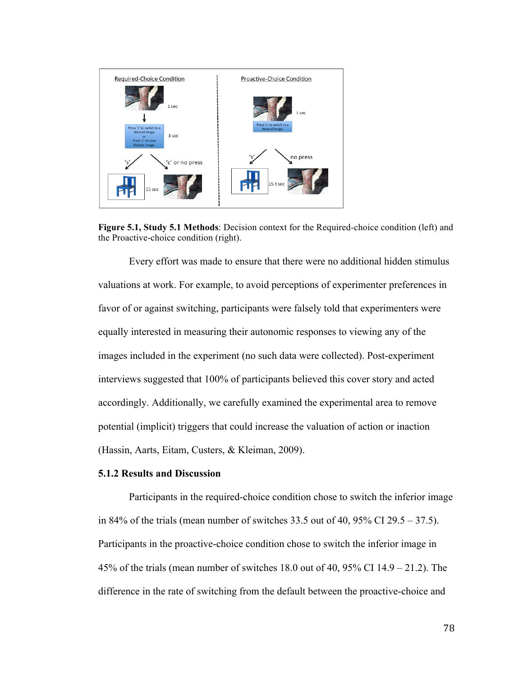

**Figure 5.1, Study 5.1 Methods**: Decision context for the Required-choice condition (left) and the Proactive-choice condition (right).

Every effort was made to ensure that there were no additional hidden stimulus valuations at work. For example, to avoid perceptions of experimenter preferences in favor of or against switching, participants were falsely told that experimenters were equally interested in measuring their autonomic responses to viewing any of the images included in the experiment (no such data were collected). Post-experiment interviews suggested that 100% of participants believed this cover story and acted accordingly. Additionally, we carefully examined the experimental area to remove potential (implicit) triggers that could increase the valuation of action or inaction (Hassin, Aarts, Eitam, Custers, & Kleiman, 2009).

## **5.1.2 Results and Discussion**

Participants in the required-choice condition chose to switch the inferior image in 84% of the trials (mean number of switches 33.5 out of 40, 95% CI 29.5 – 37.5). Participants in the proactive-choice condition chose to switch the inferior image in 45% of the trials (mean number of switches 18.0 out of 40, 95% CI 14.9 – 21.2). The difference in the rate of switching from the default between the proactive-choice and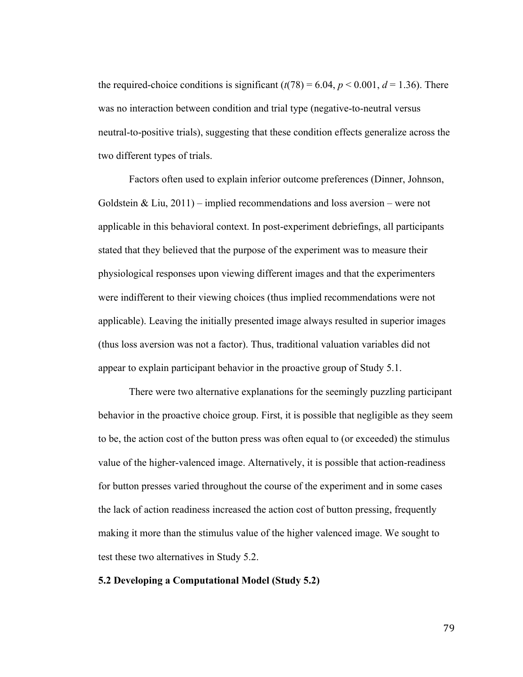the required-choice conditions is significant  $(t(78) = 6.04, p < 0.001, d = 1.36)$ . There was no interaction between condition and trial type (negative-to-neutral versus neutral-to-positive trials), suggesting that these condition effects generalize across the two different types of trials.

Factors often used to explain inferior outcome preferences (Dinner, Johnson, Goldstein & Liu,  $2011$ ) – implied recommendations and loss aversion – were not applicable in this behavioral context. In post-experiment debriefings, all participants stated that they believed that the purpose of the experiment was to measure their physiological responses upon viewing different images and that the experimenters were indifferent to their viewing choices (thus implied recommendations were not applicable). Leaving the initially presented image always resulted in superior images (thus loss aversion was not a factor). Thus, traditional valuation variables did not appear to explain participant behavior in the proactive group of Study 5.1.

There were two alternative explanations for the seemingly puzzling participant behavior in the proactive choice group. First, it is possible that negligible as they seem to be, the action cost of the button press was often equal to (or exceeded) the stimulus value of the higher-valenced image. Alternatively, it is possible that action-readiness for button presses varied throughout the course of the experiment and in some cases the lack of action readiness increased the action cost of button pressing, frequently making it more than the stimulus value of the higher valenced image. We sought to test these two alternatives in Study 5.2.

## **5.2 Developing a Computational Model (Study 5.2)**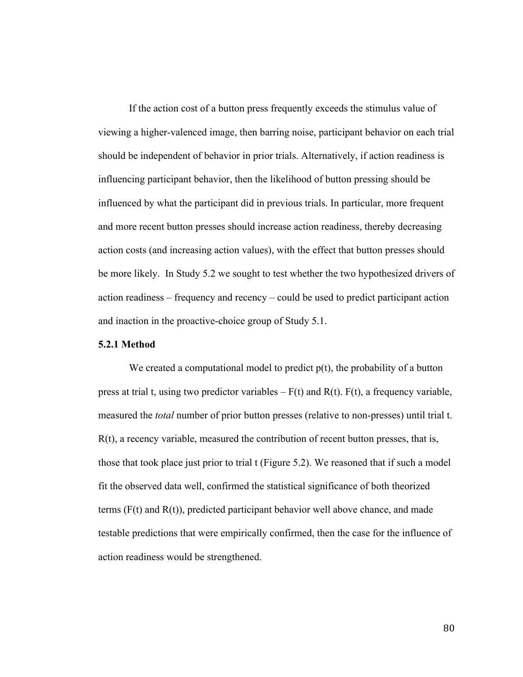If the action cost of a button press frequently exceeds the stimulus value of viewing a higher-valenced image, then barring noise, participant behavior on each trial should be independent of behavior in prior trials. Alternatively, if action readiness is influencing participant behavior, then the likelihood of button pressing should be influenced by what the participant did in previous trials. In particular, more frequent and more recent button presses should increase action readiness, thereby decreasing action costs (and increasing action values), with the effect that button presses should be more likely. In Study 5.2 we sought to test whether the two hypothesized drivers of action readiness – frequency and recency – could be used to predict participant action and inaction in the proactive-choice group of Study 5.1.

## **5.2.1 Method**

We created a computational model to predict  $p(t)$ , the probability of a button press at trial t, using two predictor variables  $-F(t)$  and  $R(t)$ .  $F(t)$ , a frequency variable, measured the *total* number of prior button presses (relative to non-presses) until trial t.  $R(t)$ , a recency variable, measured the contribution of recent button presses, that is, those that took place just prior to trial t (Figure 5.2). We reasoned that if such a model fit the observed data well, confirmed the statistical significance of both theorized terms  $(F(t)$  and  $R(t)$ , predicted participant behavior well above chance, and made testable predictions that were empirically confirmed, then the case for the influence of action readiness would be strengthened.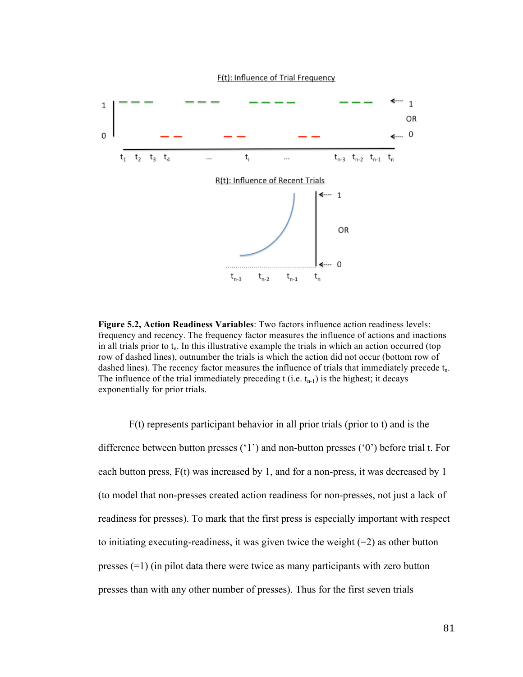

**Figure 5.2, Action Readiness Variables**: Two factors influence action readiness levels: frequency and recency. The frequency factor measures the influence of actions and inactions in all trials prior to  $t_n$ . In this illustrative example the trials in which an action occurred (top row of dashed lines), outnumber the trials is which the action did not occur (bottom row of dashed lines). The recency factor measures the influence of trials that immediately precede  $t_n$ . The influence of the trial immediately preceding  $t$  (i.e.  $t_{n-1}$ ) is the highest; it decays exponentially for prior trials.

F(t) represents participant behavior in all prior trials (prior to t) and is the difference between button presses ('1') and non-button presses ('0') before trial t. For each button press, F(t) was increased by 1, and for a non-press, it was decreased by 1 (to model that non-presses created action readiness for non-presses, not just a lack of readiness for presses). To mark that the first press is especially important with respect to initiating executing-readiness, it was given twice the weight  $(=2)$  as other button presses  $(=1)$  (in pilot data there were twice as many participants with zero button presses than with any other number of presses). Thus for the first seven trials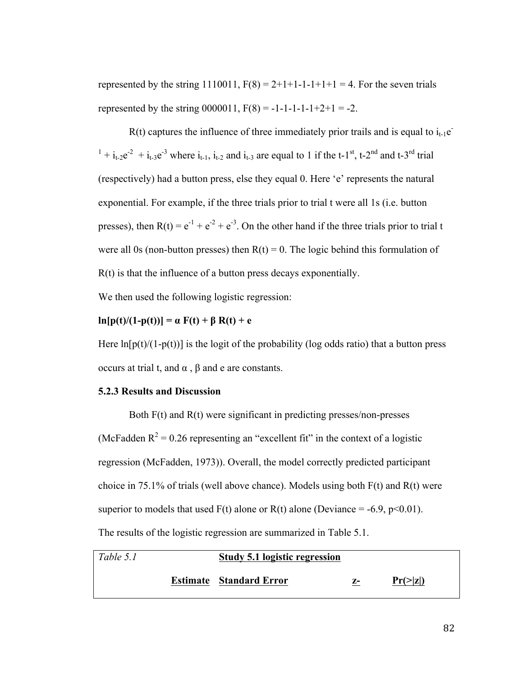represented by the string 1110011,  $F(8) = 2+1+1-1-1+1+1 = 4$ . For the seven trials represented by the string  $0000011$ ,  $F(8) = -1-1-1-1-1+2+1 = -2$ .

 $R(t)$  captures the influence of three immediately prior trails and is equal to  $i_{t-1}e^{-t}$  $1 + i_{t-2}e^{-2} + i_{t-3}e^{-3}$  where  $i_{t-1}$ ,  $i_{t-2}$  and  $i_{t-3}$  are equal to 1 if the t-1<sup>st</sup>, t-2<sup>nd</sup> and t-3<sup>rd</sup> trial (respectively) had a button press, else they equal 0. Here 'e' represents the natural exponential. For example, if the three trials prior to trial t were all 1s (i.e. button presses), then  $R(t) = e^{-1} + e^{-2} + e^{-3}$ . On the other hand if the three trials prior to trial t were all 0s (non-button presses) then  $R(t) = 0$ . The logic behind this formulation of R(t) is that the influence of a button press decays exponentially.

We then used the following logistic regression:

## **ln**[p(t)/(1-p(t))] =  $\alpha$  F(t) + β R(t) + e

Here  $\ln[p(t)/(1-p(t))]$  is the logit of the probability (log odds ratio) that a button press occurs at trial t, and α , β and e are constants.

## **5.2.3 Results and Discussion**

Both F(t) and R(t) were significant in predicting presses/non-presses (McFadden  $R^2 = 0.26$  representing an "excellent fit" in the context of a logistic regression (McFadden, 1973)). Overall, the model correctly predicted participant choice in 75.1% of trials (well above chance). Models using both F(t) and R(t) were superior to models that used  $F(t)$  alone or  $R(t)$  alone (Deviance = -6.9, p<0.01). The results of the logistic regression are summarized in Table 5.1.

| Table 5.1 | Study 5.1 logistic regression  |    |                |  |
|-----------|--------------------------------|----|----------------|--|
|           | <b>Estimate</b> Standard Error | z- | $Pr(\geq  z )$ |  |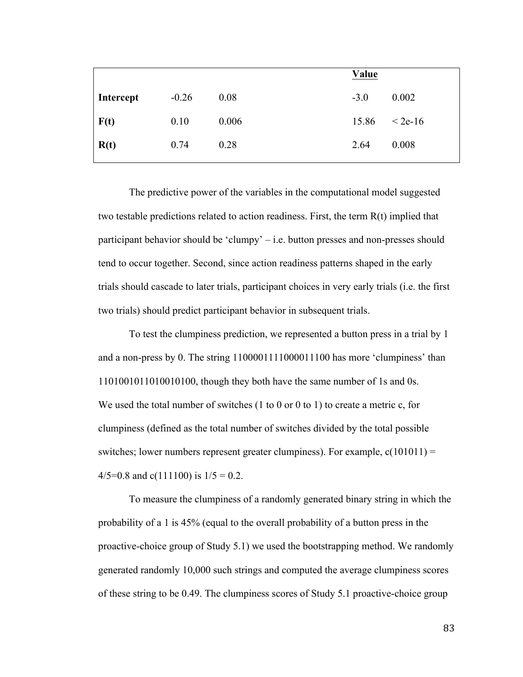|           |         |       | Value  |           |
|-----------|---------|-------|--------|-----------|
| Intercept | $-0.26$ | 0.08  | $-3.0$ | 0.002     |
| F(t)      | 0.10    | 0.006 | 15.86  | $< 2e-16$ |
| R(t)      | 0.74    | 0.28  | 2.64   | 0.008     |

The predictive power of the variables in the computational model suggested two testable predictions related to action readiness. First, the term R(t) implied that participant behavior should be 'clumpy' – i.e. button presses and non-presses should tend to occur together. Second, since action readiness patterns shaped in the early trials should cascade to later trials, participant choices in very early trials (i.e. the first two trials) should predict participant behavior in subsequent trials.

To test the clumpiness prediction, we represented a button press in a trial by 1 and a non-press by 0. The string 1100001111000011100 has more 'clumpiness' than 1101001011010010100, though they both have the same number of 1s and 0s. We used the total number of switches (1 to 0 or 0 to 1) to create a metric c, for clumpiness (defined as the total number of switches divided by the total possible switches; lower numbers represent greater clumpiness). For example,  $c(101011) =$ 4/5=0.8 and c(111100) is  $1/5 = 0.2$ .

To measure the clumpiness of a randomly generated binary string in which the probability of a 1 is 45% (equal to the overall probability of a button press in the proactive-choice group of Study 5.1) we used the bootstrapping method. We randomly generated randomly 10,000 such strings and computed the average clumpiness scores of these string to be 0.49. The clumpiness scores of Study 5.1 proactive-choice group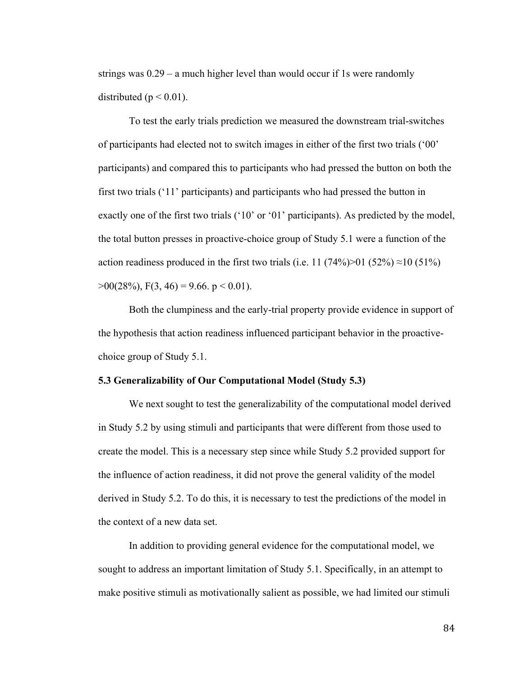strings was 0.29 – a much higher level than would occur if 1s were randomly distributed ( $p < 0.01$ ).

To test the early trials prediction we measured the downstream trial-switches of participants had elected not to switch images in either of the first two trials ('00' participants) and compared this to participants who had pressed the button on both the first two trials ('11' participants) and participants who had pressed the button in exactly one of the first two trials ('10' or '01' participants). As predicted by the model, the total button presses in proactive-choice group of Study 5.1 were a function of the action readiness produced in the first two trials (i.e. 11 (74%)>01 (52%)  $\approx$ 10 (51%)  $>0.028\%$ , F(3, 46) = 9.66. p < 0.01).

Both the clumpiness and the early-trial property provide evidence in support of the hypothesis that action readiness influenced participant behavior in the proactivechoice group of Study 5.1.

## **5.3 Generalizability of Our Computational Model (Study 5.3)**

We next sought to test the generalizability of the computational model derived in Study 5.2 by using stimuli and participants that were different from those used to create the model. This is a necessary step since while Study 5.2 provided support for the influence of action readiness, it did not prove the general validity of the model derived in Study 5.2. To do this, it is necessary to test the predictions of the model in the context of a new data set.

In addition to providing general evidence for the computational model, we sought to address an important limitation of Study 5.1. Specifically, in an attempt to make positive stimuli as motivationally salient as possible, we had limited our stimuli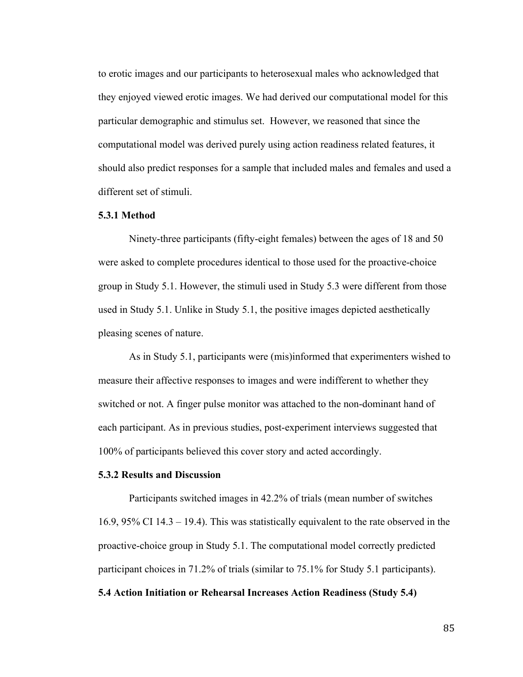to erotic images and our participants to heterosexual males who acknowledged that they enjoyed viewed erotic images. We had derived our computational model for this particular demographic and stimulus set. However, we reasoned that since the computational model was derived purely using action readiness related features, it should also predict responses for a sample that included males and females and used a different set of stimuli.

#### **5.3.1 Method**

Ninety-three participants (fifty-eight females) between the ages of 18 and 50 were asked to complete procedures identical to those used for the proactive-choice group in Study 5.1. However, the stimuli used in Study 5.3 were different from those used in Study 5.1. Unlike in Study 5.1, the positive images depicted aesthetically pleasing scenes of nature.

As in Study 5.1, participants were (mis)informed that experimenters wished to measure their affective responses to images and were indifferent to whether they switched or not. A finger pulse monitor was attached to the non-dominant hand of each participant. As in previous studies, post-experiment interviews suggested that 100% of participants believed this cover story and acted accordingly.

## **5.3.2 Results and Discussion**

Participants switched images in 42.2% of trials (mean number of switches 16.9, 95% CI 14.3 – 19.4). This was statistically equivalent to the rate observed in the proactive-choice group in Study 5.1. The computational model correctly predicted participant choices in 71.2% of trials (similar to 75.1% for Study 5.1 participants).

**5.4 Action Initiation or Rehearsal Increases Action Readiness (Study 5.4)**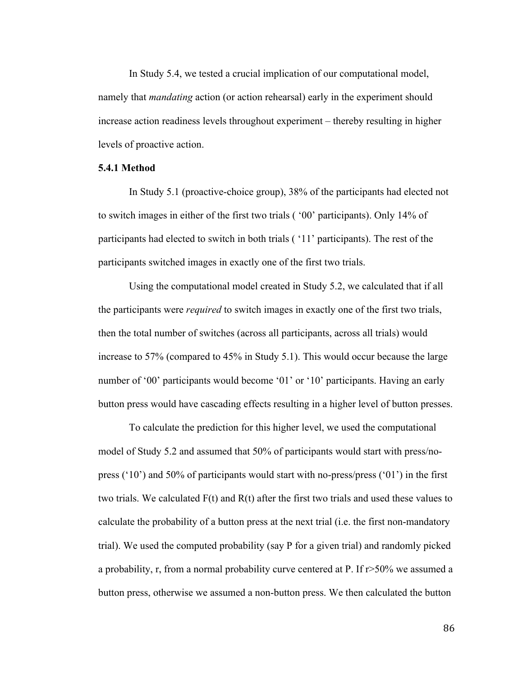In Study 5.4, we tested a crucial implication of our computational model, namely that *mandating* action (or action rehearsal) early in the experiment should increase action readiness levels throughout experiment – thereby resulting in higher levels of proactive action.

#### **5.4.1 Method**

In Study 5.1 (proactive-choice group), 38% of the participants had elected not to switch images in either of the first two trials ( '00' participants). Only 14% of participants had elected to switch in both trials ( '11' participants). The rest of the participants switched images in exactly one of the first two trials.

Using the computational model created in Study 5.2, we calculated that if all the participants were *required* to switch images in exactly one of the first two trials, then the total number of switches (across all participants, across all trials) would increase to 57% (compared to 45% in Study 5.1). This would occur because the large number of '00' participants would become '01' or '10' participants. Having an early button press would have cascading effects resulting in a higher level of button presses.

To calculate the prediction for this higher level, we used the computational model of Study 5.2 and assumed that 50% of participants would start with press/nopress ('10') and 50% of participants would start with no-press/press ('01') in the first two trials. We calculated  $F(t)$  and  $R(t)$  after the first two trials and used these values to calculate the probability of a button press at the next trial (i.e. the first non-mandatory trial). We used the computed probability (say P for a given trial) and randomly picked a probability, r, from a normal probability curve centered at P. If r>50% we assumed a button press, otherwise we assumed a non-button press. We then calculated the button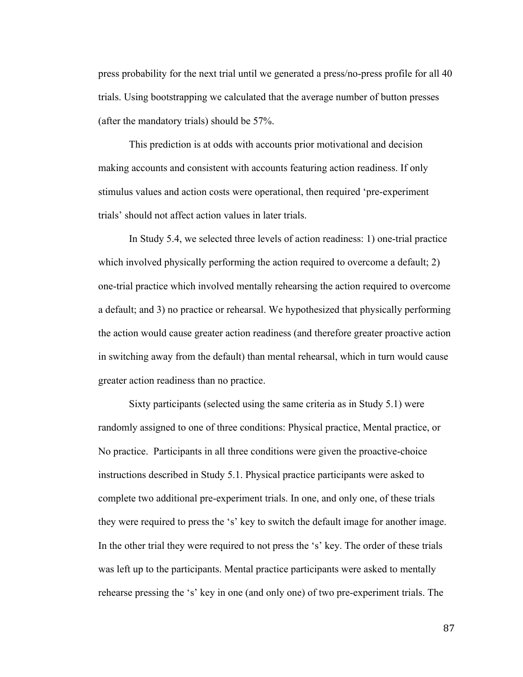press probability for the next trial until we generated a press/no-press profile for all 40 trials. Using bootstrapping we calculated that the average number of button presses (after the mandatory trials) should be 57%.

This prediction is at odds with accounts prior motivational and decision making accounts and consistent with accounts featuring action readiness. If only stimulus values and action costs were operational, then required 'pre-experiment trials' should not affect action values in later trials.

In Study 5.4, we selected three levels of action readiness: 1) one-trial practice which involved physically performing the action required to overcome a default; 2) one-trial practice which involved mentally rehearsing the action required to overcome a default; and 3) no practice or rehearsal. We hypothesized that physically performing the action would cause greater action readiness (and therefore greater proactive action in switching away from the default) than mental rehearsal, which in turn would cause greater action readiness than no practice.

Sixty participants (selected using the same criteria as in Study 5.1) were randomly assigned to one of three conditions: Physical practice, Mental practice, or No practice. Participants in all three conditions were given the proactive-choice instructions described in Study 5.1. Physical practice participants were asked to complete two additional pre-experiment trials. In one, and only one, of these trials they were required to press the 's' key to switch the default image for another image. In the other trial they were required to not press the 's' key. The order of these trials was left up to the participants. Mental practice participants were asked to mentally rehearse pressing the 's' key in one (and only one) of two pre-experiment trials. The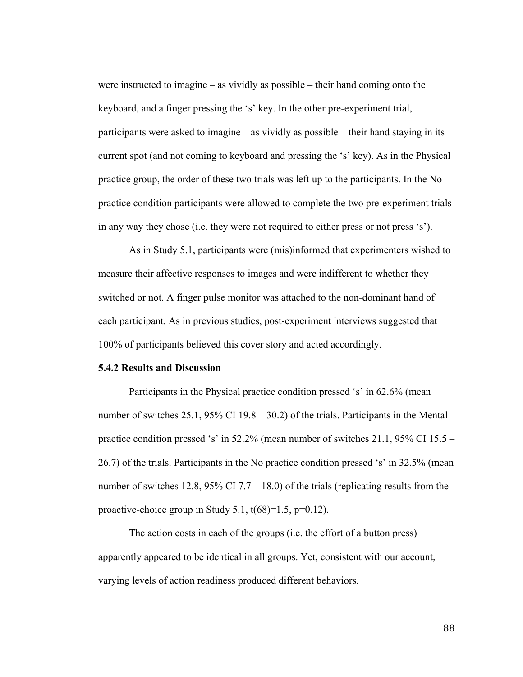were instructed to imagine – as vividly as possible – their hand coming onto the keyboard, and a finger pressing the 's' key. In the other pre-experiment trial, participants were asked to imagine – as vividly as possible – their hand staying in its current spot (and not coming to keyboard and pressing the 's' key). As in the Physical practice group, the order of these two trials was left up to the participants. In the No practice condition participants were allowed to complete the two pre-experiment trials in any way they chose (i.e. they were not required to either press or not press 's').

As in Study 5.1, participants were (mis)informed that experimenters wished to measure their affective responses to images and were indifferent to whether they switched or not. A finger pulse monitor was attached to the non-dominant hand of each participant. As in previous studies, post-experiment interviews suggested that 100% of participants believed this cover story and acted accordingly.

## **5.4.2 Results and Discussion**

Participants in the Physical practice condition pressed 's' in 62.6% (mean number of switches 25.1, 95% CI 19.8 – 30.2) of the trials. Participants in the Mental practice condition pressed 's' in 52.2% (mean number of switches 21.1, 95% CI 15.5 – 26.7) of the trials. Participants in the No practice condition pressed 's' in 32.5% (mean number of switches 12.8, 95% CI 7.7 – 18.0) of the trials (replicating results from the proactive-choice group in Study 5.1,  $t(68)=1.5$ ,  $p=0.12$ ).

The action costs in each of the groups (i.e. the effort of a button press) apparently appeared to be identical in all groups. Yet, consistent with our account, varying levels of action readiness produced different behaviors.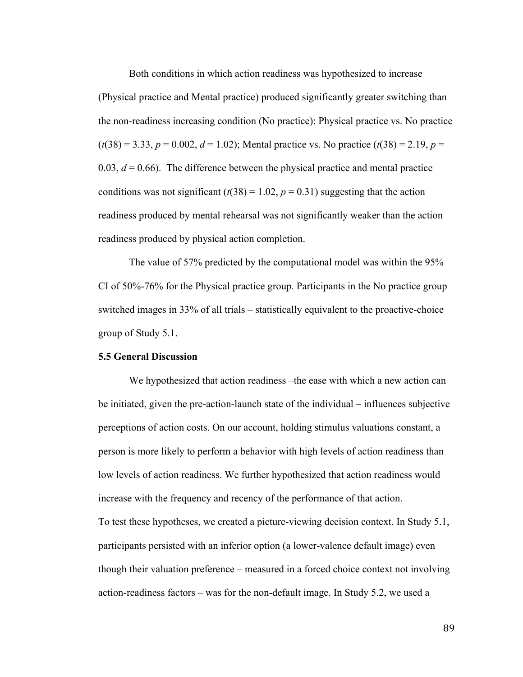Both conditions in which action readiness was hypothesized to increase (Physical practice and Mental practice) produced significantly greater switching than the non-readiness increasing condition (No practice): Physical practice vs. No practice  $(t(38) = 3.33, p = 0.002, d = 1.02)$ ; Mental practice vs. No practice  $(t(38) = 2.19, p = 1.02)$ 0.03,  $d = 0.66$ ). The difference between the physical practice and mental practice conditions was not significant  $(t(38) = 1.02, p = 0.31)$  suggesting that the action readiness produced by mental rehearsal was not significantly weaker than the action readiness produced by physical action completion.

The value of 57% predicted by the computational model was within the 95% CI of 50%-76% for the Physical practice group. Participants in the No practice group switched images in 33% of all trials – statistically equivalent to the proactive-choice group of Study 5.1.

## **5.5 General Discussion**

We hypothesized that action readiness –the ease with which a new action can be initiated, given the pre-action-launch state of the individual – influences subjective perceptions of action costs. On our account, holding stimulus valuations constant, a person is more likely to perform a behavior with high levels of action readiness than low levels of action readiness. We further hypothesized that action readiness would increase with the frequency and recency of the performance of that action. To test these hypotheses, we created a picture-viewing decision context. In Study 5.1, participants persisted with an inferior option (a lower-valence default image) even though their valuation preference – measured in a forced choice context not involving action-readiness factors – was for the non-default image. In Study 5.2, we used a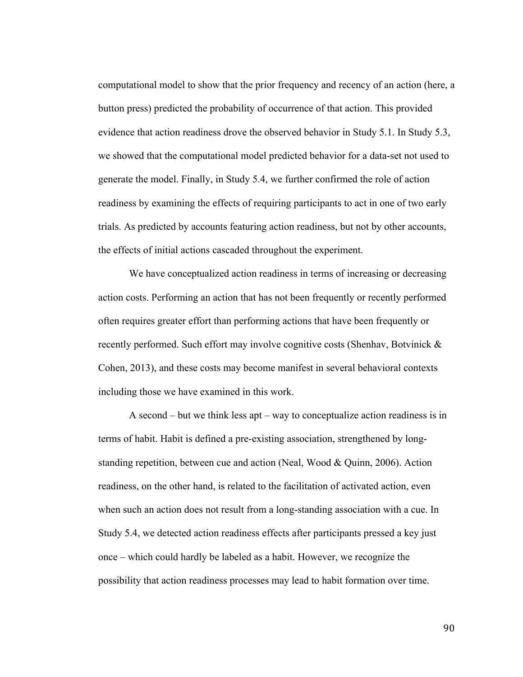computational model to show that the prior frequency and recency of an action (here, a button press) predicted the probability of occurrence of that action. This provided evidence that action readiness drove the observed behavior in Study 5.1. In Study 5.3, we showed that the computational model predicted behavior for a data-set not used to generate the model. Finally, in Study 5.4, we further confirmed the role of action readiness by examining the effects of requiring participants to act in one of two early trials. As predicted by accounts featuring action readiness, but not by other accounts, the effects of initial actions cascaded throughout the experiment.

We have conceptualized action readiness in terms of increasing or decreasing action costs. Performing an action that has not been frequently or recently performed often requires greater effort than performing actions that have been frequently or recently performed. Such effort may involve cognitive costs (Shenhav, Botvinick & Cohen, 2013), and these costs may become manifest in several behavioral contexts including those we have examined in this work.

A second – but we think less apt – way to conceptualize action readiness is in terms of habit. Habit is defined a pre-existing association, strengthened by longstanding repetition, between cue and action (Neal, Wood & Quinn, 2006). Action readiness, on the other hand, is related to the facilitation of activated action, even when such an action does not result from a long-standing association with a cue. In Study 5.4, we detected action readiness effects after participants pressed a key just once – which could hardly be labeled as a habit. However, we recognize the possibility that action readiness processes may lead to habit formation over time.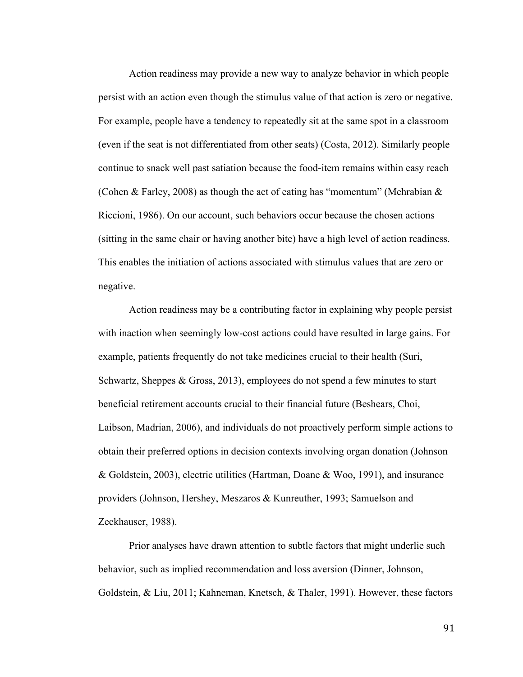Action readiness may provide a new way to analyze behavior in which people persist with an action even though the stimulus value of that action is zero or negative. For example, people have a tendency to repeatedly sit at the same spot in a classroom (even if the seat is not differentiated from other seats) (Costa, 2012). Similarly people continue to snack well past satiation because the food-item remains within easy reach (Cohen & Farley, 2008) as though the act of eating has "momentum" (Mehrabian  $\&$ Riccioni, 1986). On our account, such behaviors occur because the chosen actions (sitting in the same chair or having another bite) have a high level of action readiness. This enables the initiation of actions associated with stimulus values that are zero or negative.

Action readiness may be a contributing factor in explaining why people persist with inaction when seemingly low-cost actions could have resulted in large gains. For example, patients frequently do not take medicines crucial to their health (Suri, Schwartz, Sheppes & Gross, 2013), employees do not spend a few minutes to start beneficial retirement accounts crucial to their financial future (Beshears, Choi, Laibson, Madrian, 2006), and individuals do not proactively perform simple actions to obtain their preferred options in decision contexts involving organ donation (Johnson & Goldstein, 2003), electric utilities (Hartman, Doane & Woo, 1991), and insurance providers (Johnson, Hershey, Meszaros & Kunreuther, 1993; Samuelson and Zeckhauser, 1988).

Prior analyses have drawn attention to subtle factors that might underlie such behavior, such as implied recommendation and loss aversion (Dinner, Johnson, Goldstein, & Liu, 2011; Kahneman, Knetsch, & Thaler, 1991). However, these factors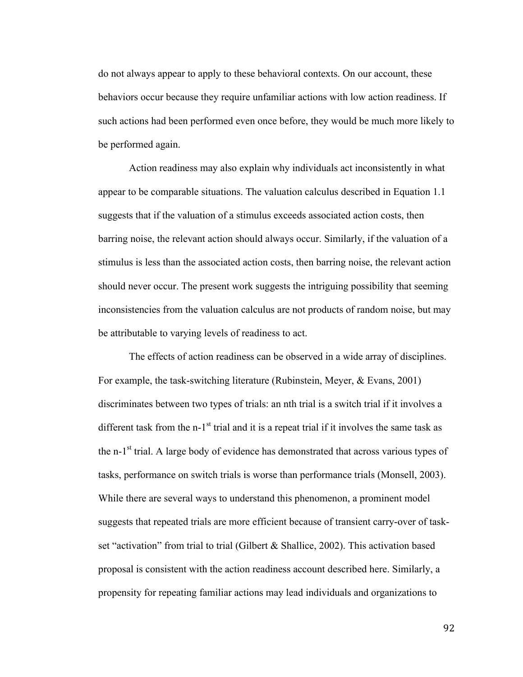do not always appear to apply to these behavioral contexts. On our account, these behaviors occur because they require unfamiliar actions with low action readiness. If such actions had been performed even once before, they would be much more likely to be performed again.

Action readiness may also explain why individuals act inconsistently in what appear to be comparable situations. The valuation calculus described in Equation 1.1 suggests that if the valuation of a stimulus exceeds associated action costs, then barring noise, the relevant action should always occur. Similarly, if the valuation of a stimulus is less than the associated action costs, then barring noise, the relevant action should never occur. The present work suggests the intriguing possibility that seeming inconsistencies from the valuation calculus are not products of random noise, but may be attributable to varying levels of readiness to act.

The effects of action readiness can be observed in a wide array of disciplines. For example, the task-switching literature (Rubinstein, Meyer, & Evans, 2001) discriminates between two types of trials: an nth trial is a switch trial if it involves a different task from the  $n-1$ <sup>st</sup> trial and it is a repeat trial if it involves the same task as the n-1<sup>st</sup> trial. A large body of evidence has demonstrated that across various types of tasks, performance on switch trials is worse than performance trials (Monsell, 2003). While there are several ways to understand this phenomenon, a prominent model suggests that repeated trials are more efficient because of transient carry-over of taskset "activation" from trial to trial (Gilbert & Shallice, 2002). This activation based proposal is consistent with the action readiness account described here. Similarly, a propensity for repeating familiar actions may lead individuals and organizations to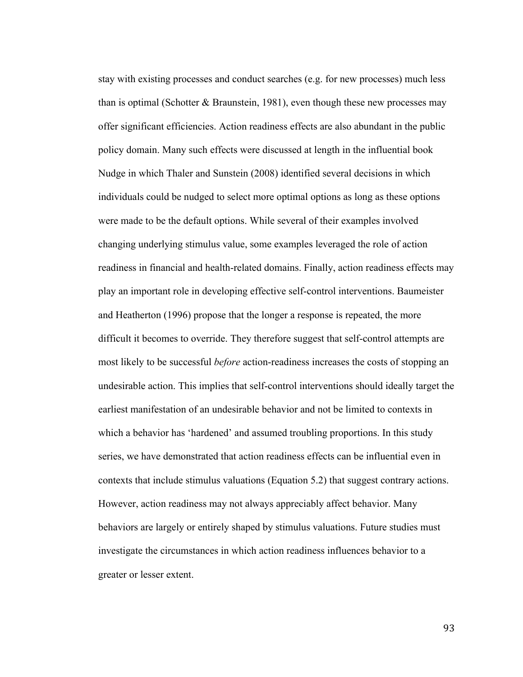stay with existing processes and conduct searches (e.g. for new processes) much less than is optimal (Schotter  $&$  Braunstein, 1981), even though these new processes may offer significant efficiencies. Action readiness effects are also abundant in the public policy domain. Many such effects were discussed at length in the influential book Nudge in which Thaler and Sunstein (2008) identified several decisions in which individuals could be nudged to select more optimal options as long as these options were made to be the default options. While several of their examples involved changing underlying stimulus value, some examples leveraged the role of action readiness in financial and health-related domains. Finally, action readiness effects may play an important role in developing effective self-control interventions. Baumeister and Heatherton (1996) propose that the longer a response is repeated, the more difficult it becomes to override. They therefore suggest that self-control attempts are most likely to be successful *before* action-readiness increases the costs of stopping an undesirable action. This implies that self-control interventions should ideally target the earliest manifestation of an undesirable behavior and not be limited to contexts in which a behavior has 'hardened' and assumed troubling proportions. In this study series, we have demonstrated that action readiness effects can be influential even in contexts that include stimulus valuations (Equation 5.2) that suggest contrary actions. However, action readiness may not always appreciably affect behavior. Many behaviors are largely or entirely shaped by stimulus valuations. Future studies must investigate the circumstances in which action readiness influences behavior to a greater or lesser extent.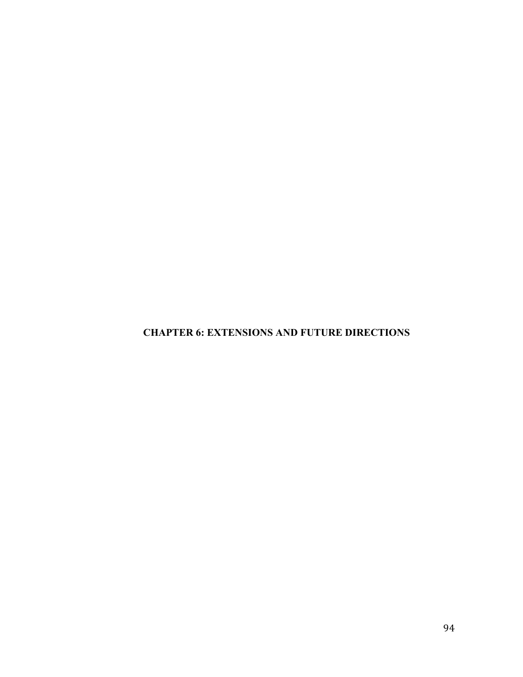**CHAPTER 6: EXTENSIONS AND FUTURE DIRECTIONS**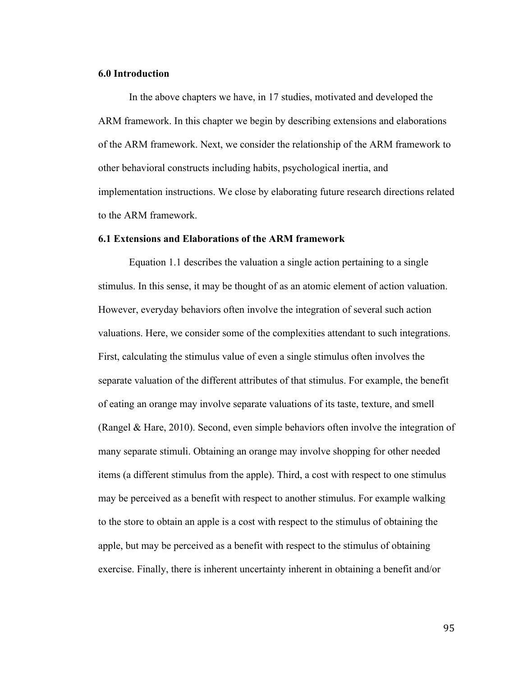## **6.0 Introduction**

In the above chapters we have, in 17 studies, motivated and developed the ARM framework. In this chapter we begin by describing extensions and elaborations of the ARM framework. Next, we consider the relationship of the ARM framework to other behavioral constructs including habits, psychological inertia, and implementation instructions. We close by elaborating future research directions related to the ARM framework.

## **6.1 Extensions and Elaborations of the ARM framework**

Equation 1.1 describes the valuation a single action pertaining to a single stimulus. In this sense, it may be thought of as an atomic element of action valuation. However, everyday behaviors often involve the integration of several such action valuations. Here, we consider some of the complexities attendant to such integrations. First, calculating the stimulus value of even a single stimulus often involves the separate valuation of the different attributes of that stimulus. For example, the benefit of eating an orange may involve separate valuations of its taste, texture, and smell (Rangel & Hare, 2010). Second, even simple behaviors often involve the integration of many separate stimuli. Obtaining an orange may involve shopping for other needed items (a different stimulus from the apple). Third, a cost with respect to one stimulus may be perceived as a benefit with respect to another stimulus. For example walking to the store to obtain an apple is a cost with respect to the stimulus of obtaining the apple, but may be perceived as a benefit with respect to the stimulus of obtaining exercise. Finally, there is inherent uncertainty inherent in obtaining a benefit and/or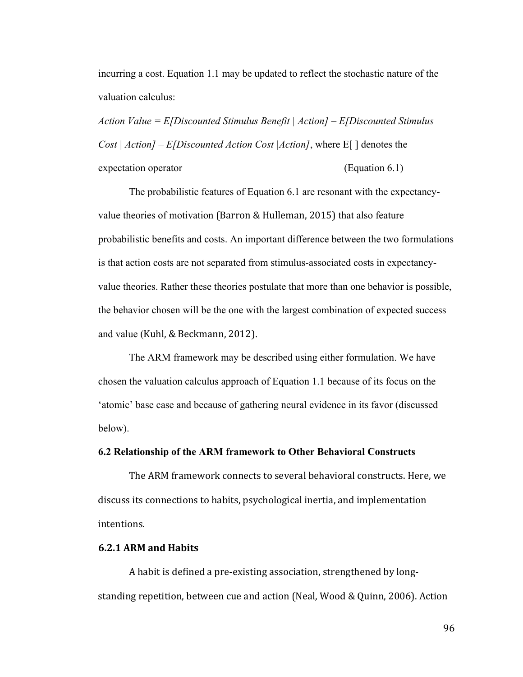incurring a cost. Equation 1.1 may be updated to reflect the stochastic nature of the valuation calculus:

*Action Value = E[Discounted Stimulus Benefit | Action] – E[Discounted Stimulus Cost | Action] – E[Discounted Action Cost |Action]*, where E[ ] denotes the expectation operator (Equation 6.1)

The probabilistic features of Equation 6.1 are resonant with the expectancyvalue theories of motivation (Barron & Hulleman, 2015) that also feature probabilistic benefits and costs. An important difference between the two formulations is that action costs are not separated from stimulus-associated costs in expectancyvalue theories. Rather these theories postulate that more than one behavior is possible, the behavior chosen will be the one with the largest combination of expected success and value (Kuhl, & Beckmann, 2012).

The ARM framework may be described using either formulation. We have chosen the valuation calculus approach of Equation 1.1 because of its focus on the 'atomic' base case and because of gathering neural evidence in its favor (discussed below).

## **6.2 Relationship of the ARM framework to Other Behavioral Constructs**

The ARM framework connects to several behavioral constructs. Here, we discuss its connections to habits, psychological inertia, and implementation intentions.

## **6.2.1 ARM and Habits**

A habit is defined a pre-existing association, strengthened by longstanding repetition, between cue and action (Neal, Wood & Quinn, 2006). Action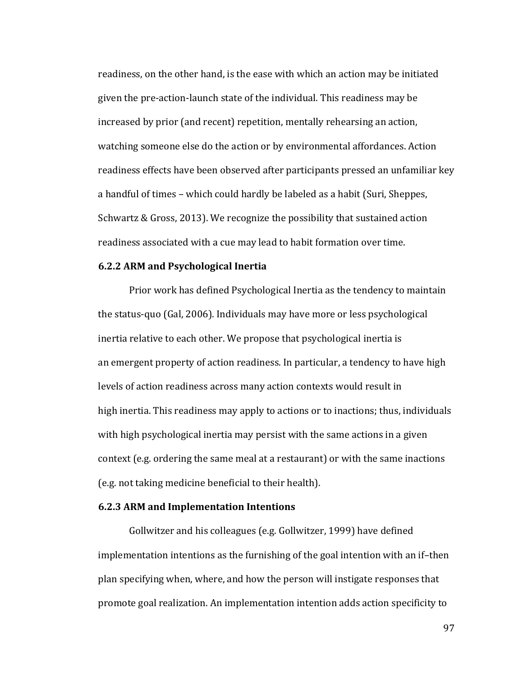readiness, on the other hand, is the ease with which an action may be initiated given the pre-action-launch state of the individual. This readiness may be increased by prior (and recent) repetition, mentally rehearsing an action, watching someone else do the action or by environmental affordances. Action readiness effects have been observed after participants pressed an unfamiliar key a handful of times – which could hardly be labeled as a habit (Suri, Sheppes, Schwartz & Gross, 2013). We recognize the possibility that sustained action readiness associated with a cue may lead to habit formation over time.

### **6.2.2 ARM and Psychological Inertia**

Prior work has defined Psychological Inertia as the tendency to maintain the status-quo (Gal, 2006). Individuals may have more or less psychological inertia relative to each other. We propose that psychological inertia is an emergent property of action readiness. In particular, a tendency to have high levels of action readiness across many action contexts would result in high inertia. This readiness may apply to actions or to inactions; thus, individuals with high psychological inertia may persist with the same actions in a given context (e.g. ordering the same meal at a restaurant) or with the same inactions (e.g. not taking medicine beneficial to their health).

## **6.2.3 ARM and Implementation Intentions**

Gollwitzer and his colleagues (e.g. Gollwitzer, 1999) have defined implementation intentions as the furnishing of the goal intention with an if-then plan specifying when, where, and how the person will instigate responses that promote goal realization. An implementation intention adds action specificity to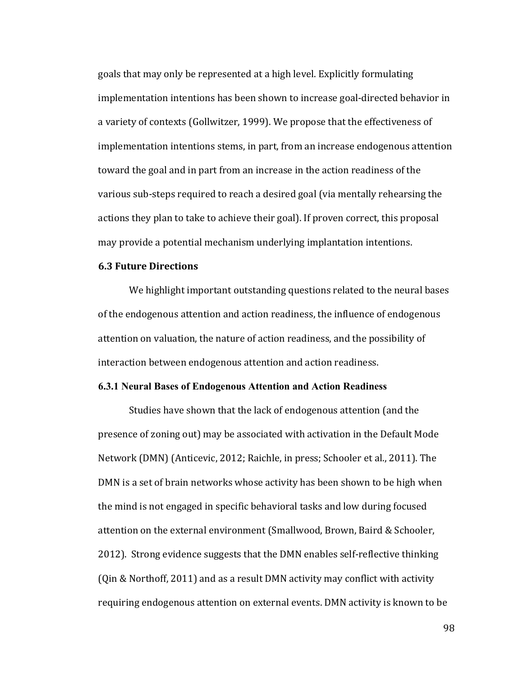goals that may only be represented at a high level. Explicitly formulating implementation intentions has been shown to increase goal-directed behavior in a variety of contexts (Gollwitzer, 1999). We propose that the effectiveness of implementation intentions stems, in part, from an increase endogenous attention toward the goal and in part from an increase in the action readiness of the various sub-steps required to reach a desired goal (via mentally rehearsing the actions they plan to take to achieve their goal). If proven correct, this proposal may provide a potential mechanism underlying implantation intentions.

### **6.3 Future Directions**

We highlight important outstanding questions related to the neural bases of the endogenous attention and action readiness, the influence of endogenous attention on valuation, the nature of action readiness, and the possibility of interaction between endogenous attention and action readiness.

## **6.3.1 Neural Bases of Endogenous Attention and Action Readiness**

Studies have shown that the lack of endogenous attention (and the presence of zoning out) may be associated with activation in the Default Mode Network (DMN) (Anticevic, 2012; Raichle, in press; Schooler et al., 2011). The DMN is a set of brain networks whose activity has been shown to be high when the mind is not engaged in specific behavioral tasks and low during focused attention on the external environment (Smallwood, Brown, Baird & Schooler, 2012). Strong evidence suggests that the DMN enables self-reflective thinking (Qin & Northoff, 2011) and as a result DMN activity may conflict with activity requiring endogenous attention on external events. DMN activity is known to be

98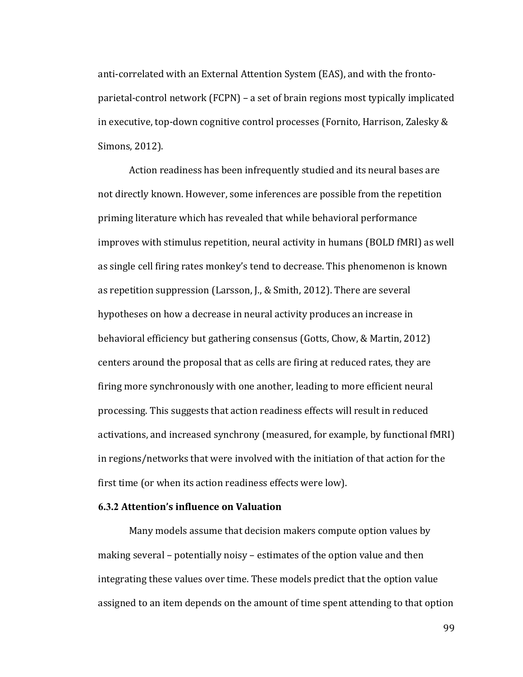anti-correlated with an External Attention System (EAS), and with the frontoparietal-control network  $(FCPN)$  – a set of brain regions most typically implicated in executive, top-down cognitive control processes (Fornito, Harrison, Zalesky & Simons, 2012).

Action readiness has been infrequently studied and its neural bases are not directly known. However, some inferences are possible from the repetition priming literature which has revealed that while behavioral performance improves with stimulus repetition, neural activity in humans (BOLD fMRI) as well as single cell firing rates monkey's tend to decrease. This phenomenon is known as repetition suppression (Larsson, J., & Smith, 2012). There are several hypotheses on how a decrease in neural activity produces an increase in behavioral efficiency but gathering consensus (Gotts, Chow, & Martin, 2012) centers around the proposal that as cells are firing at reduced rates, they are firing more synchronously with one another, leading to more efficient neural processing. This suggests that action readiness effects will result in reduced activations, and increased synchrony (measured, for example, by functional fMRI) in regions/networks that were involved with the initiation of that action for the first time (or when its action readiness effects were low).

# **6.3.2** Attention's influence on Valuation

Many models assume that decision makers compute option values by making several – potentially noisy – estimates of the option value and then integrating these values over time. These models predict that the option value assigned to an item depends on the amount of time spent attending to that option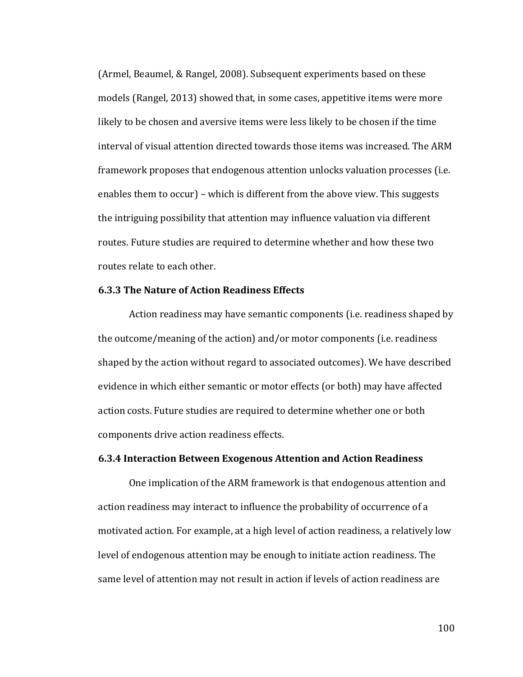(Armel, Beaumel, & Rangel, 2008). Subsequent experiments based on these models (Rangel, 2013) showed that, in some cases, appetitive items were more likely to be chosen and aversive items were less likely to be chosen if the time interval of visual attention directed towards those items was increased. The ARM framework proposes that endogenous attention unlocks valuation processes (i.e. enables them to occur) – which is different from the above view. This suggests the intriguing possibility that attention may influence valuation via different routes. Future studies are required to determine whether and how these two routes relate to each other.

### **6.3.3 The Nature of Action Readiness Effects**

Action readiness may have semantic components (i.e. readiness shaped by the outcome/meaning of the action) and/or motor components (i.e. readiness shaped by the action without regard to associated outcomes). We have described evidence in which either semantic or motor effects (or both) may have affected action costs. Future studies are required to determine whether one or both components drive action readiness effects.

# **6.3.4 Interaction Between Exogenous Attention and Action Readiness**

One implication of the ARM framework is that endogenous attention and action readiness may interact to influence the probability of occurrence of a motivated action. For example, at a high level of action readiness, a relatively low level of endogenous attention may be enough to initiate action readiness. The same level of attention may not result in action if levels of action readiness are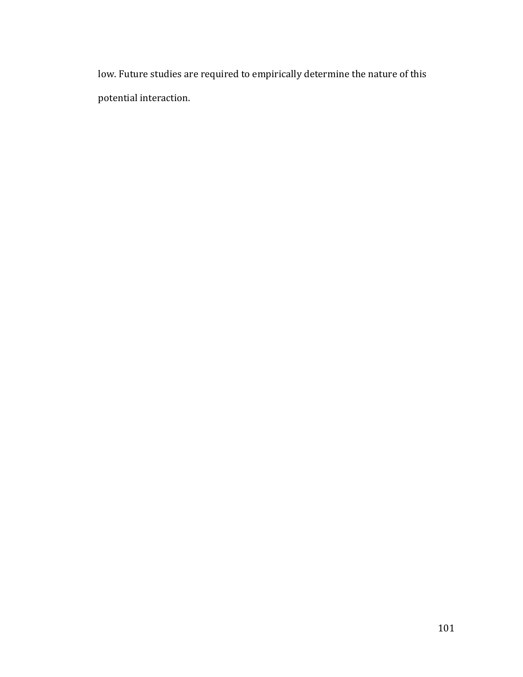low. Future studies are required to empirically determine the nature of this potential interaction.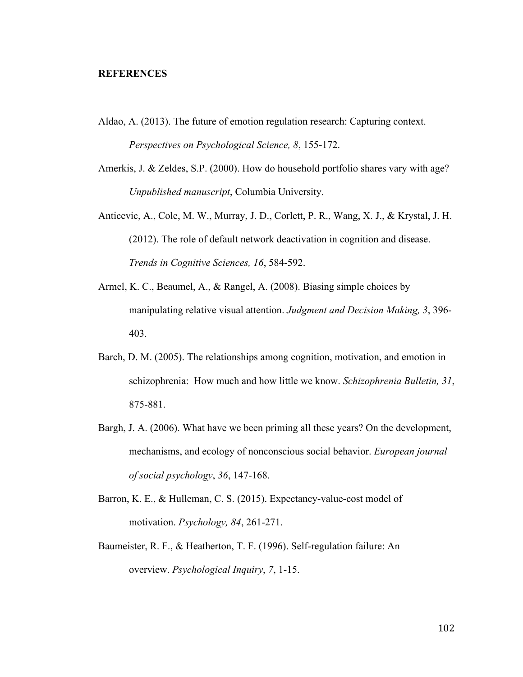### **REFERENCES**

- Aldao, A. (2013). The future of emotion regulation research: Capturing context. *Perspectives on Psychological Science, 8*, 155-172.
- Amerkis, J. & Zeldes, S.P. (2000). How do household portfolio shares vary with age? *Unpublished manuscript*, Columbia University.
- Anticevic, A., Cole, M. W., Murray, J. D., Corlett, P. R., Wang, X. J., & Krystal, J. H. (2012). The role of default network deactivation in cognition and disease. *Trends in Cognitive Sciences, 16*, 584-592.
- Armel, K. C., Beaumel, A., & Rangel, A. (2008). Biasing simple choices by manipulating relative visual attention. *Judgment and Decision Making, 3*, 396- 403.
- Barch, D. M. (2005). The relationships among cognition, motivation, and emotion in schizophrenia: How much and how little we know. *Schizophrenia Bulletin, 31*, 875-881.
- Bargh, J. A. (2006). What have we been priming all these years? On the development, mechanisms, and ecology of nonconscious social behavior. *European journal of social psychology*, *36*, 147-168.
- Barron, K. E., & Hulleman, C. S. (2015). Expectancy-value-cost model of motivation. *Psychology, 84*, 261-271.
- Baumeister, R. F., & Heatherton, T. F. (1996). Self-regulation failure: An overview. *Psychological Inquiry*, *7*, 1-15.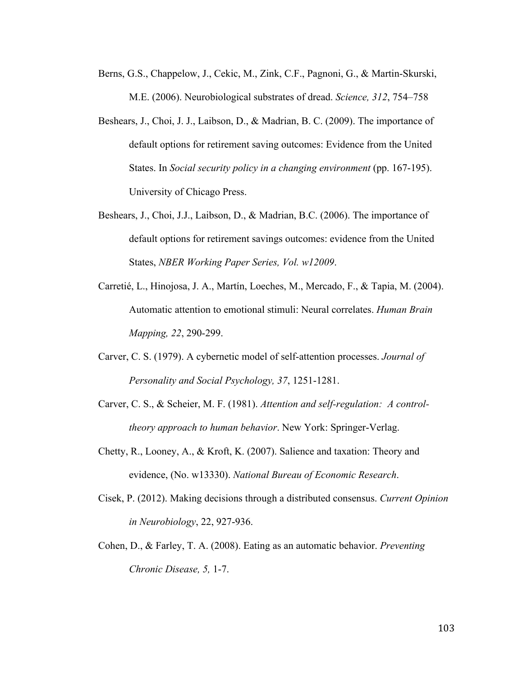- Berns, G.S., Chappelow, J., Cekic, M., Zink, C.F., Pagnoni, G., & Martin-Skurski, M.E. (2006). Neurobiological substrates of dread. *Science, 312*, 754–758
- Beshears, J., Choi, J. J., Laibson, D., & Madrian, B. C. (2009). The importance of default options for retirement saving outcomes: Evidence from the United States. In *Social security policy in a changing environment* (pp. 167-195). University of Chicago Press.
- Beshears, J., Choi, J.J., Laibson, D., & Madrian, B.C. (2006). The importance of default options for retirement savings outcomes: evidence from the United States, *NBER Working Paper Series, Vol. w12009*.
- Carretié, L., Hinojosa, J. A., Martín, Loeches, M., Mercado, F., & Tapia, M. (2004). Automatic attention to emotional stimuli: Neural correlates. *Human Brain Mapping, 22*, 290-299.
- Carver, C. S. (1979). A cybernetic model of self-attention processes. *Journal of Personality and Social Psychology, 37*, 1251-1281.
- Carver, C. S., & Scheier, M. F. (1981). *Attention and self-regulation: A controltheory approach to human behavior*. New York: Springer-Verlag.
- Chetty, R., Looney, A., & Kroft, K. (2007). Salience and taxation: Theory and evidence, (No. w13330). *National Bureau of Economic Research*.
- Cisek, P. (2012). Making decisions through a distributed consensus. *Current Opinion in Neurobiology*, 22, 927-936.
- Cohen, D., & Farley, T. A. (2008). Eating as an automatic behavior. *Preventing Chronic Disease, 5,* 1-7.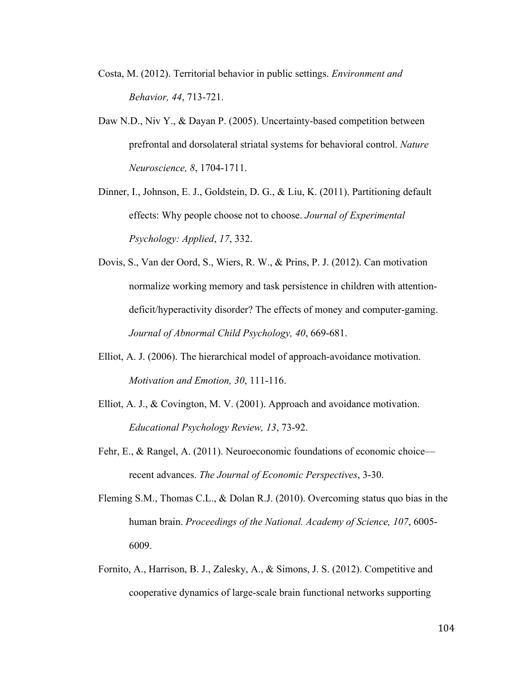- Costa, M. (2012). Territorial behavior in public settings. *Environment and Behavior, 44*, 713-721.
- Daw N.D., Niv Y., & Dayan P. (2005). Uncertainty-based competition between prefrontal and dorsolateral striatal systems for behavioral control. *Nature Neuroscience, 8*, 1704-1711.
- Dinner, I., Johnson, E. J., Goldstein, D. G., & Liu, K. (2011). Partitioning default effects: Why people choose not to choose. *Journal of Experimental Psychology: Applied*, *17*, 332.
- Dovis, S., Van der Oord, S., Wiers, R. W., & Prins, P. J. (2012). Can motivation normalize working memory and task persistence in children with attentiondeficit/hyperactivity disorder? The effects of money and computer-gaming. *Journal of Abnormal Child Psychology, 40*, 669-681.
- Elliot, A. J. (2006). The hierarchical model of approach-avoidance motivation. *Motivation and Emotion, 30*, 111-116.
- Elliot, A. J., & Covington, M. V. (2001). Approach and avoidance motivation. *Educational Psychology Review, 13*, 73-92.
- Fehr, E., & Rangel, A. (2011). Neuroeconomic foundations of economic choice recent advances. *The Journal of Economic Perspectives*, 3-30.
- Fleming S.M., Thomas C.L., & Dolan R.J. (2010). Overcoming status quo bias in the human brain. *Proceedings of the National. Academy of Science, 107*, 6005- 6009.
- Fornito, A., Harrison, B. J., Zalesky, A., & Simons, J. S. (2012). Competitive and cooperative dynamics of large-scale brain functional networks supporting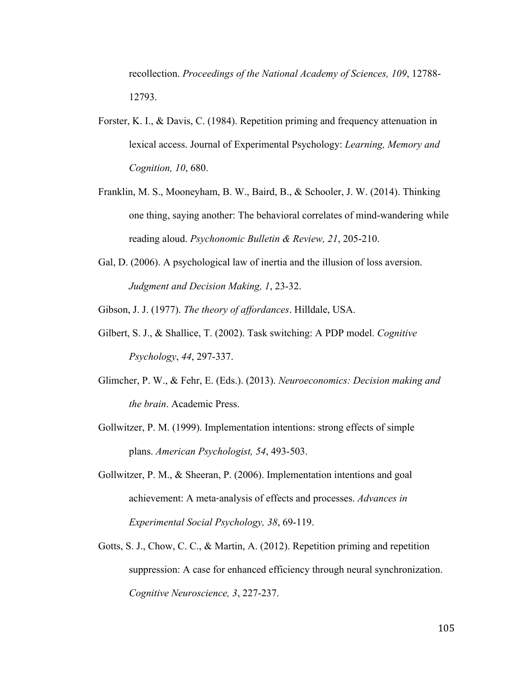recollection. *Proceedings of the National Academy of Sciences, 109*, 12788- 12793.

- Forster, K. I., & Davis, C. (1984). Repetition priming and frequency attenuation in lexical access. Journal of Experimental Psychology: *Learning, Memory and Cognition, 10*, 680.
- Franklin, M. S., Mooneyham, B. W., Baird, B., & Schooler, J. W. (2014). Thinking one thing, saying another: The behavioral correlates of mind-wandering while reading aloud. *Psychonomic Bulletin & Review, 21*, 205-210.
- Gal, D. (2006). A psychological law of inertia and the illusion of loss aversion. *Judgment and Decision Making, 1*, 23-32.

Gibson, J. J. (1977). *The theory of affordances*. Hilldale, USA.

- Gilbert, S. J., & Shallice, T. (2002). Task switching: A PDP model. *Cognitive Psychology*, *44*, 297-337.
- Glimcher, P. W., & Fehr, E. (Eds.). (2013). *Neuroeconomics: Decision making and the brain*. Academic Press.
- Gollwitzer, P. M. (1999). Implementation intentions: strong effects of simple plans. *American Psychologist, 54*, 493-503.
- Gollwitzer, P. M., & Sheeran, P. (2006). Implementation intentions and goal achievement: A meta‐analysis of effects and processes. *Advances in Experimental Social Psychology, 38*, 69-119.
- Gotts, S. J., Chow, C. C., & Martin, A. (2012). Repetition priming and repetition suppression: A case for enhanced efficiency through neural synchronization. *Cognitive Neuroscience, 3*, 227-237.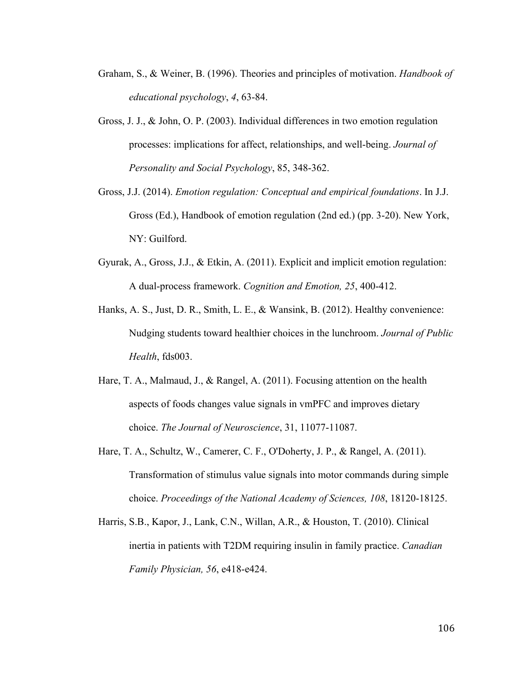- Graham, S., & Weiner, B. (1996). Theories and principles of motivation. *Handbook of educational psychology*, *4*, 63-84.
- Gross, J. J., & John, O. P. (2003). Individual differences in two emotion regulation processes: implications for affect, relationships, and well-being. *Journal of Personality and Social Psychology*, 85, 348-362.
- Gross, J.J. (2014). *Emotion regulation: Conceptual and empirical foundations*. In J.J. Gross (Ed.), Handbook of emotion regulation (2nd ed.) (pp. 3-20). New York, NY: Guilford.
- Gyurak, A., Gross, J.J., & Etkin, A. (2011). Explicit and implicit emotion regulation: A dual-process framework. *Cognition and Emotion, 25*, 400-412.
- Hanks, A. S., Just, D. R., Smith, L. E., & Wansink, B. (2012). Healthy convenience: Nudging students toward healthier choices in the lunchroom. *Journal of Public Health*, fds003.
- Hare, T. A., Malmaud, J., & Rangel, A. (2011). Focusing attention on the health aspects of foods changes value signals in vmPFC and improves dietary choice. *The Journal of Neuroscience*, 31, 11077-11087.
- Hare, T. A., Schultz, W., Camerer, C. F., O'Doherty, J. P., & Rangel, A. (2011). Transformation of stimulus value signals into motor commands during simple choice. *Proceedings of the National Academy of Sciences, 108*, 18120-18125.
- Harris, S.B., Kapor, J., Lank, C.N., Willan, A.R., & Houston, T. (2010). Clinical inertia in patients with T2DM requiring insulin in family practice. *Canadian Family Physician, 56*, e418-e424.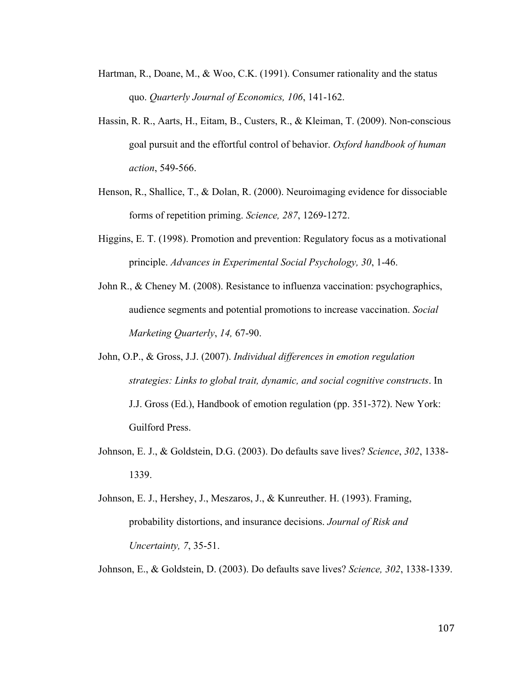- Hartman, R., Doane, M., & Woo, C.K. (1991). Consumer rationality and the status quo. *Quarterly Journal of Economics, 106*, 141-162.
- Hassin, R. R., Aarts, H., Eitam, B., Custers, R., & Kleiman, T. (2009). Non-conscious goal pursuit and the effortful control of behavior. *Oxford handbook of human action*, 549-566.
- Henson, R., Shallice, T., & Dolan, R. (2000). Neuroimaging evidence for dissociable forms of repetition priming. *Science, 287*, 1269-1272.
- Higgins, E. T. (1998). Promotion and prevention: Regulatory focus as a motivational principle. *Advances in Experimental Social Psychology, 30*, 1-46.
- John R., & Cheney M. (2008). Resistance to influenza vaccination: psychographics, audience segments and potential promotions to increase vaccination. *Social Marketing Quarterly*, *14,* 67-90.
- John, O.P., & Gross, J.J. (2007). *Individual differences in emotion regulation strategies: Links to global trait, dynamic, and social cognitive constructs*. In J.J. Gross (Ed.), Handbook of emotion regulation (pp. 351-372). New York: Guilford Press.
- Johnson, E. J., & Goldstein, D.G. (2003). Do defaults save lives? *Science*, *302*, 1338- 1339.
- Johnson, E. J., Hershey, J., Meszaros, J., & Kunreuther. H. (1993). Framing, probability distortions, and insurance decisions. *Journal of Risk and Uncertainty, 7*, 35-51.

Johnson, E., & Goldstein, D. (2003). Do defaults save lives? *Science, 302*, 1338-1339.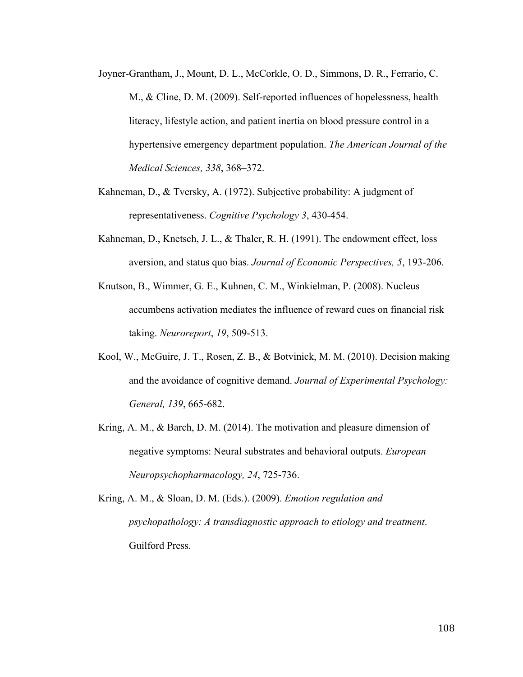- Joyner-Grantham, J., Mount, D. L., McCorkle, O. D., Simmons, D. R., Ferrario, C. M., & Cline, D. M. (2009). Self-reported influences of hopelessness, health literacy, lifestyle action, and patient inertia on blood pressure control in a hypertensive emergency department population. *The American Journal of the Medical Sciences, 338*, 368–372.
- Kahneman, D., & Tversky, A. (1972). Subjective probability: A judgment of representativeness. *Cognitive Psychology 3*, 430-454.
- Kahneman, D., Knetsch, J. L., & Thaler, R. H. (1991). The endowment effect, loss aversion, and status quo bias. *Journal of Economic Perspectives, 5*, 193-206.
- Knutson, B., Wimmer, G. E., Kuhnen, C. M., Winkielman, P. (2008). Nucleus accumbens activation mediates the influence of reward cues on financial risk taking. *Neuroreport*, *19*, 509-513.
- Kool, W., McGuire, J. T., Rosen, Z. B., & Botvinick, M. M. (2010). Decision making and the avoidance of cognitive demand. *Journal of Experimental Psychology: General, 139*, 665-682.
- Kring, A. M., & Barch, D. M. (2014). The motivation and pleasure dimension of negative symptoms: Neural substrates and behavioral outputs. *European Neuropsychopharmacology, 24*, 725-736.

Kring, A. M., & Sloan, D. M. (Eds.). (2009). *Emotion regulation and psychopathology: A transdiagnostic approach to etiology and treatment*. Guilford Press.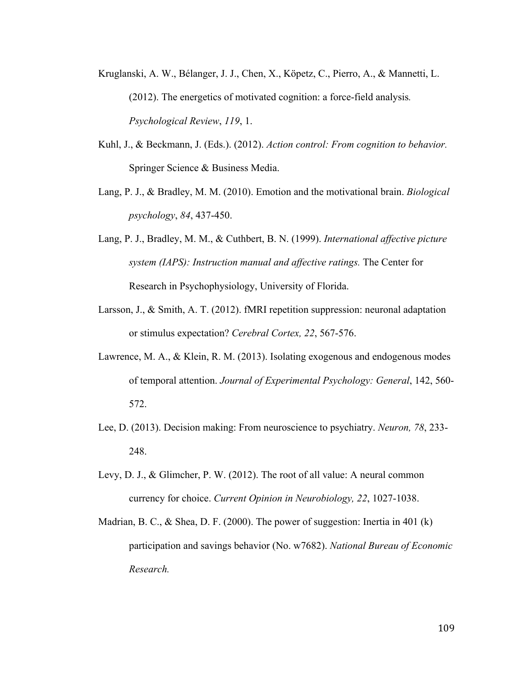- Kruglanski, A. W., Bélanger, J. J., Chen, X., Köpetz, C., Pierro, A., & Mannetti, L. (2012). The energetics of motivated cognition: a force-field analysis*. Psychological Review*, *119*, 1.
- Kuhl, J., & Beckmann, J. (Eds.). (2012). *Action control: From cognition to behavior.* Springer Science & Business Media.
- Lang, P. J., & Bradley, M. M. (2010). Emotion and the motivational brain. *Biological psychology*, *84*, 437-450.
- Lang, P. J., Bradley, M. M., & Cuthbert, B. N. (1999). *International affective picture system (IAPS): Instruction manual and affective ratings.* The Center for Research in Psychophysiology, University of Florida.
- Larsson, J., & Smith, A. T. (2012). fMRI repetition suppression: neuronal adaptation or stimulus expectation? *Cerebral Cortex, 22*, 567-576.
- Lawrence, M. A., & Klein, R. M. (2013). Isolating exogenous and endogenous modes of temporal attention. *Journal of Experimental Psychology: General*, 142, 560- 572.
- Lee, D. (2013). Decision making: From neuroscience to psychiatry. *Neuron, 78*, 233- 248.
- Levy, D. J., & Glimcher, P. W. (2012). The root of all value: A neural common currency for choice. *Current Opinion in Neurobiology, 22*, 1027-1038.
- Madrian, B. C., & Shea, D. F. (2000). The power of suggestion: Inertia in 401 (k) participation and savings behavior (No. w7682). *National Bureau of Economic Research.*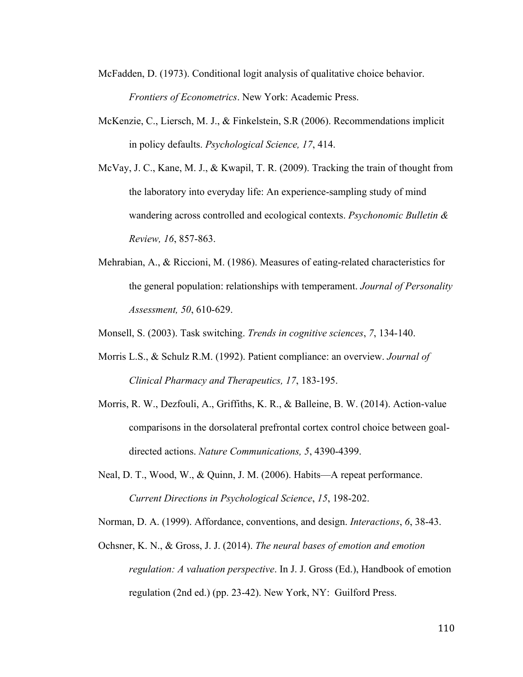- McFadden, D. (1973). Conditional logit analysis of qualitative choice behavior. *Frontiers of Econometrics*. New York: Academic Press.
- McKenzie, C., Liersch, M. J., & Finkelstein, S.R (2006). Recommendations implicit in policy defaults. *Psychological Science, 17*, 414.
- McVay, J. C., Kane, M. J., & Kwapil, T. R. (2009). Tracking the train of thought from the laboratory into everyday life: An experience-sampling study of mind wandering across controlled and ecological contexts. *Psychonomic Bulletin & Review, 16*, 857-863.
- Mehrabian, A., & Riccioni, M. (1986). Measures of eating-related characteristics for the general population: relationships with temperament. *Journal of Personality Assessment, 50*, 610-629.
- Monsell, S. (2003). Task switching. *Trends in cognitive sciences*, *7*, 134-140.
- Morris L.S., & Schulz R.M. (1992). Patient compliance: an overview. *Journal of Clinical Pharmacy and Therapeutics, 17*, 183-195.
- Morris, R. W., Dezfouli, A., Griffiths, K. R., & Balleine, B. W. (2014). Action-value comparisons in the dorsolateral prefrontal cortex control choice between goaldirected actions. *Nature Communications, 5*, 4390-4399.
- Neal, D. T., Wood, W., & Quinn, J. M. (2006). Habits—A repeat performance. *Current Directions in Psychological Science*, *15*, 198-202.
- Norman, D. A. (1999). Affordance, conventions, and design. *Interactions*, *6*, 38-43.
- Ochsner, K. N., & Gross, J. J. (2014). *The neural bases of emotion and emotion regulation: A valuation perspective*. In J. J. Gross (Ed.), Handbook of emotion regulation (2nd ed.) (pp. 23-42). New York, NY: Guilford Press.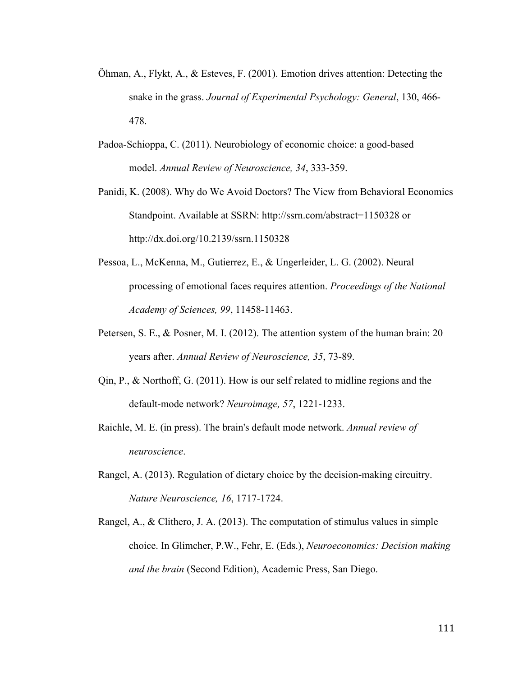- Öhman, A., Flykt, A., & Esteves, F. (2001). Emotion drives attention: Detecting the snake in the grass. *Journal of Experimental Psychology: General*, 130, 466- 478.
- Padoa-Schioppa, C. (2011). Neurobiology of economic choice: a good-based model. *Annual Review of Neuroscience, 34*, 333-359.
- Panidi, K. (2008). Why do We Avoid Doctors? The View from Behavioral Economics Standpoint. Available at SSRN: http://ssrn.com/abstract=1150328 or http://dx.doi.org/10.2139/ssrn.1150328
- Pessoa, L., McKenna, M., Gutierrez, E., & Ungerleider, L. G. (2002). Neural processing of emotional faces requires attention. *Proceedings of the National Academy of Sciences, 99*, 11458-11463.
- Petersen, S. E., & Posner, M. I. (2012). The attention system of the human brain: 20 years after. *Annual Review of Neuroscience, 35*, 73-89.
- Qin, P., & Northoff, G. (2011). How is our self related to midline regions and the default-mode network? *Neuroimage, 57*, 1221-1233.
- Raichle, M. E. (in press). The brain's default mode network. *Annual review of neuroscience*.
- Rangel, A. (2013). Regulation of dietary choice by the decision-making circuitry. *Nature Neuroscience, 16*, 1717-1724.
- Rangel, A., & Clithero, J. A. (2013). The computation of stimulus values in simple choice. In Glimcher, P.W., Fehr, E. (Eds.), *Neuroeconomics: Decision making and the brain* (Second Edition), Academic Press, San Diego.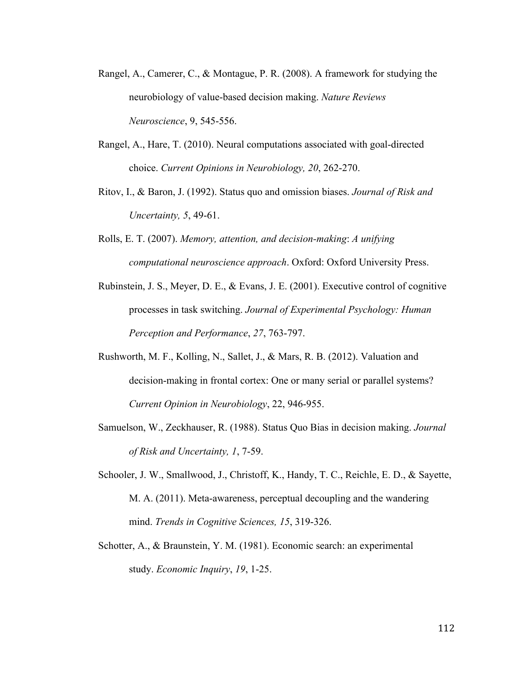- Rangel, A., Camerer, C., & Montague, P. R. (2008). A framework for studying the neurobiology of value-based decision making. *Nature Reviews Neuroscience*, 9, 545-556.
- Rangel, A., Hare, T. (2010). Neural computations associated with goal-directed choice. *Current Opinions in Neurobiology, 20*, 262-270.
- Ritov, I., & Baron, J. (1992). Status quo and omission biases. *Journal of Risk and Uncertainty, 5*, 49-61.
- Rolls, E. T. (2007). *Memory, attention, and decision-making*: *A unifying computational neuroscience approach*. Oxford: Oxford University Press.
- Rubinstein, J. S., Meyer, D. E., & Evans, J. E. (2001). Executive control of cognitive processes in task switching. *Journal of Experimental Psychology: Human Perception and Performance*, *27*, 763-797.
- Rushworth, M. F., Kolling, N., Sallet, J., & Mars, R. B. (2012). Valuation and decision-making in frontal cortex: One or many serial or parallel systems? *Current Opinion in Neurobiology*, 22, 946-955.
- Samuelson, W., Zeckhauser, R. (1988). Status Quo Bias in decision making. *Journal of Risk and Uncertainty, 1*, 7-59.
- Schooler, J. W., Smallwood, J., Christoff, K., Handy, T. C., Reichle, E. D., & Sayette, M. A. (2011). Meta-awareness, perceptual decoupling and the wandering mind. *Trends in Cognitive Sciences, 15*, 319-326.
- Schotter, A., & Braunstein, Y. M. (1981). Economic search: an experimental study. *Economic Inquiry*, *19*, 1-25.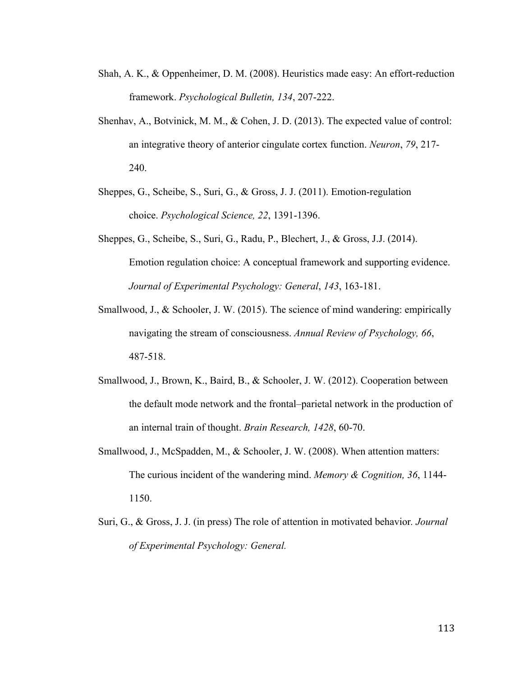- Shah, A. K., & Oppenheimer, D. M. (2008). Heuristics made easy: An effort-reduction framework. *Psychological Bulletin, 134*, 207-222.
- Shenhav, A., Botvinick, M. M., & Cohen, J. D. (2013). The expected value of control: an integrative theory of anterior cingulate cortex function. *Neuron*, *79*, 217- 240.
- Sheppes, G., Scheibe, S., Suri, G., & Gross, J. J. (2011). Emotion-regulation choice. *Psychological Science, 22*, 1391-1396.
- Sheppes, G., Scheibe, S., Suri, G., Radu, P., Blechert, J., & Gross, J.J. (2014). Emotion regulation choice: A conceptual framework and supporting evidence. *Journal of Experimental Psychology: General*, *143*, 163-181.
- Smallwood, J., & Schooler, J. W. (2015). The science of mind wandering: empirically navigating the stream of consciousness. *Annual Review of Psychology, 66*, 487-518.
- Smallwood, J., Brown, K., Baird, B., & Schooler, J. W. (2012). Cooperation between the default mode network and the frontal–parietal network in the production of an internal train of thought. *Brain Research, 1428*, 60-70.
- Smallwood, J., McSpadden, M., & Schooler, J. W. (2008). When attention matters: The curious incident of the wandering mind. *Memory & Cognition, 36*, 1144- 1150.
- Suri, G., & Gross, J. J. (in press) The role of attention in motivated behavior*. Journal of Experimental Psychology: General.*